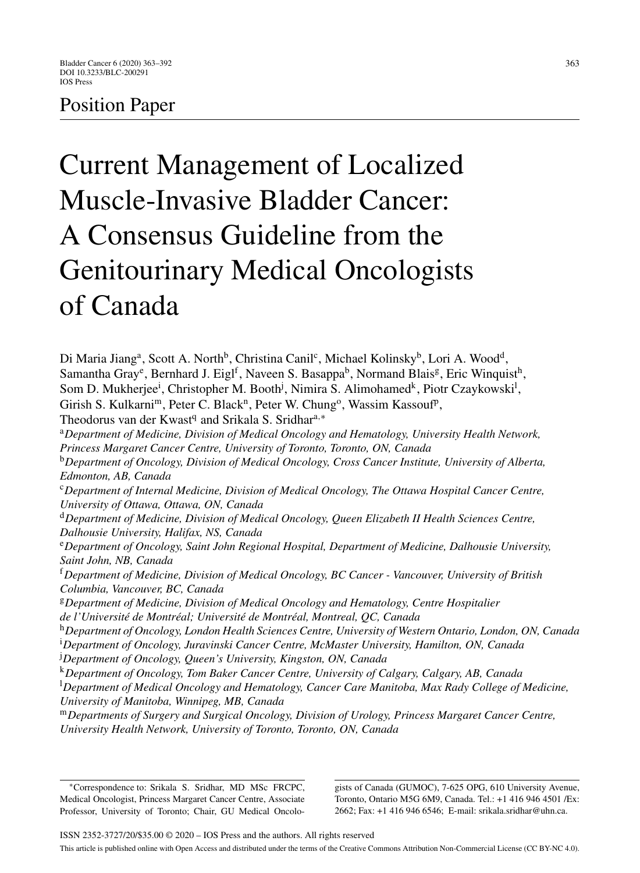# Position Paper

# Current Management of Localized Muscle-Invasive Bladder Cancer: A Consensus Guideline from the Genitourinary Medical Oncologists of Canada

Di Maria Jiang<sup>a</sup>, Scott A. North<sup>b</sup>, Christina Canil<sup>c</sup>, Michael Kolinsky<sup>b</sup>, Lori A. Wood<sup>d</sup>, Samantha Gray<sup>e</sup>, Bernhard J. Eigl<sup>f</sup>, Naveen S. Basappa<sup>b</sup>, Normand Blais<sup>g</sup>, Eric Winquist<sup>h</sup>, Som D. Mukherjee<sup>i</sup>, Christopher M. Booth<sup>j</sup>, Nimira S. Alimohamed<sup>k</sup>, Piotr Czaykowski<sup>1</sup>, Girish S. Kulkarni<sup>m</sup>, Peter C. Black<sup>n</sup>, Peter W. Chung<sup>o</sup>, Wassim Kassouf<sup>p</sup>, Theodorus van der Kwast<sup>q</sup> and Srikala S. Sridhar<sup>a,∗</sup> <sup>a</sup>*Department of Medicine, Division of Medical Oncology and Hematology, University Health Network, Princess Margaret Cancer Centre, University of Toronto, Toronto, ON, Canada* <sup>b</sup>*Department of Oncology, Division of Medical Oncology, Cross Cancer Institute, University of Alberta, Edmonton, AB, Canada* <sup>c</sup>*Department of Internal Medicine, Division of Medical Oncology, The Ottawa Hospital Cancer Centre, University of Ottawa, Ottawa, ON, Canada* <sup>d</sup>*Department of Medicine, Division of Medical Oncology, Queen Elizabeth II Health Sciences Centre, Dalhousie University, Halifax, NS, Canada* <sup>e</sup>*Department of Oncology, Saint John Regional Hospital, Department of Medicine, Dalhousie University, Saint John, NB, Canada* <sup>f</sup>*Department of Medicine, Division of Medical Oncology, BC Cancer - Vancouver, University of British Columbia, Vancouver, BC, Canada* <sup>g</sup>*Department of Medicine, Division of Medical Oncology and Hematology, Centre Hospitalier de l'Universit´e de Montr´eal; Universit´e de Montr´eal, Montreal, QC, Canada* <sup>h</sup>*Department of Oncology, London Health Sciences Centre, University of Western Ontario, London, ON, Canada* i *Department of Oncology, Juravinski Cancer Centre, McMaster University, Hamilton, ON, Canada* j *Department of Oncology, Queen's University, Kingston, ON, Canada* <sup>k</sup>*Department of Oncology, Tom Baker Cancer Centre, University of Calgary, Calgary, AB, Canada* l *Department of Medical Oncology and Hematology, Cancer Care Manitoba, Max Rady College of Medicine, University of Manitoba, Winnipeg, MB, Canada* <sup>m</sup>*Departments of Surgery and Surgical Oncology, Division of Urology, Princess Margaret Cancer Centre, University Health Network, University of Toronto, Toronto, ON, Canada*

gists of Canada (GUMOC), 7-625 OPG, 610 University Avenue, Toronto, Ontario M5G 6M9, Canada. Tel.: +1 416 946 4501 /Ex: 2662; Fax: +1 416 946 6546; E-mail: [srikala.sridhar@uhn.ca](mailto:srikala.sridhar@uhn.ca).

<sup>∗</sup>Correspondence to: Srikala S. Sridhar, MD MSc FRCPC, Medical Oncologist, Princess Margaret Cancer Centre, Associate Professor, University of Toronto; Chair, GU Medical Oncolo-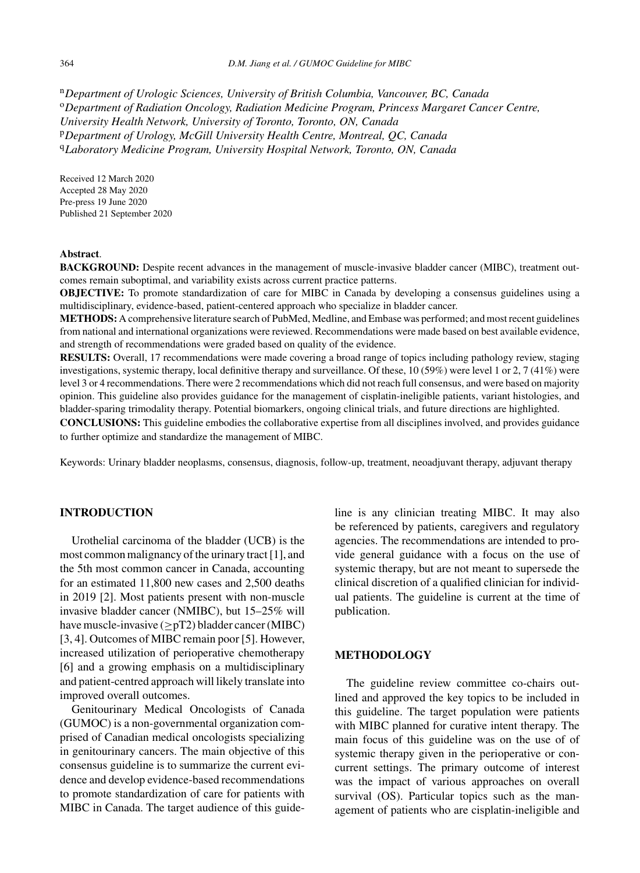<sup>n</sup>*Department of Urologic Sciences, University of British Columbia, Vancouver, BC, Canada* <sup>o</sup>*Department of Radiation Oncology, Radiation Medicine Program, Princess Margaret Cancer Centre, University Health Network, University of Toronto, Toronto, ON, Canada* <sup>p</sup>*Department of Urology, McGill University Health Centre, Montreal, QC, Canada* <sup>q</sup>*Laboratory Medicine Program, University Hospital Network, Toronto, ON, Canada*

Received 12 March 2020 Accepted 28 May 2020 Pre-press 19 June 2020 Published 21 September 2020

#### **Abstract**.

**BACKGROUND:** Despite recent advances in the management of muscle-invasive bladder cancer (MIBC), treatment outcomes remain suboptimal, and variability exists across current practice patterns.

**OBJECTIVE:** To promote standardization of care for MIBC in Canada by developing a consensus guidelines using a multidisciplinary, evidence-based, patient-centered approach who specialize in bladder cancer.

**METHODS:** A comprehensive literature search of PubMed, Medline, and Embase was performed; and most recent guidelines from national and international organizations were reviewed. Recommendations were made based on best available evidence, and strength of recommendations were graded based on quality of the evidence.

**RESULTS:** Overall, 17 recommendations were made covering a broad range of topics including pathology review, staging investigations, systemic therapy, local definitive therapy and surveillance. Of these, 10 (59%) were level 1 or 2, 7 (41%) were level 3 or 4 recommendations. There were 2 recommendations which did not reach full consensus, and were based on majority opinion. This guideline also provides guidance for the management of cisplatin-ineligible patients, variant histologies, and bladder-sparing trimodality therapy. Potential biomarkers, ongoing clinical trials, and future directions are highlighted.

**CONCLUSIONS:** This guideline embodies the collaborative expertise from all disciplines involved, and provides guidance to further optimize and standardize the management of MIBC.

Keywords: Urinary bladder neoplasms, consensus, diagnosis, follow-up, treatment, neoadjuvant therapy, adjuvant therapy

#### **INTRODUCTION**

Urothelial carcinoma of the bladder (UCB) is the most common malignancy of the urinary tract [1], and the 5th most common cancer in Canada, accounting for an estimated 11,800 new cases and 2,500 deaths in 2019 [2]. Most patients present with non-muscle invasive bladder cancer (NMIBC), but 15–25% will have muscle-invasive  $(>pT2)$  bladder cancer (MIBC) [3, 4]. Outcomes of MIBC remain poor [5]. However, increased utilization of perioperative chemotherapy [6] and a growing emphasis on a multidisciplinary and patient-centred approach will likely translate into improved overall outcomes.

Genitourinary Medical Oncologists of Canada (GUMOC) is a non-governmental organization comprised of Canadian medical oncologists specializing in genitourinary cancers. The main objective of this consensus guideline is to summarize the current evidence and develop evidence-based recommendations to promote standardization of care for patients with MIBC in Canada. The target audience of this guideline is any clinician treating MIBC. It may also be referenced by patients, caregivers and regulatory agencies. The recommendations are intended to provide general guidance with a focus on the use of systemic therapy, but are not meant to supersede the clinical discretion of a qualified clinician for individual patients. The guideline is current at the time of publication.

#### **METHODOLOGY**

The guideline review committee co-chairs outlined and approved the key topics to be included in this guideline. The target population were patients with MIBC planned for curative intent therapy. The main focus of this guideline was on the use of of systemic therapy given in the perioperative or concurrent settings. The primary outcome of interest was the impact of various approaches on overall survival (OS). Particular topics such as the management of patients who are cisplatin-ineligible and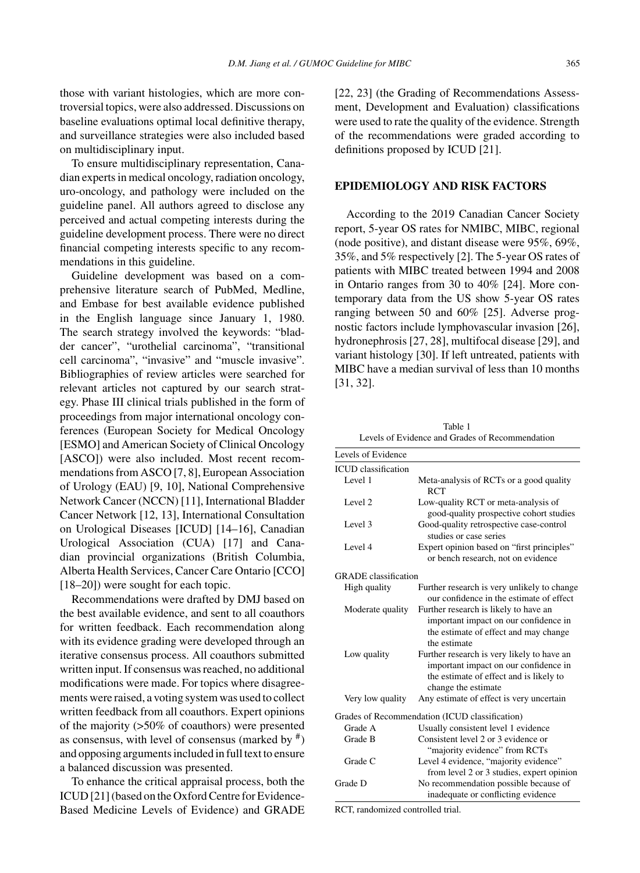those with variant histologies, which are more controversial topics, were also addressed. Discussions on baseline evaluations optimal local definitive therapy, and surveillance strategies were also included based on multidisciplinary input.

To ensure multidisciplinary representation, Canadian experts in medical oncology, radiation oncology, uro-oncology, and pathology were included on the guideline panel. All authors agreed to disclose any perceived and actual competing interests during the guideline development process. There were no direct financial competing interests specific to any recommendations in this guideline.

Guideline development was based on a comprehensive literature search of PubMed, Medline, and Embase for best available evidence published in the English language since January 1, 1980. The search strategy involved the keywords: "bladder cancer", "urothelial carcinoma", "transitional cell carcinoma", "invasive" and "muscle invasive". Bibliographies of review articles were searched for relevant articles not captured by our search strategy. Phase III clinical trials published in the form of proceedings from major international oncology conferences (European Society for Medical Oncology [ESMO] and American Society of Clinical Oncology [ASCO]) were also included. Most recent recommendations from ASCO [7, 8], European Association of Urology (EAU) [9, 10], National Comprehensive Network Cancer (NCCN) [11], International Bladder Cancer Network [12, 13], International Consultation on Urological Diseases [ICUD] [14–16], Canadian Urological Association (CUA) [17] and Canadian provincial organizations (British Columbia, Alberta Health Services, Cancer Care Ontario [CCO] [18–20]) were sought for each topic.

Recommendations were drafted by DMJ based on the best available evidence, and sent to all coauthors for written feedback. Each recommendation along with its evidence grading were developed through an iterative consensus process. All coauthors submitted written input. If consensus was reached, no additional modifications were made. For topics where disagreements were raised, a voting system was used to collect written feedback from all coauthors. Expert opinions of the majority (>50% of coauthors) were presented as consensus, with level of consensus (marked by  $\#$ ) and opposing arguments included in full text to ensure a balanced discussion was presented.

To enhance the critical appraisal process, both the ICUD [21] (based on the Oxford Centre for Evidence-Based Medicine Levels of Evidence) and GRADE [22, 23] (the Grading of Recommendations Assessment, Development and Evaluation) classifications were used to rate the quality of the evidence. Strength of the recommendations were graded according to definitions proposed by ICUD [21].

#### **EPIDEMIOLOGY AND RISK FACTORS**

According to the 2019 Canadian Cancer Society report, 5-year OS rates for NMIBC, MIBC, regional (node positive), and distant disease were 95%, 69%, 35%, and 5% respectively [2]. The 5-year OS rates of patients with MIBC treated between 1994 and 2008 in Ontario ranges from 30 to 40% [24]. More contemporary data from the US show 5-year OS rates ranging between 50 and 60% [25]. Adverse prognostic factors include lymphovascular invasion [26], hydronephrosis [27, 28], multifocal disease [29], and variant histology [30]. If left untreated, patients with MIBC have a median survival of less than 10 months [31, 32].

Table 1 Levels of Evidence and Grades of Recommendation

| Levels of Evidence          |                                                                                                                                                       |
|-----------------------------|-------------------------------------------------------------------------------------------------------------------------------------------------------|
| <b>ICUD</b> classification  |                                                                                                                                                       |
| Level 1                     | Meta-analysis of RCTs or a good quality<br><b>RCT</b>                                                                                                 |
| Level 2                     | Low-quality RCT or meta-analysis of<br>good-quality prospective cohort studies                                                                        |
| Level 3                     | Good-quality retrospective case-control<br>studies or case series                                                                                     |
| Level 4                     | Expert opinion based on "first principles"<br>or bench research, not on evidence                                                                      |
| <b>GRADE</b> classification |                                                                                                                                                       |
| High quality                | Further research is very unlikely to change<br>our confidence in the estimate of effect                                                               |
| Moderate quality            | Further research is likely to have an<br>important impact on our confidence in<br>the estimate of effect and may change<br>the estimate               |
| Low quality                 | Further research is very likely to have an<br>important impact on our confidence in<br>the estimate of effect and is likely to<br>change the estimate |
| Very low quality            | Any estimate of effect is very uncertain                                                                                                              |
|                             | Grades of Recommendation (ICUD classification)                                                                                                        |
| Grade A                     | Usually consistent level 1 evidence                                                                                                                   |
| Grade B                     | Consistent level 2 or 3 evidence or<br>"majority evidence" from RCTs                                                                                  |
| Grade C                     | Level 4 evidence, "majority evidence"<br>from level 2 or 3 studies, expert opinion                                                                    |
| Grade D                     | No recommendation possible because of<br>inadequate or conflicting evidence                                                                           |

RCT, randomized controlled trial.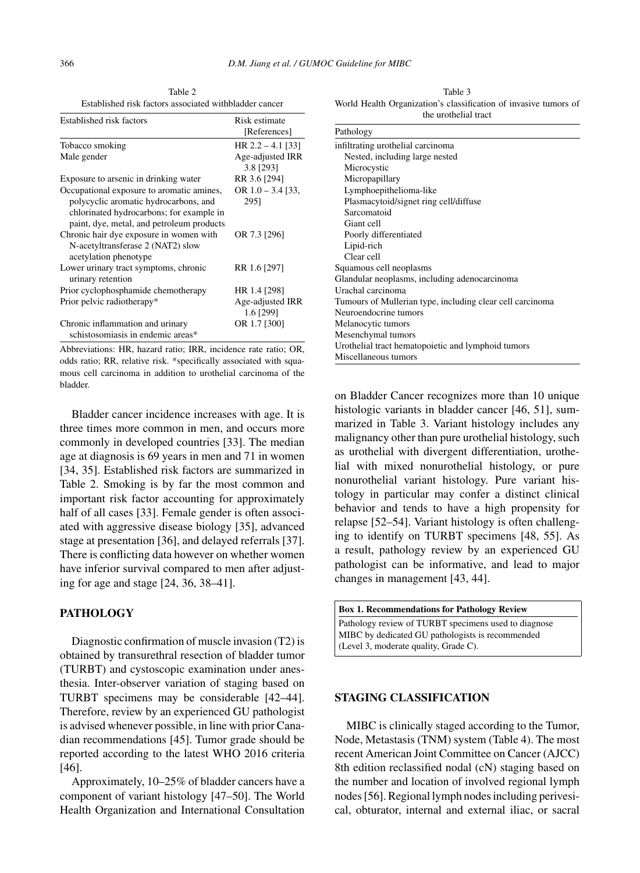Table 2 Established risk factors associated withbladder cancer

| Established risk factors                                                                                                                                                    | Risk estimate<br>[References] |
|-----------------------------------------------------------------------------------------------------------------------------------------------------------------------------|-------------------------------|
|                                                                                                                                                                             |                               |
| Tobacco smoking                                                                                                                                                             | HR $2.2 - 4.1$ [33]           |
| Male gender                                                                                                                                                                 | Age-adjusted IRR<br>3.8 [293] |
| Exposure to arsenic in drinking water                                                                                                                                       | RR 3.6 [294]                  |
| Occupational exposure to aromatic amines,<br>polycyclic aromatic hydrocarbons, and<br>chlorinated hydrocarbons; for example in<br>paint, dye, metal, and petroleum products | OR $1.0 - 3.4$ [33,<br>2951   |
| Chronic hair dye exposure in women with<br>N-acetyltransferase 2 (NAT2) slow<br>acetylation phenotype                                                                       | OR 7.3 [296]                  |
| Lower urinary tract symptoms, chronic<br>urinary retention                                                                                                                  | RR 1.6 [297]                  |
| Prior cyclophosphamide chemotherapy                                                                                                                                         | HR 1.4 [298]                  |
| Prior pelvic radiotherapy*                                                                                                                                                  | Age-adjusted IRR<br>1.6 [299] |
| Chronic inflammation and urinary<br>schistosomiasis in endemic areas*                                                                                                       | OR 1.7 [300]                  |

Abbreviations: HR, hazard ratio; IRR, incidence rate ratio; OR, odds ratio; RR, relative risk. \*specifically associated with squamous cell carcinoma in addition to urothelial carcinoma of the bladder.

Bladder cancer incidence increases with age. It is three times more common in men, and occurs more commonly in developed countries [33]. The median age at diagnosis is 69 years in men and 71 in women [34, 35]. Established risk factors are summarized in Table 2. Smoking is by far the most common and important risk factor accounting for approximately half of all cases [33]. Female gender is often associated with aggressive disease biology [35], advanced stage at presentation [36], and delayed referrals [37]. There is conflicting data however on whether women have inferior survival compared to men after adjusting for age and stage [24, 36, 38–41].

#### **PATHOLOGY**

Diagnostic confirmation of muscle invasion (T2) is obtained by transurethral resection of bladder tumor (TURBT) and cystoscopic examination under anesthesia. Inter-observer variation of staging based on TURBT specimens may be considerable [42–44]. Therefore, review by an experienced GU pathologist is advised whenever possible, in line with prior Canadian recommendations [45]. Tumor grade should be reported according to the latest WHO 2016 criteria [46].

Approximately, 10–25% of bladder cancers have a component of variant histology [47–50]. The World Health Organization and International Consultation

Table 3 World Health Organization's classification of invasive tumors of the urothelial tract

| Pathology<br>infiltrating urothelial carcinoma<br>Nested, including large nested<br>Microcystic<br>Micropapillary<br>Lymphoepithelioma-like |
|---------------------------------------------------------------------------------------------------------------------------------------------|
|                                                                                                                                             |
|                                                                                                                                             |
|                                                                                                                                             |
|                                                                                                                                             |
|                                                                                                                                             |
|                                                                                                                                             |
| Plasmacytoid/signet ring cell/diffuse                                                                                                       |
| Sarcomatoid                                                                                                                                 |
| Giant cell                                                                                                                                  |
| Poorly differentiated                                                                                                                       |
| Lipid-rich                                                                                                                                  |
| Clear cell                                                                                                                                  |
| Squamous cell neoplasms                                                                                                                     |
| Glandular neoplasms, including adenocarcinoma                                                                                               |
| Urachal carcinoma                                                                                                                           |
| Tumours of Mullerian type, including clear cell carcinoma                                                                                   |
| Neuroendocrine tumors                                                                                                                       |
| Melanocytic tumors                                                                                                                          |
| Mesenchymal tumors                                                                                                                          |
| Urothelial tract hematopoietic and lymphoid tumors                                                                                          |
| Miscellaneous tumors                                                                                                                        |

on Bladder Cancer recognizes more than 10 unique histologic variants in bladder cancer [46, 51], summarized in Table 3. Variant histology includes any malignancy other than pure urothelial histology, such as urothelial with divergent differentiation, urothelial with mixed nonurothelial histology, or pure nonurothelial variant histology. Pure variant histology in particular may confer a distinct clinical behavior and tends to have a high propensity for relapse [52–54]. Variant histology is often challenging to identify on TURBT specimens [48, 55]. As a result, pathology review by an experienced GU pathologist can be informative, and lead to major changes in management [43, 44].

| <b>Box 1. Recommendations for Pathology Review</b>   |
|------------------------------------------------------|
| Pathology review of TURBT specimens used to diagnose |
| MIBC by dedicated GU pathologists is recommended     |
| (Level 3, moderate quality, Grade C).                |

#### **STAGING CLASSIFICATION**

MIBC is clinically staged according to the Tumor, Node, Metastasis (TNM) system (Table 4). The most recent American Joint Committee on Cancer (AJCC) 8th edition reclassified nodal (cN) staging based on the number and location of involved regional lymph nodes [56]. Regional lymph nodes including perivesical, obturator, internal and external iliac, or sacral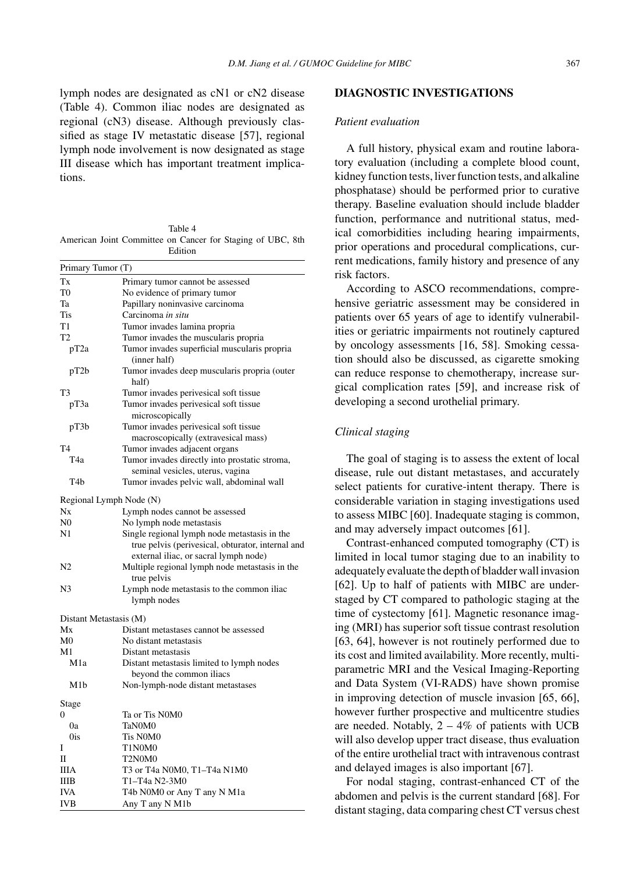lymph nodes are designated as cN1 or cN2 disease (Table 4). Common iliac nodes are designated as regional (cN3) disease. Although previously classified as stage IV metastatic disease [57], regional lymph node involvement is now designated as stage III disease which has important treatment implications.

Table 4 American Joint Committee on Cancer for Staging of UBC, 8th Edition

| Primary Tumor (T)       |                                                               |
|-------------------------|---------------------------------------------------------------|
| Tx                      | Primary tumor cannot be assessed                              |
| T <sub>0</sub>          | No evidence of primary tumor                                  |
| Ta                      | Papillary noninvasive carcinoma                               |
| Tis                     | Carcinoma in situ                                             |
| T1                      | Tumor invades lamina propria                                  |
| T2                      | Tumor invades the muscularis propria                          |
| pT <sub>2a</sub>        | Tumor invades superficial muscularis propria<br>(inner half)  |
| pT2b                    | Tumor invades deep muscularis propria (outer<br>half)         |
| T3                      | Tumor invades perivesical soft tissue                         |
| рТЗа                    | Tumor invades perivesical soft tissue<br>microscopically      |
| pT3b                    | Tumor invades perivesical soft tissue                         |
|                         | macroscopically (extravesical mass)                           |
| T4                      | Tumor invades adjacent organs                                 |
| T4a                     | Tumor invades directly into prostatic stroma,                 |
|                         | seminal vesicles, uterus, vagina                              |
| T <sub>4</sub> b        | Tumor invades pelvic wall, abdominal wall                     |
| Regional Lymph Node (N) |                                                               |
| Nx                      | Lymph nodes cannot be assessed                                |
| $_{\rm N0}$             | No lymph node metastasis                                      |
| N1                      | Single regional lymph node metastasis in the                  |
|                         | true pelvis (perivesical, obturator, internal and             |
|                         | external iliac, or sacral lymph node)                         |
| N2                      | Multiple regional lymph node metastasis in the<br>true pelvis |
| N3                      | Lymph node metastasis to the common iliac                     |
|                         | lymph nodes                                                   |
| Distant Metastasis (M)  |                                                               |
| Mx                      | Distant metastases cannot be assessed                         |
| M <sub>0</sub>          | No distant metastasis                                         |
| M1                      | Distant metastasis                                            |
| M1a                     | Distant metastasis limited to lymph nodes                     |
|                         | beyond the common iliacs                                      |
| M1b                     | Non-lymph-node distant metastases                             |
| Stage                   |                                                               |
| 0                       | Ta or Tis N0M0                                                |
| 0a                      | TaN0M0                                                        |
| 0is                     | Tis N0M0                                                      |
| Ι                       | T1N0M0                                                        |
| П                       | T2N0M0                                                        |
| ШA                      | T3 or T4a N0M0, T1-T4a N1M0                                   |
| IIIB                    | T1-T4a N2-3M0                                                 |
| IVA                     | T4b N0M0 or Any T any N M1a                                   |
| IVB                     | Any T any N M1b                                               |

#### **DIAGNOSTIC INVESTIGATIONS**

#### *Patient evaluation*

A full history, physical exam and routine laboratory evaluation (including a complete blood count, kidney function tests, liver function tests, and alkaline phosphatase) should be performed prior to curative therapy. Baseline evaluation should include bladder function, performance and nutritional status, medical comorbidities including hearing impairments, prior operations and procedural complications, current medications, family history and presence of any risk factors.

According to ASCO recommendations, comprehensive geriatric assessment may be considered in patients over 65 years of age to identify vulnerabilities or geriatric impairments not routinely captured by oncology assessments [16, 58]. Smoking cessation should also be discussed, as cigarette smoking can reduce response to chemotherapy, increase surgical complication rates [59], and increase risk of developing a second urothelial primary.

# *Clinical staging*

The goal of staging is to assess the extent of local disease, rule out distant metastases, and accurately select patients for curative-intent therapy. There is considerable variation in staging investigations used to assess MIBC [60]. Inadequate staging is common, and may adversely impact outcomes [61].

Contrast-enhanced computed tomography (CT) is limited in local tumor staging due to an inability to adequately evaluate the depth of bladder wall invasion [62]. Up to half of patients with MIBC are understaged by CT compared to pathologic staging at the time of cystectomy [61]. Magnetic resonance imaging (MRI) has superior soft tissue contrast resolution [63, 64], however is not routinely performed due to its cost and limited availability. More recently, multiparametric MRI and the Vesical Imaging-Reporting and Data System (VI-RADS) have shown promise in improving detection of muscle invasion [65, 66], however further prospective and multicentre studies are needed. Notably,  $2 - 4\%$  of patients with UCB will also develop upper tract disease, thus evaluation of the entire urothelial tract with intravenous contrast and delayed images is also important [67].

For nodal staging, contrast-enhanced CT of the abdomen and pelvis is the current standard [68]. For distant staging, data comparing chest CT versus chest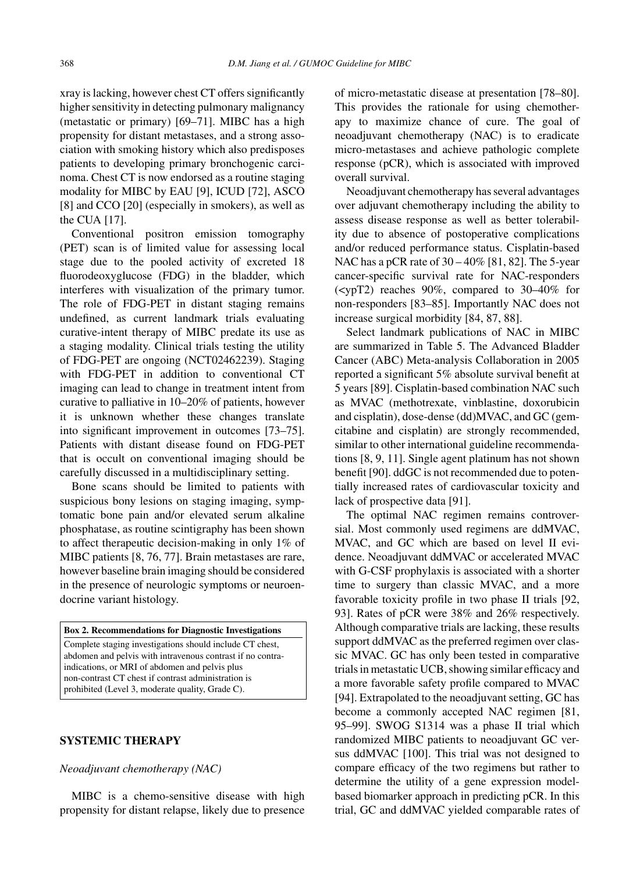xray is lacking, however chest CT offers significantly higher sensitivity in detecting pulmonary malignancy (metastatic or primary) [69–71]. MIBC has a high propensity for distant metastases, and a strong association with smoking history which also predisposes patients to developing primary bronchogenic carcinoma. Chest CT is now endorsed as a routine staging modality for MIBC by EAU [9], ICUD [72], ASCO [8] and CCO [20] (especially in smokers), as well as the CUA [17].

Conventional positron emission tomography (PET) scan is of limited value for assessing local stage due to the pooled activity of excreted 18 fluorodeoxyglucose (FDG) in the bladder, which interferes with visualization of the primary tumor. The role of FDG-PET in distant staging remains undefined, as current landmark trials evaluating curative-intent therapy of MIBC predate its use as a staging modality. Clinical trials testing the utility of FDG-PET are ongoing (NCT02462239). Staging with FDG-PET in addition to conventional CT imaging can lead to change in treatment intent from curative to palliative in 10–20% of patients, however it is unknown whether these changes translate into significant improvement in outcomes [73–75]. Patients with distant disease found on FDG-PET that is occult on conventional imaging should be carefully discussed in a multidisciplinary setting.

Bone scans should be limited to patients with suspicious bony lesions on staging imaging, symptomatic bone pain and/or elevated serum alkaline phosphatase, as routine scintigraphy has been shown to affect therapeutic decision-making in only 1% of MIBC patients [8, 76, 77]. Brain metastases are rare, however baseline brain imaging should be considered in the presence of neurologic symptoms or neuroendocrine variant histology.

**Box 2. Recommendations for Diagnostic Investigations** Complete staging investigations should include CT chest, abdomen and pelvis with intravenous contrast if no contraindications, or MRI of abdomen and pelvis plus non-contrast CT chest if contrast administration is prohibited (Level 3, moderate quality, Grade C).

# **SYSTEMIC THERAPY**

# *Neoadjuvant chemotherapy (NAC)*

MIBC is a chemo-sensitive disease with high propensity for distant relapse, likely due to presence of micro-metastatic disease at presentation [78–80]. This provides the rationale for using chemotherapy to maximize chance of cure. The goal of neoadjuvant chemotherapy (NAC) is to eradicate micro-metastases and achieve pathologic complete response (pCR), which is associated with improved overall survival.

Neoadjuvant chemotherapy has several advantages over adjuvant chemotherapy including the ability to assess disease response as well as better tolerability due to absence of postoperative complications and/or reduced performance status. Cisplatin-based NAC has a pCR rate of 30 – 40% [81, 82]. The 5-year cancer-specific survival rate for NAC-responders (<ypT2) reaches 90%, compared to 30–40% for non-responders [83–85]. Importantly NAC does not increase surgical morbidity [84, 87, 88].

Select landmark publications of NAC in MIBC are summarized in Table 5. The Advanced Bladder Cancer (ABC) Meta-analysis Collaboration in 2005 reported a significant 5% absolute survival benefit at 5 years [89]. Cisplatin-based combination NAC such as MVAC (methotrexate, vinblastine, doxorubicin and cisplatin), dose-dense (dd)MVAC, and GC (gemcitabine and cisplatin) are strongly recommended, similar to other international guideline recommendations [8, 9, 11]. Single agent platinum has not shown benefit [90]. ddGC is not recommended due to potentially increased rates of cardiovascular toxicity and lack of prospective data [91].

The optimal NAC regimen remains controversial. Most commonly used regimens are ddMVAC, MVAC, and GC which are based on level II evidence. Neoadjuvant ddMVAC or accelerated MVAC with G-CSF prophylaxis is associated with a shorter time to surgery than classic MVAC, and a more favorable toxicity profile in two phase II trials [92, 93]. Rates of pCR were 38% and 26% respectively. Although comparative trials are lacking, these results support ddMVAC as the preferred regimen over classic MVAC. GC has only been tested in comparative trials in metastatic UCB, showing similar efficacy and a more favorable safety profile compared to MVAC [94]. Extrapolated to the neoadjuvant setting, GC has become a commonly accepted NAC regimen [81, 95–99]. SWOG S1314 was a phase II trial which randomized MIBC patients to neoadjuvant GC versus ddMVAC [100]. This trial was not designed to compare efficacy of the two regimens but rather to determine the utility of a gene expression modelbased biomarker approach in predicting pCR. In this trial, GC and ddMVAC yielded comparable rates of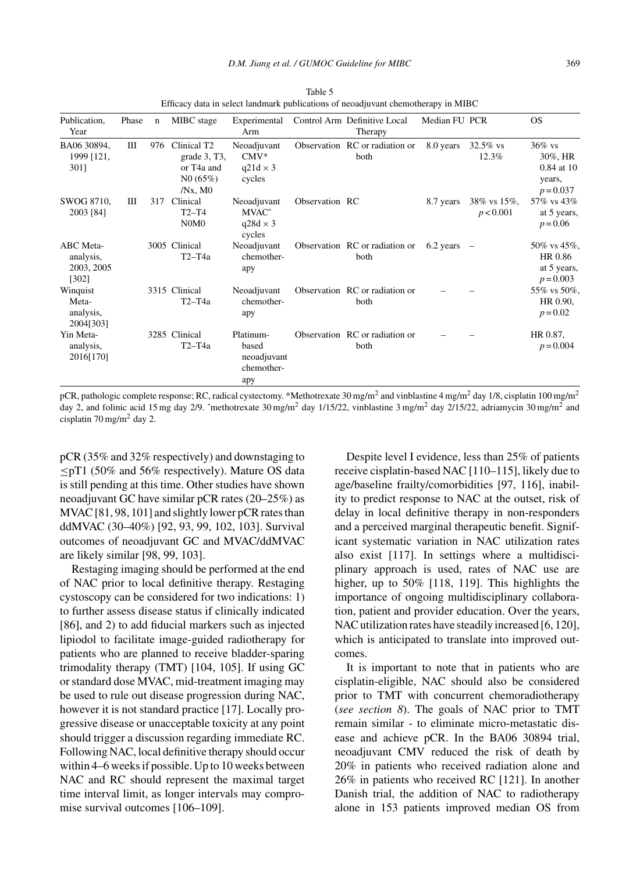| Publication,<br>Year                          | Phase | $\mathbf n$ | MIBC stage                                                                                     | Experimental<br>Arm                                           |                | Control Arm Definitive Local<br>Therapy | Median FU PCR |                          | OS.                                                         |
|-----------------------------------------------|-------|-------------|------------------------------------------------------------------------------------------------|---------------------------------------------------------------|----------------|-----------------------------------------|---------------|--------------------------|-------------------------------------------------------------|
| BA06 30894,<br>1999 [121,<br>3011             | Ш     | 976         | Clinical T <sub>2</sub><br>grade 3, T3,<br>or T <sub>4</sub> a and<br>N0(65%)<br>$/Nx$ , M $0$ | Neoadjuvant<br>$CMV^*$<br>$q21d \times 3$<br>cycles           |                | Observation RC or radiation or<br>both  | 8.0 years     | $32.5\%$ vs<br>12.3%     | $36\%$ vs<br>30%, HR<br>0.84 at 10<br>years,<br>$p = 0.037$ |
| SWOG 8710,<br>2003 [84]                       | Ш     | 317         | Clinical<br>$T2-T4$<br>N0M0                                                                    | Neoadjuvant<br>MVAC <sup>^</sup><br>$q28d \times 3$<br>cycles | Observation RC |                                         | 8.7 years     | 38% vs 15%,<br>p < 0.001 | 57% vs 43%<br>at 5 years,<br>$p = 0.06$                     |
| ABC Meta-<br>analysis,<br>2003, 2005<br>[302] |       |             | 3005 Clinical<br>$T2-T4a$                                                                      | Neoadjuvant<br>chemother-<br>apy                              |                | Observation RC or radiation or<br>both  | 6.2 years     |                          | 50% vs 45%,<br>HR 0.86<br>at 5 years,<br>$p = 0.003$        |
| Winquist<br>Meta-<br>analysis,<br>2004[303]   |       |             | 3315 Clinical<br>$T2-T4a$                                                                      | Neoadjuvant<br>chemother-<br>apy                              |                | Observation RC or radiation or<br>both  |               |                          | 55% vs 50%,<br>HR 0.90,<br>$p = 0.02$                       |
| Yin Meta-<br>analysis,<br>2016[170]           |       |             | 3285 Clinical<br>T2-T4a                                                                        | Platinum-<br>based<br>neoadjuvant<br>chemother-<br>apy        |                | Observation RC or radiation or<br>both  |               |                          | HR 0.87.<br>$p = 0.004$                                     |

Table 5 Efficacy data in select landmark publications of neoadjuvant chemotherapy in MIBC

pCR, pathologic complete response; RC, radical cystectomy. \*Methotrexate 30 mg/m<sup>2</sup> and vinblastine 4 mg/m<sup>2</sup> day 1/8, cisplatin 100 mg/m<sup>2</sup> day 2, and folinic acid 15 mg day 2/9. ^methotrexate 30 mg/m<sup>2</sup> day 1/15/22, vinblastine 3 mg/m<sup>2</sup> day 2/15/22, adriamycin 30 mg/m<sup>2</sup> and cisplatin  $70 \text{ mg/m}^2$  day 2.

pCR (35% and 32% respectively) and downstaging to ≤pT1 (50% and 56% respectively). Mature OS data is still pending at this time. Other studies have shown neoadjuvant GC have similar pCR rates (20–25%) as MVAC [81, 98, 101] and slightly lower pCR rates than ddMVAC (30–40%) [92, 93, 99, 102, 103]. Survival outcomes of neoadjuvant GC and MVAC/ddMVAC are likely similar [98, 99, 103].

Restaging imaging should be performed at the end of NAC prior to local definitive therapy. Restaging cystoscopy can be considered for two indications: 1) to further assess disease status if clinically indicated [86], and 2) to add fiducial markers such as injected lipiodol to facilitate image-guided radiotherapy for patients who are planned to receive bladder-sparing trimodality therapy (TMT) [104, 105]. If using GC or standard dose MVAC, mid-treatment imaging may be used to rule out disease progression during NAC, however it is not standard practice [17]. Locally progressive disease or unacceptable toxicity at any point should trigger a discussion regarding immediate RC. Following NAC, local definitive therapy should occur within 4–6 weeks if possible. Up to 10 weeks between NAC and RC should represent the maximal target time interval limit, as longer intervals may compromise survival outcomes [106–109].

Despite level I evidence, less than 25% of patients receive cisplatin-based NAC [110–115], likely due to age/baseline frailty/comorbidities [97, 116], inability to predict response to NAC at the outset, risk of delay in local definitive therapy in non-responders and a perceived marginal therapeutic benefit. Significant systematic variation in NAC utilization rates also exist [117]. In settings where a multidisciplinary approach is used, rates of NAC use are higher, up to 50% [118, 119]. This highlights the importance of ongoing multidisciplinary collaboration, patient and provider education. Over the years, NAC utilization rates have steadily increased [6, 120], which is anticipated to translate into improved outcomes.

It is important to note that in patients who are cisplatin-eligible, NAC should also be considered prior to TMT with concurrent chemoradiotherapy (*see section 8*). The goals of NAC prior to TMT remain similar - to eliminate micro-metastatic disease and achieve pCR. In the BA06 30894 trial, neoadjuvant CMV reduced the risk of death by 20% in patients who received radiation alone and 26% in patients who received RC [121]. In another Danish trial, the addition of NAC to radiotherapy alone in 153 patients improved median OS from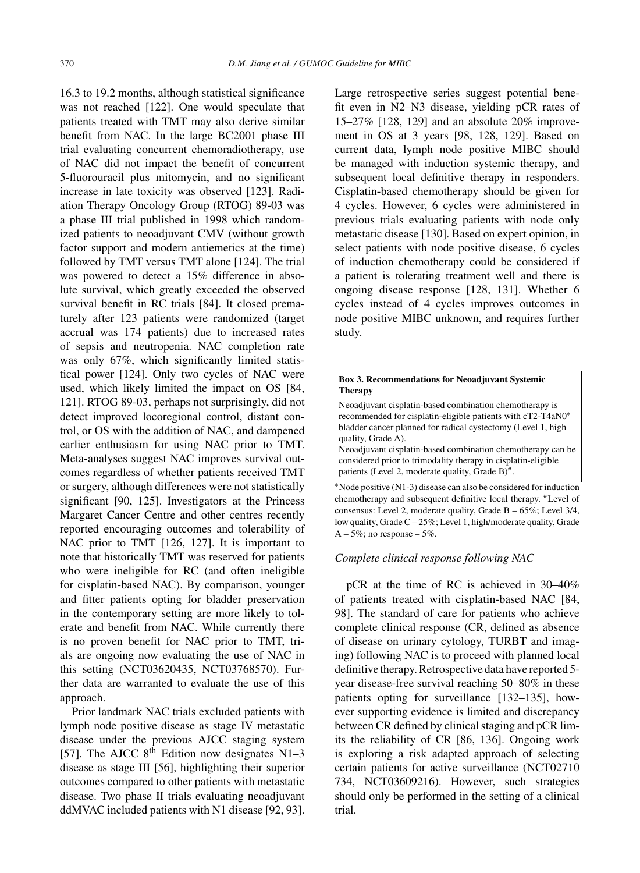16.3 to 19.2 months, although statistical significance was not reached [122]. One would speculate that patients treated with TMT may also derive similar benefit from NAC. In the large BC2001 phase III trial evaluating concurrent chemoradiotherapy, use of NAC did not impact the benefit of concurrent 5-fluorouracil plus mitomycin, and no significant increase in late toxicity was observed [123]. Radiation Therapy Oncology Group (RTOG) 89-03 was a phase III trial published in 1998 which randomized patients to neoadjuvant CMV (without growth factor support and modern antiemetics at the time) followed by TMT versus TMT alone [124]. The trial was powered to detect a 15% difference in absolute survival, which greatly exceeded the observed survival benefit in RC trials [84]. It closed prematurely after 123 patients were randomized (target accrual was 174 patients) due to increased rates of sepsis and neutropenia. NAC completion rate was only 67%, which significantly limited statistical power [124]. Only two cycles of NAC were used, which likely limited the impact on OS [84, 121]. RTOG 89-03, perhaps not surprisingly, did not detect improved locoregional control, distant control, or OS with the addition of NAC, and dampened earlier enthusiasm for using NAC prior to TMT. Meta-analyses suggest NAC improves survival outcomes regardless of whether patients received TMT or surgery, although differences were not statistically significant [90, 125]. Investigators at the Princess Margaret Cancer Centre and other centres recently reported encouraging outcomes and tolerability of NAC prior to TMT [126, 127]. It is important to note that historically TMT was reserved for patients who were ineligible for RC (and often ineligible for cisplatin-based NAC). By comparison, younger and fitter patients opting for bladder preservation in the contemporary setting are more likely to tolerate and benefit from NAC. While currently there is no proven benefit for NAC prior to TMT, trials are ongoing now evaluating the use of NAC in this setting (NCT03620435, NCT03768570). Further data are warranted to evaluate the use of this approach.

Prior landmark NAC trials excluded patients with lymph node positive disease as stage IV metastatic disease under the previous AJCC staging system [57]. The AJCC  $8^{th}$  Edition now designates N1-3 disease as stage III [56], highlighting their superior outcomes compared to other patients with metastatic disease. Two phase II trials evaluating neoadjuvant ddMVAC included patients with N1 disease [92, 93]. Large retrospective series suggest potential benefit even in N2–N3 disease, yielding pCR rates of 15–27% [128, 129] and an absolute 20% improvement in OS at 3 years [98, 128, 129]. Based on current data, lymph node positive MIBC should be managed with induction systemic therapy, and subsequent local definitive therapy in responders. Cisplatin-based chemotherapy should be given for 4 cycles. However, 6 cycles were administered in previous trials evaluating patients with node only metastatic disease [130]. Based on expert opinion, in select patients with node positive disease, 6 cycles of induction chemotherapy could be considered if a patient is tolerating treatment well and there is ongoing disease response [128, 131]. Whether 6 cycles instead of 4 cycles improves outcomes in node positive MIBC unknown, and requires further study.

| <b>Box 3. Recommendations for Neoadjuvant Systemic</b><br><b>Therapy</b>                                                                                                                        |
|-------------------------------------------------------------------------------------------------------------------------------------------------------------------------------------------------|
| Neoadjuvant cisplatin-based combination chemotherapy is<br>recommended for cisplatin-eligible patients with cT2-T4aN0*                                                                          |
| bladder cancer planned for radical cystectomy (Level 1, high<br>quality, Grade A).                                                                                                              |
| Neoadjuvant cisplatin-based combination chemotherapy can be<br>considered prior to trimodality therapy in cisplatin-eligible<br>patients (Level 2, moderate quality, Grade $B$ ) <sup>#</sup> . |
| *Node positive (N1-3) disease can also be considered for induction                                                                                                                              |
| chemotherapy and subsequent definitive local therapy. <sup>#</sup> Level of<br>consensus: Level 2, moderate quality, Grade $B - 65\%$ ; Level 3/4,                                              |

low quality, Grade C – 25%; Level 1, high/moderate quality, Grade

#### *Complete clinical response following NAC*

 $A - 5\%$ ; no response  $-5\%$ .

pCR at the time of RC is achieved in 30–40% of patients treated with cisplatin-based NAC [84, 98]. The standard of care for patients who achieve complete clinical response (CR, defined as absence of disease on urinary cytology, TURBT and imaging) following NAC is to proceed with planned local definitive therapy. Retrospective data have reported 5 year disease-free survival reaching 50–80% in these patients opting for surveillance [132–135], however supporting evidence is limited and discrepancy between CR defined by clinical staging and pCR limits the reliability of CR [86, 136]. Ongoing work is exploring a risk adapted approach of selecting certain patients for active surveillance (NCT02710 734, NCT03609216). However, such strategies should only be performed in the setting of a clinical trial.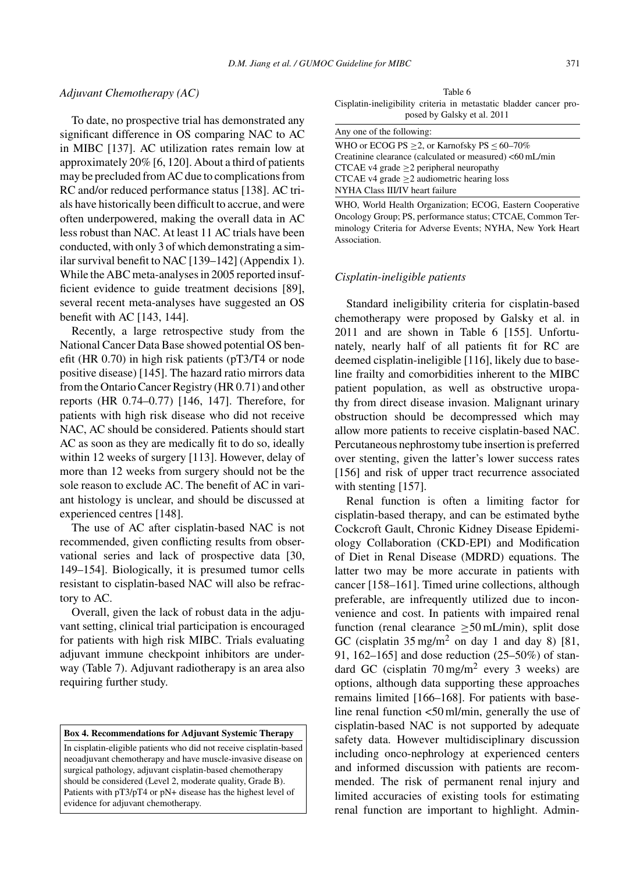# *Adjuvant Chemotherapy (AC)*

To date, no prospective trial has demonstrated any significant difference in OS comparing NAC to AC in MIBC [137]. AC utilization rates remain low at approximately 20% [6, 120]. About a third of patients may be precluded from AC due to complications from RC and/or reduced performance status [138]. AC trials have historically been difficult to accrue, and were often underpowered, making the overall data in AC less robust than NAC. At least 11 AC trials have been conducted, with only 3 of which demonstrating a similar survival benefit to NAC [139–142] (Appendix 1). While the ABC meta-analyses in 2005 reported insufficient evidence to guide treatment decisions [89], several recent meta-analyses have suggested an OS benefit with AC [143, 144].

Recently, a large retrospective study from the National Cancer Data Base showed potential OS benefit (HR 0.70) in high risk patients (pT3/T4 or node positive disease) [145]. The hazard ratio mirrors data from the Ontario Cancer Registry (HR 0.71) and other reports (HR 0.74–0.77) [146, 147]. Therefore, for patients with high risk disease who did not receive NAC, AC should be considered. Patients should start AC as soon as they are medically fit to do so, ideally within 12 weeks of surgery [113]. However, delay of more than 12 weeks from surgery should not be the sole reason to exclude AC. The benefit of AC in variant histology is unclear, and should be discussed at experienced centres [148].

The use of AC after cisplatin-based NAC is not recommended, given conflicting results from observational series and lack of prospective data [30, 149–154]. Biologically, it is presumed tumor cells resistant to cisplatin-based NAC will also be refractory to AC.

Overall, given the lack of robust data in the adjuvant setting, clinical trial participation is encouraged for patients with high risk MIBC. Trials evaluating adjuvant immune checkpoint inhibitors are underway (Table 7). Adjuvant radiotherapy is an area also requiring further study.

**Box 4. Recommendations for Adjuvant Systemic Therapy**

In cisplatin-eligible patients who did not receive cisplatin-based neoadjuvant chemotherapy and have muscle-invasive disease on surgical pathology, adjuvant cisplatin-based chemotherapy should be considered (Level 2, moderate quality, Grade B). Patients with pT3/pT4 or pN+ disease has the highest level of evidence for adjuvant chemotherapy.

Table 6 Cisplatin-ineligibility criteria in metastatic bladder cancer proposed by Galsky et al. 2011

| Any one of the following:                                |
|----------------------------------------------------------|
| WHO or ECOG PS $\geq$ 2, or Karnofsky PS $\leq$ 60–70%   |
| Creatinine clearance (calculated or measured) <60 mL/min |
| CTCAE v4 grade $\geq$ 2 peripheral neuropathy            |
| CTCAE v4 grade $\geq$ 2 audiometric hearing loss         |
| NYHA Class III/IV heart failure                          |
| WHO World Health Organization: ECOG Eastern Cooperative  |

WHO, World Health Organization; ECOG, Eastern Cooperative Oncology Group; PS, performance status; CTCAE, Common Terminology Criteria for Adverse Events; NYHA, New York Heart Association.

#### *Cisplatin-ineligible patients*

Standard ineligibility criteria for cisplatin-based chemotherapy were proposed by Galsky et al. in 2011 and are shown in Table 6 [155]. Unfortunately, nearly half of all patients fit for RC are deemed cisplatin-ineligible [116], likely due to baseline frailty and comorbidities inherent to the MIBC patient population, as well as obstructive uropathy from direct disease invasion. Malignant urinary obstruction should be decompressed which may allow more patients to receive cisplatin-based NAC. Percutaneous nephrostomy tube insertion is preferred over stenting, given the latter's lower success rates [156] and risk of upper tract recurrence associated with stenting [157].

Renal function is often a limiting factor for cisplatin-based therapy, and can be estimated bythe Cockcroft Gault, Chronic Kidney Disease Epidemiology Collaboration (CKD-EPI) and Modification of Diet in Renal Disease (MDRD) equations. The latter two may be more accurate in patients with cancer [158–161]. Timed urine collections, although preferable, are infrequently utilized due to inconvenience and cost. In patients with impaired renal function (renal clearance  $\geq$  50 mL/min), split dose GC (cisplatin  $35 \text{ mg/m}^2$  on day 1 and day 8) [81, 91, 162–165] and dose reduction (25–50%) of standard GC (cisplatin  $70 \text{ mg/m}^2$  every 3 weeks) are options, although data supporting these approaches remains limited [166–168]. For patients with baseline renal function <50 ml/min, generally the use of cisplatin-based NAC is not supported by adequate safety data. However multidisciplinary discussion including onco-nephrology at experienced centers and informed discussion with patients are recommended. The risk of permanent renal injury and limited accuracies of existing tools for estimating renal function are important to highlight. Admin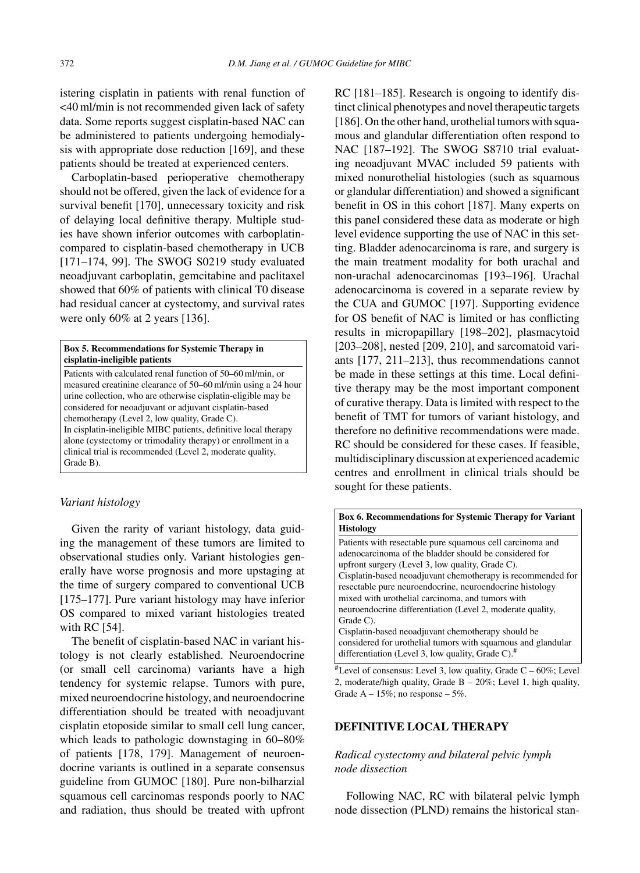istering cisplatin in patients with renal function of <40 ml/min is not recommended given lack of safety data. Some reports suggest cisplatin-based NAC can be administered to patients undergoing hemodialysis with appropriate dose reduction [169], and these patients should be treated at experienced centers.

Carboplatin-based perioperative chemotherapy should not be offered, given the lack of evidence for a survival benefit [170], unnecessary toxicity and risk of delaying local definitive therapy. Multiple studies have shown inferior outcomes with carboplatincompared to cisplatin-based chemotherapy in UCB [171–174, 99]. The SWOG S0219 study evaluated neoadjuvant carboplatin, gemcitabine and paclitaxel showed that 60% of patients with clinical T0 disease had residual cancer at cystectomy, and survival rates were only 60% at 2 years [136].

#### **Box 5. Recommendations for Systemic Therapy in cisplatin-ineligible patients**

Patients with calculated renal function of 50–60 ml/min, or measured creatinine clearance of 50–60 ml/min using a 24 hour urine collection, who are otherwise cisplatin-eligible may be considered for neoadjuvant or adjuvant cisplatin-based chemotherapy (Level 2, low quality, Grade C). In cisplatin-ineligible MIBC patients, definitive local therapy alone (cystectomy or trimodality therapy) or enrollment in a clinical trial is recommended (Level 2, moderate quality, Grade B).

# *Variant histology*

Given the rarity of variant histology, data guiding the management of these tumors are limited to observational studies only. Variant histologies generally have worse prognosis and more upstaging at the time of surgery compared to conventional UCB [175–177]. Pure variant histology may have inferior OS compared to mixed variant histologies treated with RC [54].

The benefit of cisplatin-based NAC in variant histology is not clearly established. Neuroendocrine (or small cell carcinoma) variants have a high tendency for systemic relapse. Tumors with pure, mixed neuroendocrine histology, and neuroendocrine differentiation should be treated with neoadjuvant cisplatin etoposide similar to small cell lung cancer, which leads to pathologic downstaging in 60–80% of patients [178, 179]. Management of neuroendocrine variants is outlined in a separate consensus guideline from GUMOC [180]. Pure non-bilharzial squamous cell carcinomas responds poorly to NAC and radiation, thus should be treated with upfront

RC [181–185]. Research is ongoing to identify distinct clinical phenotypes and novel therapeutic targets [186]. On the other hand, urothelial tumors with squamous and glandular differentiation often respond to NAC [187-192]. The SWOG S8710 trial evaluating neoadjuvant MVAC included 59 patients with mixed nonurothelial histologies (such as squamous or glandular differentiation) and showed a significant benefit in OS in this cohort [187]. Many experts on this panel considered these data as moderate or high level evidence supporting the use of NAC in this setting. Bladder adenocarcinoma is rare, and surgery is the main treatment modality for both urachal and non-urachal adenocarcinomas [193–196]. Urachal adenocarcinoma is covered in a separate review by the CUA and GUMOC [197]. Supporting evidence for OS benefit of NAC is limited or has conflicting results in micropapillary [198–202], plasmacytoid [203–208], nested [209, 210], and sarcomatoid variants [177, 211–213], thus recommendations cannot be made in these settings at this time. Local definitive therapy may be the most important component of curative therapy. Data is limited with respect to the benefit of TMT for tumors of variant histology, and therefore no definitive recommendations were made. RC should be considered for these cases. If feasible, multidisciplinary discussion at experienced academic centres and enrollment in clinical trials should be sought for these patients.

#### **Box 6. Recommendations for Systemic Therapy for Variant Histology**

Patients with resectable pure squamous cell carcinoma and adenocarcinoma of the bladder should be considered for upfront surgery (Level 3, low quality, Grade C). Cisplatin-based neoadjuvant chemotherapy is recommended for resectable pure neuroendocrine, neuroendocrine histology mixed with urothelial carcinoma, and tumors with neuroendocrine differentiation (Level 2, moderate quality, Grade C).

Cisplatin-based neoadjuvant chemotherapy should be considered for urothelial tumors with squamous and glandular differentiation (Level 3, low quality, Grade C).<sup>#</sup>

 $*$ Level of consensus: Level 3, low quality, Grade C – 60%; Level 2, moderate/high quality, Grade B – 20%; Level 1, high quality, Grade  $A - 15\%$ ; no response – 5%.

# **DEFINITIVE LOCAL THERAPY**

# *Radical cystectomy and bilateral pelvic lymph node dissection*

Following NAC, RC with bilateral pelvic lymph node dissection (PLND) remains the historical stan-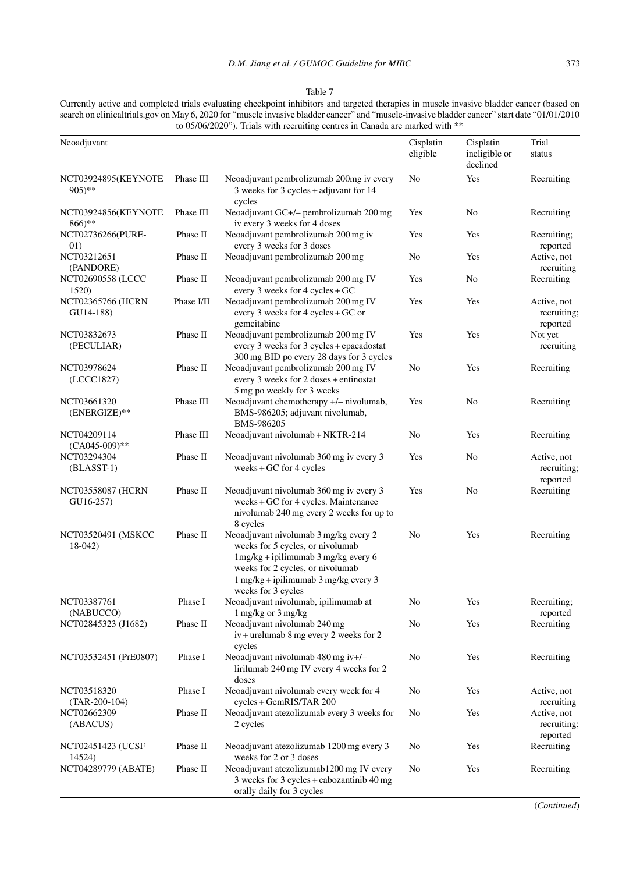#### Table 7

Currently active and completed trials evaluating checkpoint inhibitors and targeted therapies in muscle invasive bladder cancer (based on search on clinicaltrials.gov on May 6, 2020 for "muscle invasive bladder cancer" and "muscle-invasive bladder cancer" start date "01/01/2010 to 05/06/2020"). Trials with recruiting centres in Canada are marked with \*\*

| Neoadjuvant                                |            |                                                                                                                                                                                                                                               | Cisplatin<br>eligible | Cisplatin<br>ineligible or<br>declined | Trial<br>status                        |
|--------------------------------------------|------------|-----------------------------------------------------------------------------------------------------------------------------------------------------------------------------------------------------------------------------------------------|-----------------------|----------------------------------------|----------------------------------------|
| NCT03924895(KEYNOTE<br>$905$ <sup>**</sup> | Phase III  | Neoadjuvant pembrolizumab 200mg iv every<br>3 weeks for 3 cycles + adjuvant for 14                                                                                                                                                            | No                    | Yes                                    | Recruiting                             |
| NCT03924856(KEYNOTE<br>$866$ <sup>**</sup> | Phase III  | cycles<br>Neoadjuvant GC+/- pembrolizumab 200 mg<br>iv every 3 weeks for 4 doses                                                                                                                                                              | Yes                   | No                                     | Recruiting                             |
| NCT02736266(PURE-<br>01)                   | Phase II   | Neoadjuvant pembrolizumab 200 mg iv<br>every 3 weeks for 3 doses                                                                                                                                                                              | Yes                   | Yes                                    | Recruiting;<br>reported                |
| NCT03212651<br>(PANDORE)                   | Phase II   | Neoadjuvant pembrolizumab 200 mg                                                                                                                                                                                                              | N <sub>0</sub>        | Yes                                    | Active, not<br>recruiting              |
| NCT02690558 (LCCC<br>1520)                 | Phase II   | Neoadjuvant pembrolizumab 200 mg IV<br>every 3 weeks for 4 cycles + GC                                                                                                                                                                        | Yes                   | No                                     | Recruiting                             |
| NCT02365766 (HCRN<br>GU14-188)             | Phase I/II | Neoadjuvant pembrolizumab 200 mg IV<br>every 3 weeks for 4 cycles $+$ GC or<br>gemcitabine                                                                                                                                                    | Yes                   | Yes                                    | Active, not<br>recruiting;<br>reported |
| NCT03832673<br>(PECULIAR)                  | Phase II   | Neoadjuvant pembrolizumab 200 mg IV<br>every 3 weeks for 3 cycles + epacadostat<br>300 mg BID po every 28 days for 3 cycles                                                                                                                   | Yes                   | Yes                                    | Not yet<br>recruiting                  |
| NCT03978624<br>(LCCC1827)                  | Phase II   | Neoadjuvant pembrolizumab 200 mg IV<br>every 3 weeks for 2 doses + entinostat<br>5 mg po weekly for 3 weeks                                                                                                                                   | No                    | Yes                                    | Recruiting                             |
| NCT03661320<br>(ENERGIZE)**                | Phase III  | Neoadjuvant chemotherapy +/- nivolumab,<br>BMS-986205; adjuvant nivolumab,<br>BMS-986205                                                                                                                                                      | Yes                   | No                                     | Recruiting                             |
| NCT04209114<br>$(CA045-009)$ **            | Phase III  | Neoadjuvant nivolumab + NKTR-214                                                                                                                                                                                                              | No                    | Yes                                    | Recruiting                             |
| NCT03294304<br>$(BLASST-1)$                | Phase II   | Neoadjuvant nivolumab 360 mg iv every 3<br>weeks $+$ GC for 4 cycles                                                                                                                                                                          | Yes                   | No                                     | Active, not<br>recruiting;<br>reported |
| NCT03558087 (HCRN<br>GU16-257)             | Phase II   | Neoadjuvant nivolumab 360 mg iv every 3<br>weeks + GC for 4 cycles. Maintenance<br>nivolumab 240 mg every 2 weeks for up to<br>8 cycles                                                                                                       | Yes                   | No                                     | Recruiting                             |
| NCT03520491 (MSKCC<br>$18-042$             | Phase II   | Neoadjuvant nivolumab 3 mg/kg every 2<br>weeks for 5 cycles, or nivolumab<br>$1mg/kg + ipilimumab$ 3 mg/kg every 6<br>weeks for 2 cycles, or nivolumab<br>$1 \text{ mg/kg} + \text{iplimumab } 3 \text{ mg/kg}$ every 3<br>weeks for 3 cycles | No                    | Yes                                    | Recruiting                             |
| NCT03387761<br>(NABUCCO)                   | Phase I    | Neoadjuvant nivolumab, ipilimumab at<br>1 mg/kg or 3 mg/kg                                                                                                                                                                                    | No                    | Yes                                    | Recruiting;<br>reported                |
| NCT02845323 (J1682)                        | Phase II   | Neoadjuvant nivolumab 240 mg<br>$iv +$ urelumab 8 mg every 2 weeks for 2<br>cycles                                                                                                                                                            | No                    | Yes                                    | Recruiting                             |
| NCT03532451 (PrE0807)                      | Phase I    | Neoadjuvant nivolumab 480 mg iv+/-<br>lirilumab 240 mg IV every 4 weeks for 2<br>doses                                                                                                                                                        | No                    | Yes                                    | Recruiting                             |
| NCT03518320<br>$(TAR-200-104)$             | Phase I    | Neoadjuvant nivolumab every week for 4<br>cycles + GemRIS/TAR 200                                                                                                                                                                             | No                    | Yes                                    | Active, not<br>recruiting              |
| NCT02662309<br>(ABACUS)                    | Phase II   | Neoadjuvant atezolizumab every 3 weeks for<br>2 cycles                                                                                                                                                                                        | No                    | Yes                                    | Active, not<br>recruiting;<br>reported |
| NCT02451423 (UCSF<br>14524)                | Phase II   | Neoadjuvant atezolizumab 1200 mg every 3<br>weeks for 2 or 3 doses                                                                                                                                                                            | No                    | Yes                                    | Recruiting                             |
| NCT04289779 (ABATE)                        | Phase II   | Neoadjuvant atezolizumab1200 mg IV every<br>3 weeks for 3 cycles + cabozantinib 40 mg<br>orally daily for 3 cycles                                                                                                                            | No                    | Yes                                    | Recruiting                             |

(*Continued*)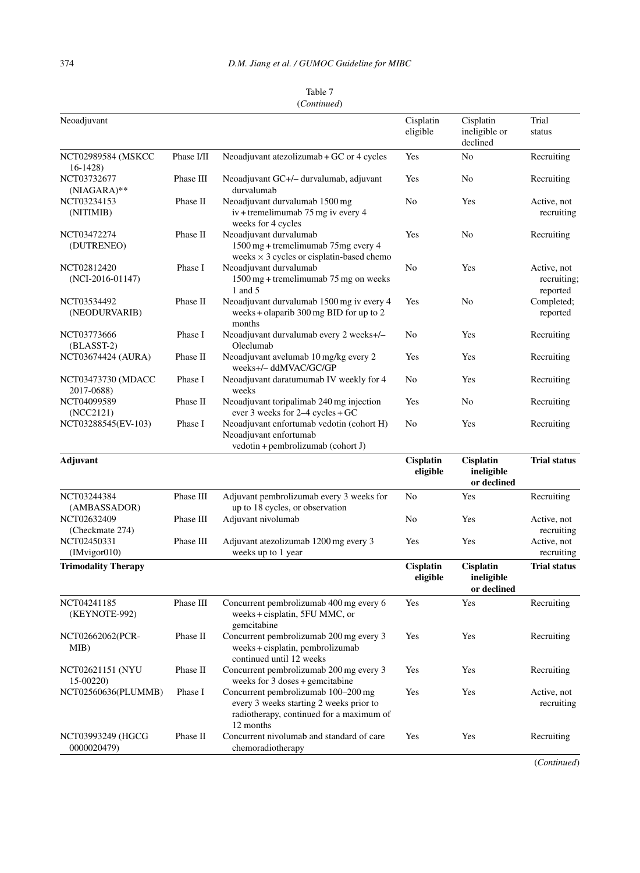|  | Table 7     |  |  |
|--|-------------|--|--|
|  | (Continued) |  |  |

| Neoadjuvant                       |            |                                                                                                                                         | Cisplatin<br>eligible        | Cisplatin<br>ineligible or<br>declined | Trial<br>status                        |
|-----------------------------------|------------|-----------------------------------------------------------------------------------------------------------------------------------------|------------------------------|----------------------------------------|----------------------------------------|
| NCT02989584 (MSKCC<br>$16-1428$   | Phase I/II | Neoadjuvant atezolizumab + GC or 4 cycles                                                                                               | Yes                          | No                                     | Recruiting                             |
| NCT03732677<br>$(NIAGARA)**$      | Phase III  | Neoadjuvant GC+/- durvalumab, adjuvant<br>durvalumab                                                                                    | Yes                          | No                                     | Recruiting                             |
| NCT03234153<br>(NITIMIB)          | Phase II   | Neoadjuvant durvalumab 1500 mg<br>$iv$ + tremelimumab 75 mg iv every 4<br>weeks for 4 cycles                                            | No                           | Yes                                    | Active, not<br>recruiting              |
| NCT03472274<br>(DUTRENEO)         | Phase II   | Neoadjuvant durvalumab<br>1500 mg + tremelimumab 75mg every 4<br>weeks $\times$ 3 cycles or cisplatin-based chemo                       | Yes                          | No                                     | Recruiting                             |
| NCT02812420<br>$(NCI-2016-01147)$ | Phase I    | Neoadjuvant durvalumab<br>1500 mg + tremelimumab 75 mg on weeks<br>1 and 5                                                              | No                           | Yes                                    | Active, not<br>recruiting;<br>reported |
| NCT03534492<br>(NEODURVARIB)      | Phase II   | Neoadjuvant durvalumab 1500 mg iv every 4<br>weeks + olaparib $300 \text{ mg BID}$ for up to 2<br>months                                | Yes                          | No                                     | Completed;<br>reported                 |
| NCT03773666<br>(BLASST-2)         | Phase I    | Neoadjuvant durvalumab every 2 weeks+/-<br>Oleclumab                                                                                    | No                           | Yes                                    | Recruiting                             |
| NCT03674424 (AURA)                | Phase II   | Neoadjuvant avelumab 10 mg/kg every 2<br>weeks+/- ddMVAC/GC/GP                                                                          | Yes                          | Yes                                    | Recruiting                             |
| NCT03473730 (MDACC<br>2017-0688)  | Phase I    | Neoadjuvant daratumumab IV weekly for 4<br>weeks                                                                                        | No                           | Yes                                    | Recruiting                             |
| NCT04099589<br>(NCC2121)          | Phase II   | Neoadjuvant toripalimab 240 mg injection<br>ever 3 weeks for $2-4$ cycles + GC                                                          | Yes                          | No                                     | Recruiting                             |
| NCT03288545(EV-103)               | Phase I    | Neoadjuvant enfortumab vedotin (cohort H)<br>Neoadjuvant enfortumab<br>vedotin + pembrolizumab (cohort J)                               | No                           | Yes                                    | Recruiting                             |
| Adjuvant                          |            |                                                                                                                                         | <b>Cisplatin</b><br>eligible | Cisplatin<br>ineligible<br>or declined | <b>Trial status</b>                    |
| NCT03244384<br>(AMBASSADOR)       | Phase III  | Adjuvant pembrolizumab every 3 weeks for<br>up to 18 cycles, or observation                                                             | No                           | Yes                                    | Recruiting                             |
| NCT02632409<br>(Checkmate 274)    | Phase III  | Adjuvant nivolumab                                                                                                                      | No                           | Yes                                    | Active, not<br>recruiting              |
| NCT02450331<br>(IMvigor010)       | Phase III  | Adjuvant atezolizumab 1200 mg every 3<br>weeks up to 1 year                                                                             | Yes                          | Yes                                    | Active, not<br>recruiting              |
| <b>Trimodality Therapy</b>        |            |                                                                                                                                         | <b>Cisplatin</b><br>eligible | Cisplatin<br>ineligible<br>or declined | <b>Trial status</b>                    |
| NCT04241185<br>(KEYNOTE-992)      | Phase III  | Concurrent pembrolizumab 400 mg every 6<br>weeks + cisplatin, 5FU MMC, or<br>gemcitabine                                                | Yes                          | Yes                                    | Recruiting                             |
| NCT02662062(PCR-<br>MIB)          | Phase II   | Concurrent pembrolizumab 200 mg every 3<br>weeks + cisplatin, pembrolizumab<br>continued until 12 weeks                                 | Yes                          | Yes                                    | Recruiting                             |
| NCT02621151 (NYU<br>15-00220)     | Phase II   | Concurrent pembrolizumab 200 mg every 3<br>weeks for 3 doses + gemcitabine                                                              | Yes                          | Yes                                    | Recruiting                             |
| NCT02560636(PLUMMB)               | Phase I    | Concurrent pembrolizumab 100–200 mg<br>every 3 weeks starting 2 weeks prior to<br>radiotherapy, continued for a maximum of<br>12 months | Yes                          | Yes                                    | Active, not<br>recruiting              |
| NCT03993249 (HGCG<br>0000020479)  | Phase II   | Concurrent nivolumab and standard of care<br>chemoradiotherapy                                                                          | Yes                          | Yes                                    | Recruiting                             |

(*Continued*)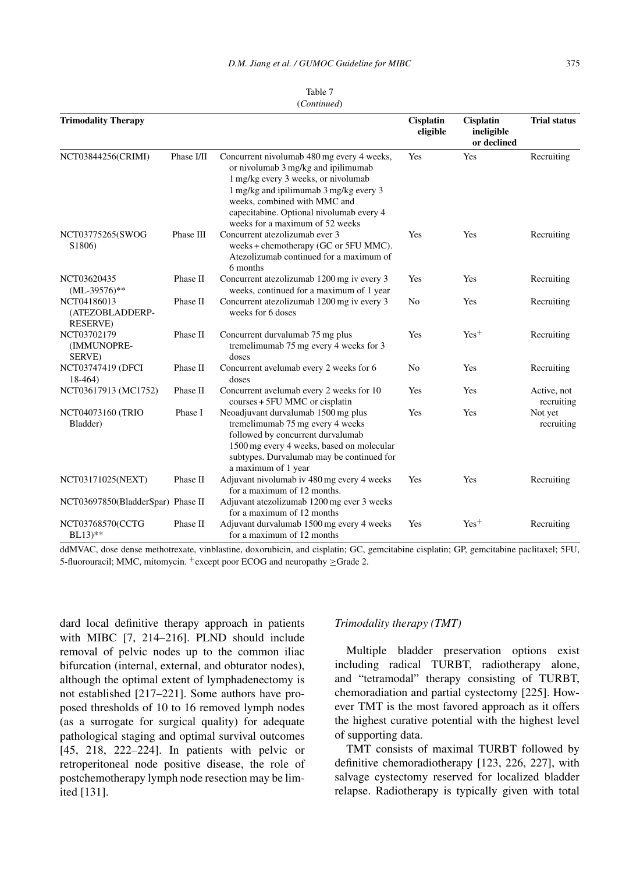| Table 7     |
|-------------|
| (Continued) |

| <b>Trimodality Therapy</b>                         |            |                                                                                                                                                                                                                                                                                   | <b>Cisplatin</b><br>eligible | <b>Cisplatin</b><br>ineligible<br>or declined | <b>Trial status</b>       |
|----------------------------------------------------|------------|-----------------------------------------------------------------------------------------------------------------------------------------------------------------------------------------------------------------------------------------------------------------------------------|------------------------------|-----------------------------------------------|---------------------------|
| NCT03844256(CRIMI)                                 | Phase I/II | Concurrent nivolumab 480 mg every 4 weeks,<br>or nivolumab 3 mg/kg and ipilimumab<br>1 mg/kg every 3 weeks, or nivolumab<br>1 mg/kg and ipilimumab 3 mg/kg every 3<br>weeks, combined with MMC and<br>capecitabine. Optional nivolumab every 4<br>weeks for a maximum of 52 weeks | <b>Yes</b>                   | Yes                                           | Recruiting                |
| NCT03775265(SWOG<br>S1806)                         | Phase III  | Concurrent atezolizumab ever 3<br>weeks + chemotherapy (GC or 5FU MMC).<br>Atezolizumab continued for a maximum of<br>6 months                                                                                                                                                    | Yes                          | Yes                                           | Recruiting                |
| NCT03620435<br>$(ML-39576)$ **                     | Phase II   | Concurrent at ezolizumab 1200 mg iv every 3<br>weeks, continued for a maximum of 1 year                                                                                                                                                                                           | Yes                          | Yes                                           | Recruiting                |
| NCT04186013<br>(ATEZOBLADDERP-<br><b>RESERVE</b> ) | Phase II   | Concurrent atezolizumab 1200 mg iv every 3<br>weeks for 6 doses                                                                                                                                                                                                                   | No                           | <b>Yes</b>                                    | Recruiting                |
| NCT03702179<br>(IMMUNOPRE-<br>SERVE)               | Phase II   | Concurrent durvalumab 75 mg plus<br>tremelimumab 75 mg every 4 weeks for 3<br>doses                                                                                                                                                                                               | Yes                          | $Yes+$                                        | Recruiting                |
| NCT03747419 (DFCI<br>$18-464$                      | Phase II   | Concurrent avelumab every 2 weeks for 6<br>doses                                                                                                                                                                                                                                  | No                           | Yes                                           | Recruiting                |
| NCT03617913 (MC1752)                               | Phase II   | Concurrent avelumab every 2 weeks for 10<br>courses + 5FU MMC or cisplatin                                                                                                                                                                                                        | Yes                          | Yes                                           | Active, not<br>recruiting |
| NCT04073160 (TRIO<br>Bladder)                      | Phase I    | Neoadjuvant durvalumab 1500 mg plus<br>tremelimumab 75 mg every 4 weeks<br>followed by concurrent durvalumab<br>1500 mg every 4 weeks, based on molecular<br>subtypes. Durvalumab may be continued for<br>a maximum of 1 year                                                     | Yes                          | Yes                                           | Not yet<br>recruiting     |
| NCT03171025(NEXT)                                  | Phase II   | Adjuvant nivolumab iv 480 mg every 4 weeks<br>for a maximum of 12 months.                                                                                                                                                                                                         | Yes                          | Yes                                           | Recruiting                |
| NCT03697850(BladderSpar) Phase II                  |            | Adjuvant atezolizumab 1200 mg ever 3 weeks<br>for a maximum of 12 months                                                                                                                                                                                                          |                              |                                               |                           |
| NCT03768570(CCTG<br>$BL13$ <sup>**</sup>           | Phase II   | Adjuvant durvalumab 1500 mg every 4 weeks<br>for a maximum of 12 months                                                                                                                                                                                                           | Yes                          | $Yes+$                                        | Recruiting                |

ddMVAC, dose dense methotrexate, vinblastine, doxorubicin, and cisplatin; GC, gemcitabine cisplatin; GP, gemcitabine paclitaxel; 5FU, 5-fluorouracil; MMC, mitomycin. <sup>+</sup>except poor ECOG and neuropathy ≥Grade 2.

dard local definitive therapy approach in patients with MIBC [7, 214–216]. PLND should include removal of pelvic nodes up to the common iliac bifurcation (internal, external, and obturator nodes), although the optimal extent of lymphadenectomy is not established [217–221]. Some authors have proposed thresholds of 10 to 16 removed lymph nodes (as a surrogate for surgical quality) for adequate pathological staging and optimal survival outcomes [45, 218, 222–224]. In patients with pelvic or retroperitoneal node positive disease, the role of postchemotherapy lymph node resection may be limited [131].

#### *Trimodality therapy (TMT)*

Multiple bladder preservation options exist including radical TURBT, radiotherapy alone, and "tetramodal" therapy consisting of TURBT, chemoradiation and partial cystectomy [225]. However TMT is the most favored approach as it offers the highest curative potential with the highest level of supporting data.

TMT consists of maximal TURBT followed by definitive chemoradiotherapy [123, 226, 227], with salvage cystectomy reserved for localized bladder relapse. Radiotherapy is typically given with total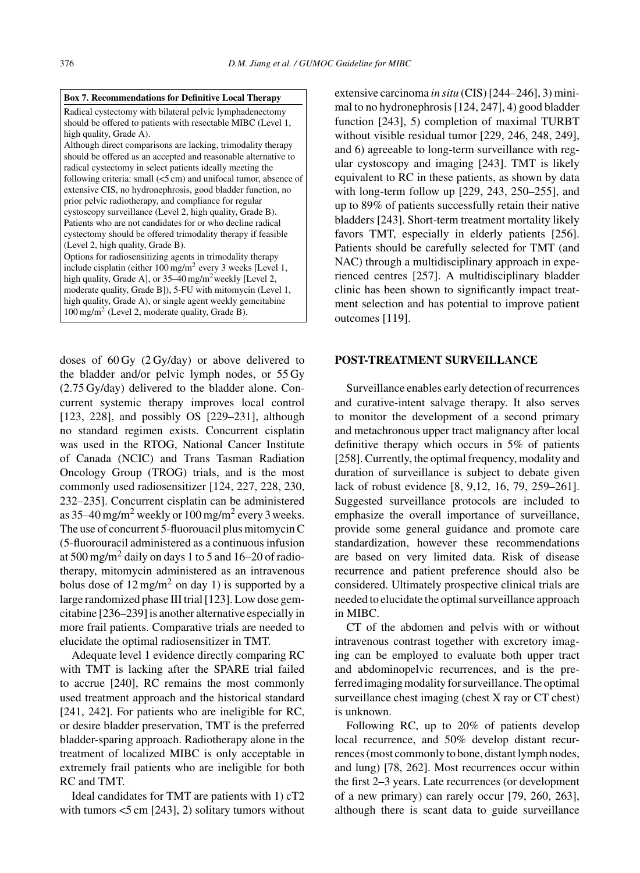#### **Box 7. Recommendations for Definitive Local Therapy**

Radical cystectomy with bilateral pelvic lymphadenectomy should be offered to patients with resectable MIBC (Level 1, high quality, Grade A).

Although direct comparisons are lacking, trimodality therapy should be offered as an accepted and reasonable alternative to radical cystectomy in select patients ideally meeting the following criteria: small (<5 cm) and unifocal tumor, absence of extensive CIS, no hydronephrosis, good bladder function, no prior pelvic radiotherapy, and compliance for regular cystoscopy surveillance (Level 2, high quality, Grade B). Patients who are not candidates for or who decline radical cystectomy should be offered trimodality therapy if feasible (Level 2, high quality, Grade B).

Options for radiosensitizing agents in trimodality therapy include cisplatin (either 100 mg/m2 every 3 weeks [Level 1, high quality, Grade A], or  $35-40$  mg/m<sup>2</sup> weekly [Level 2, moderate quality, Grade B]), 5-FU with mitomycin (Level 1, high quality, Grade A), or single agent weekly gemcitabine 100 mg/m2 (Level 2, moderate quality, Grade B).

doses of  $60 \text{ Gy } (2 \text{ Gy/day})$  or above delivered to the bladder and/or pelvic lymph nodes, or 55 Gy (2.75 Gy/day) delivered to the bladder alone. Concurrent systemic therapy improves local control [123, 228], and possibly OS [229–231], although no standard regimen exists. Concurrent cisplatin was used in the RTOG, National Cancer Institute of Canada (NCIC) and Trans Tasman Radiation Oncology Group (TROG) trials, and is the most commonly used radiosensitizer [124, 227, 228, 230, 232–235]. Concurrent cisplatin can be administered as  $35-40$  mg/m<sup>2</sup> weekly or  $100$  mg/m<sup>2</sup> every 3 weeks. The use of concurrent 5-fluorouacil plus mitomycin C (5-fluorouracil administered as a continuous infusion at  $500$  mg/m<sup>2</sup> daily on days 1 to 5 and 16–20 of radiotherapy, mitomycin administered as an intravenous bolus dose of  $12 \text{ mg/m}^2$  on day 1) is supported by a large randomized phase III trial [123]. Low dose gemcitabine [236–239] is another alternative especially in more frail patients. Comparative trials are needed to elucidate the optimal radiosensitizer in TMT.

Adequate level 1 evidence directly comparing RC with TMT is lacking after the SPARE trial failed to accrue [240], RC remains the most commonly used treatment approach and the historical standard [241, 242]. For patients who are ineligible for RC, or desire bladder preservation, TMT is the preferred bladder-sparing approach. Radiotherapy alone in the treatment of localized MIBC is only acceptable in extremely frail patients who are ineligible for both RC and TMT.

Ideal candidates for TMT are patients with 1) cT2 with tumors  $<$  5 cm [243], 2) solitary tumors without extensive carcinoma *in situ* (CIS) [244–246], 3) minimal to no hydronephrosis [124, 247], 4) good bladder function [243], 5) completion of maximal TURBT without visible residual tumor [229, 246, 248, 249], and 6) agreeable to long-term surveillance with regular cystoscopy and imaging [243]. TMT is likely equivalent to RC in these patients, as shown by data with long-term follow up [229, 243, 250–255], and up to 89% of patients successfully retain their native bladders [243]. Short-term treatment mortality likely favors TMT, especially in elderly patients [256]. Patients should be carefully selected for TMT (and NAC) through a multidisciplinary approach in experienced centres [257]. A multidisciplinary bladder clinic has been shown to significantly impact treatment selection and has potential to improve patient outcomes [119].

#### **POST-TREATMENT SURVEILLANCE**

Surveillance enables early detection of recurrences and curative-intent salvage therapy. It also serves to monitor the development of a second primary and metachronous upper tract malignancy after local definitive therapy which occurs in 5% of patients [258]. Currently, the optimal frequency, modality and duration of surveillance is subject to debate given lack of robust evidence [8, 9,12, 16, 79, 259–261]. Suggested surveillance protocols are included to emphasize the overall importance of surveillance, provide some general guidance and promote care standardization, however these recommendations are based on very limited data. Risk of disease recurrence and patient preference should also be considered. Ultimately prospective clinical trials are needed to elucidate the optimal surveillance approach in MIBC.

CT of the abdomen and pelvis with or without intravenous contrast together with excretory imaging can be employed to evaluate both upper tract and abdominopelvic recurrences, and is the preferred imaging modality for surveillance. The optimal surveillance chest imaging (chest X ray or CT chest) is unknown.

Following RC, up to 20% of patients develop local recurrence, and 50% develop distant recurrences (most commonly to bone, distant lymph nodes, and lung) [78, 262]. Most recurrences occur within the first 2–3 years. Late recurrences (or development of a new primary) can rarely occur [79, 260, 263], although there is scant data to guide surveillance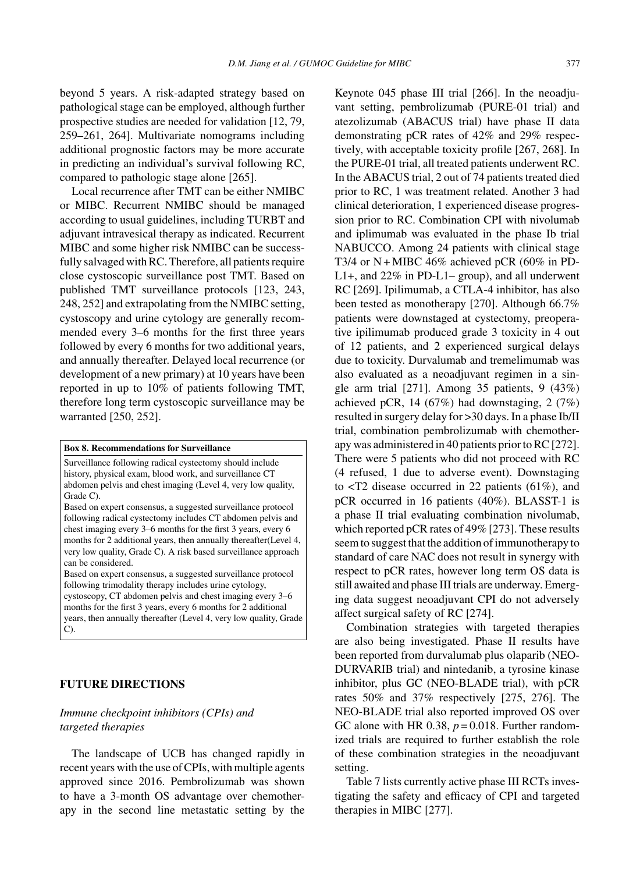beyond 5 years. A risk-adapted strategy based on pathological stage can be employed, although further prospective studies are needed for validation [12, 79, 259–261, 264]. Multivariate nomograms including additional prognostic factors may be more accurate in predicting an individual's survival following RC, compared to pathologic stage alone [265].

Local recurrence after TMT can be either NMIBC or MIBC. Recurrent NMIBC should be managed according to usual guidelines, including TURBT and adjuvant intravesical therapy as indicated. Recurrent MIBC and some higher risk NMIBC can be successfully salvaged with RC. Therefore, all patients require close cystoscopic surveillance post TMT. Based on published TMT surveillance protocols [123, 243, 248, 252] and extrapolating from the NMIBC setting, cystoscopy and urine cytology are generally recommended every 3–6 months for the first three years followed by every 6 months for two additional years, and annually thereafter. Delayed local recurrence (or development of a new primary) at 10 years have been reported in up to 10% of patients following TMT, therefore long term cystoscopic surveillance may be warranted [250, 252].

#### **Box 8. Recommendations for Surveillance**

Surveillance following radical cystectomy should include history, physical exam, blood work, and surveillance CT abdomen pelvis and chest imaging (Level 4, very low quality, Grade C).

Based on expert consensus, a suggested surveillance protocol following radical cystectomy includes CT abdomen pelvis and chest imaging every 3–6 months for the first 3 years, every 6 months for 2 additional years, then annually thereafter(Level 4, very low quality, Grade C). A risk based surveillance approach can be considered.

Based on expert consensus, a suggested surveillance protocol following trimodality therapy includes urine cytology, cystoscopy, CT abdomen pelvis and chest imaging every 3–6 months for the first 3 years, every 6 months for 2 additional years, then annually thereafter (Level 4, very low quality, Grade C).

# **FUTURE DIRECTIONS**

# *Immune checkpoint inhibitors (CPIs) and targeted therapies*

The landscape of UCB has changed rapidly in recent years with the use of CPIs, with multiple agents approved since 2016. Pembrolizumab was shown to have a 3-month OS advantage over chemotherapy in the second line metastatic setting by the

Keynote 045 phase III trial [266]. In the neoadjuvant setting, pembrolizumab (PURE-01 trial) and atezolizumab (ABACUS trial) have phase II data demonstrating pCR rates of 42% and 29% respectively, with acceptable toxicity profile [267, 268]. In the PURE-01 trial, all treated patients underwent RC. In the ABACUS trial, 2 out of 74 patients treated died prior to RC, 1 was treatment related. Another 3 had clinical deterioration, 1 experienced disease progression prior to RC. Combination CPI with nivolumab and iplimumab was evaluated in the phase Ib trial NABUCCO. Among 24 patients with clinical stage T3/4 or N + MIBC 46% achieved pCR (60% in PD-L1+, and 22% in PD-L1– group), and all underwent RC [269]. Ipilimumab, a CTLA-4 inhibitor, has also been tested as monotherapy [270]. Although 66.7% patients were downstaged at cystectomy, preoperative ipilimumab produced grade 3 toxicity in 4 out of 12 patients, and 2 experienced surgical delays due to toxicity. Durvalumab and tremelimumab was also evaluated as a neoadjuvant regimen in a single arm trial [271]. Among 35 patients, 9 (43%) achieved pCR, 14 (67%) had downstaging, 2 (7%) resulted in surgery delay for >30 days. In a phase Ib/II trial, combination pembrolizumab with chemotherapy was administered in 40 patients prior to RC [272]. There were 5 patients who did not proceed with RC (4 refused, 1 due to adverse event). Downstaging to  $\langle T2 \rangle$  disease occurred in 22 patients (61%), and pCR occurred in 16 patients (40%). BLASST-1 is a phase II trial evaluating combination nivolumab, which reported pCR rates of 49% [273]. These results seem to suggest that the addition of immunotherapy to standard of care NAC does not result in synergy with respect to pCR rates, however long term OS data is still awaited and phase III trials are underway. Emerging data suggest neoadjuvant CPI do not adversely affect surgical safety of RC [274].

Combination strategies with targeted therapies are also being investigated. Phase II results have been reported from durvalumab plus olaparib (NEO-DURVARIB trial) and nintedanib, a tyrosine kinase inhibitor, plus GC (NEO-BLADE trial), with pCR rates 50% and 37% respectively [275, 276]. The NEO-BLADE trial also reported improved OS over GC alone with HR 0.38,  $p = 0.018$ . Further randomized trials are required to further establish the role of these combination strategies in the neoadjuvant setting.

Table 7 lists currently active phase III RCTs investigating the safety and efficacy of CPI and targeted therapies in MIBC [277].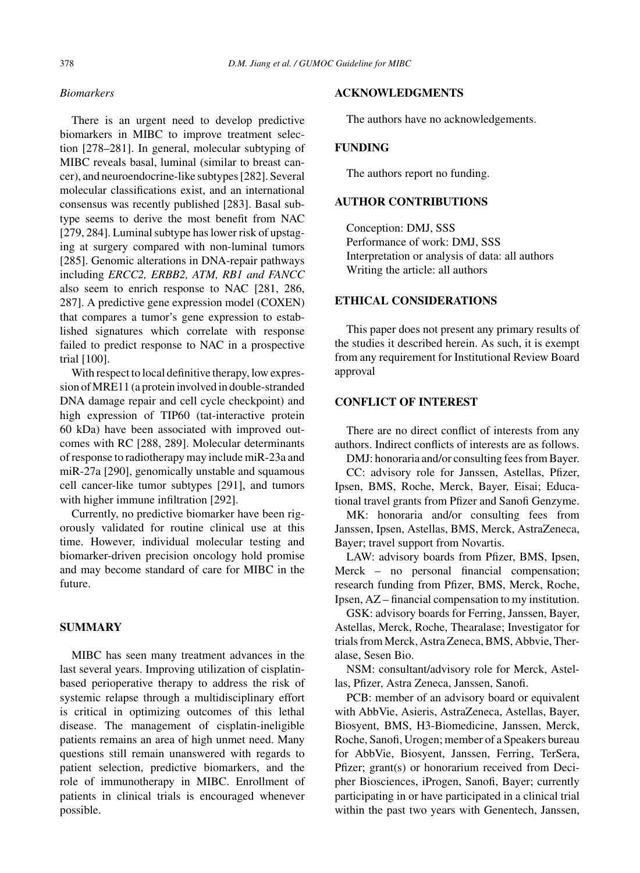# *Biomarkers*

There is an urgent need to develop predictive biomarkers in MIBC to improve treatment selection [278–281]. In general, molecular subtyping of MIBC reveals basal, luminal (similar to breast cancer), and neuroendocrine-like subtypes [282]. Several molecular classifications exist, and an international consensus was recently published [283]. Basal subtype seems to derive the most benefit from NAC [279, 284]. Luminal subtype has lower risk of upstaging at surgery compared with non-luminal tumors [285]. Genomic alterations in DNA-repair pathways including *ERCC2, ERBB2, ATM, RB1 and FANCC* also seem to enrich response to NAC [281, 286, 287]. A predictive gene expression model (COXEN) that compares a tumor's gene expression to established signatures which correlate with response failed to predict response to NAC in a prospective trial [100].

With respect to local definitive therapy, low expression of MRE11 (a protein involved in double-stranded DNA damage repair and cell cycle checkpoint) and high expression of TIP60 (tat-interactive protein 60 kDa) have been associated with improved outcomes with RC [288, 289]. Molecular determinants of response to radiotherapy may include miR-23a and miR-27a [290], genomically unstable and squamous cell cancer-like tumor subtypes [291], and tumors with higher immune infiltration [292].

Currently, no predictive biomarker have been rigorously validated for routine clinical use at this time. However, individual molecular testing and biomarker-driven precision oncology hold promise and may become standard of care for MIBC in the future.

# **SUMMARY**

MIBC has seen many treatment advances in the last several years. Improving utilization of cisplatinbased perioperative therapy to address the risk of systemic relapse through a multidisciplinary effort is critical in optimizing outcomes of this lethal disease. The management of cisplatin-ineligible patients remains an area of high unmet need. Many questions still remain unanswered with regards to patient selection, predictive biomarkers, and the role of immunotherapy in MIBC. Enrollment of patients in clinical trials is encouraged whenever possible.

#### **ACKNOWLEDGMENTS**

The authors have no acknowledgements.

# **FUNDING**

The authors report no funding.

# **AUTHOR CONTRIBUTIONS**

Conception: DMJ, SSS Performance of work: DMJ, SSS Interpretation or analysis of data: all authors Writing the article: all authors

### **ETHICAL CONSIDERATIONS**

This paper does not present any primary results of the studies it described herein. As such, it is exempt from any requirement for Institutional Review Board approval

# **CONFLICT OF INTEREST**

There are no direct conflict of interests from any authors. Indirect conflicts of interests are as follows.

DMJ: honoraria and/or consulting fees from Bayer.

CC: advisory role for Janssen, Astellas, Pfizer, Ipsen, BMS, Roche, Merck, Bayer, Eisai; Educational travel grants from Pfizer and Sanofi Genzyme.

MK: honoraria and/or consulting fees from Janssen, Ipsen, Astellas, BMS, Merck, AstraZeneca, Bayer; travel support from Novartis.

LAW: advisory boards from Pfizer, BMS, Ipsen, Merck – no personal financial compensation; research funding from Pfizer, BMS, Merck, Roche, Ipsen, AZ – financial compensation to my institution.

GSK: advisory boards for Ferring, Janssen, Bayer, Astellas, Merck, Roche, Thearalase; Investigator for trials from Merck, Astra Zeneca, BMS, Abbvie, Theralase, Sesen Bio.

NSM: consultant/advisory role for Merck, Astellas, Pfizer, Astra Zeneca, Janssen, Sanofi.

PCB: member of an advisory board or equivalent with AbbVie, Asieris, AstraZeneca, Astellas, Bayer, Biosyent, BMS, H3-Biomedicine, Janssen, Merck, Roche, Sanofi, Urogen; member of a Speakers bureau for AbbVie, Biosyent, Janssen, Ferring, TerSera, Pfizer; grant(s) or honorarium received from Decipher Biosciences, iProgen, Sanofi, Bayer; currently participating in or have participated in a clinical trial within the past two years with Genentech, Janssen,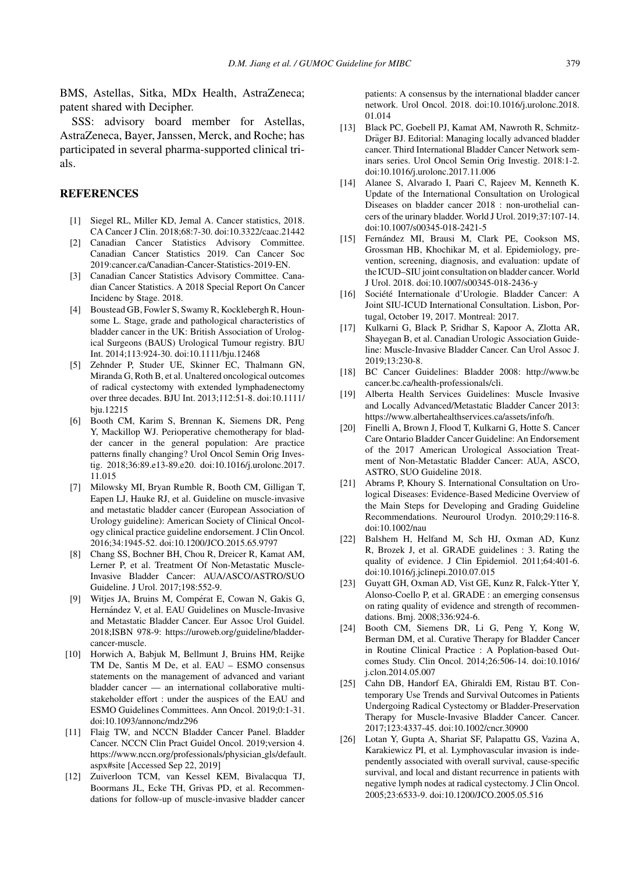BMS, Astellas, Sitka, MDx Health, AstraZeneca; patent shared with Decipher.

SSS: advisory board member for Astellas, AstraZeneca, Bayer, Janssen, Merck, and Roche; has participated in several pharma-supported clinical trials.

#### **REFERENCES**

- [1] Siegel RL, Miller KD, Jemal A. Cancer statistics, 2018. CA Cancer J Clin. 2018;68:7-30. doi:10.3322/caac.21442
- [2] Canadian Cancer Statistics Advisory Committee. Canadian Cancer Statistics 2019. Can Cancer Soc 2019:cancer.ca/Canadian-Cancer-Statistics-2019-EN.
- [3] Canadian Cancer Statistics Advisory Committee. Canadian Cancer Statistics. A 2018 Special Report On Cancer Incidenc by Stage. 2018.
- [4] Boustead GB, Fowler S, Swamy R, Kocklebergh R, Hounsome L. Stage, grade and pathological characteristics of bladder cancer in the UK: British Association of Urological Surgeons (BAUS) Urological Tumour registry. BJU Int. 2014;113:924-30. doi:10.1111/bju.12468
- [5] Zehnder P, Studer UE, Skinner EC, Thalmann GN, Miranda G, Roth B, et al. Unaltered oncological outcomes of radical cystectomy with extended lymphadenectomy over three decades. BJU Int. 2013;112:51-8. doi:10.1111/ bju.12215
- [6] Booth CM, Karim S, Brennan K, Siemens DR, Peng Y, Mackillop WJ. Perioperative chemotherapy for bladder cancer in the general population: Are practice patterns finally changing? Urol Oncol Semin Orig Investig. 2018;36:89.e13-89.e20. doi:10.1016/j.urolonc.2017. 11.015
- [7] Milowsky MI, Bryan Rumble R, Booth CM, Gilligan T, Eapen LJ, Hauke RJ, et al. Guideline on muscle-invasive and metastatic bladder cancer (European Association of Urology guideline): American Society of Clinical Oncology clinical practice guideline endorsement. J Clin Oncol. 2016;34:1945-52. doi:10.1200/JCO.2015.65.9797
- [8] Chang SS, Bochner BH, Chou R, Dreicer R, Kamat AM, Lerner P, et al. Treatment Of Non-Metastatic Muscle-Invasive Bladder Cancer: AUA/ASCO/ASTRO/SUO Guideline. J Urol. 2017;198:552-9.
- [9] Witjes JA, Bruins M, Compérat E, Cowan N, Gakis G, Hernández V, et al. EAU Guidelines on Muscle-Invasive and Metastatic Bladder Cancer. Eur Assoc Urol Guidel. 2018;ISBN 978-9: [https://uroweb.org/guideline/bladder](https://uroweb.org/guideline/bladder-cancer-muscle)cancer-muscle.
- [10] Horwich A, Babjuk M, Bellmunt J, Bruins HM, Reijke TM De, Santis M De, et al. EAU – ESMO consensus statements on the management of advanced and variant bladder cancer — an international collaborative multistakeholder effort : under the auspices of the EAU and ESMO Guidelines Committees. Ann Oncol. 2019;0:1-31. doi:10.1093/annonc/mdz296
- [11] Flaig TW, and NCCN Bladder Cancer Panel. Bladder Cancer. NCCN Clin Pract Guidel Oncol. 2019;version 4. [https://www.nccn.org/professionals/physician](https://www.nccn.org/professionals/physician_gls/default.aspx#site) gls/default. [aspx#site](https://www.nccn.org/professionals/physician_gls/default.aspx#site) [Accessed Sep 22, 2019]
- [12] Zuiverloon TCM, van Kessel KEM, Bivalacqua TJ, Boormans JL, Ecke TH, Grivas PD, et al. Recommendations for follow-up of muscle-invasive bladder cancer

patients: A consensus by the international bladder cancer network. Urol Oncol. 2018. doi:10.1016/j.urolonc.2018. 01.014

- [13] Black PC, Goebell PJ, Kamat AM, Nawroth R, Schmitz-Dräger BJ. Editorial: Managing locally advanced bladder cancer. Third International Bladder Cancer Network seminars series. Urol Oncol Semin Orig Investig. 2018:1-2. doi:10.1016/j.urolonc.2017.11.006
- [14] Alanee S, Alvarado I, Paari C, Rajeev M, Kenneth K. Update of the International Consultation on Urological Diseases on bladder cancer 2018 : non-urothelial cancers of the urinary bladder. World J Urol. 2019;37:107-14. doi:10.1007/s00345-018-2421-5
- [15] Fernández MI, Brausi M, Clark PE, Cookson MS, Grossman HB, Khochikar M, et al. Epidemiology, prevention, screening, diagnosis, and evaluation: update of the ICUD–SIU joint consultation on bladder cancer. World J Urol. 2018. doi:10.1007/s00345-018-2436-y
- [16] Société Internationale d'Urologie. Bladder Cancer: A Joint SIU-ICUD International Consultation. Lisbon, Portugal, October 19, 2017. Montreal: 2017.
- [17] Kulkarni G, Black P, Sridhar S, Kapoor A, Zlotta AR, Shayegan B, et al. Canadian Urologic Association Guideline: Muscle-Invasive Bladder Cancer. Can Urol Assoc J. 2019;13:230-8.
- [18] BC Cancer Guidelines: Bladder 2008: [http://www.bc](http://www.bccancer.bc.ca/health-professionals/cli) [cancer.bc.ca/health-professionals/cli](http://www.bccancer.bc.ca/health-professionals/cli).
- [19] Alberta Health Services Guidelines: Muscle Invasive and Locally Advanced/Metastatic Bladder Cancer 2013: [https://www.albertahealthservices.ca/assets/info/h.](https://www.albertahealthservices.ca/assets/info/h)
- [20] Finelli A, Brown J, Flood T, Kulkarni G, Hotte S. Cancer Care Ontario Bladder Cancer Guideline: An Endorsement of the 2017 American Urological Association Treatment of Non-Metastatic Bladder Cancer: AUA, ASCO, ASTRO, SUO Guideline 2018.
- [21] Abrams P, Khoury S. International Consultation on Urological Diseases: Evidence-Based Medicine Overview of the Main Steps for Developing and Grading Guideline Recommendations. Neurourol Urodyn. 2010;29:116-8. doi:10.1002/nau
- [22] Balshem H, Helfand M, Sch HJ, Oxman AD, Kunz R, Brozek J, et al. GRADE guidelines : 3. Rating the quality of evidence. J Clin Epidemiol. 2011;64:401-6. doi:10.1016/j.jclinepi.2010.07.015
- [23] Guyatt GH, Oxman AD, Vist GE, Kunz R, Falck-Ytter Y, Alonso-Coello P, et al. GRADE : an emerging consensus on rating quality of evidence and strength of recommendations. Bmj. 2008;336:924-6.
- [24] Booth CM, Siemens DR, Li G, Peng Y, Kong W, Berman DM, et al. Curative Therapy for Bladder Cancer in Routine Clinical Practice : A Poplation-based Outcomes Study. Clin Oncol. 2014;26:506-14. doi:10.1016/ j.clon.2014.05.007
- [25] Cahn DB, Handorf EA, Ghiraldi EM, Ristau BT. Contemporary Use Trends and Survival Outcomes in Patients Undergoing Radical Cystectomy or Bladder-Preservation Therapy for Muscle-Invasive Bladder Cancer. Cancer. 2017;123:4337-45. doi:10.1002/cncr.30900
- [26] Lotan Y, Gupta A, Shariat SF, Palapattu GS, Vazina A, Karakiewicz PI, et al. Lymphovascular invasion is independently associated with overall survival, cause-specific survival, and local and distant recurrence in patients with negative lymph nodes at radical cystectomy. J Clin Oncol. 2005;23:6533-9. doi:10.1200/JCO.2005.05.516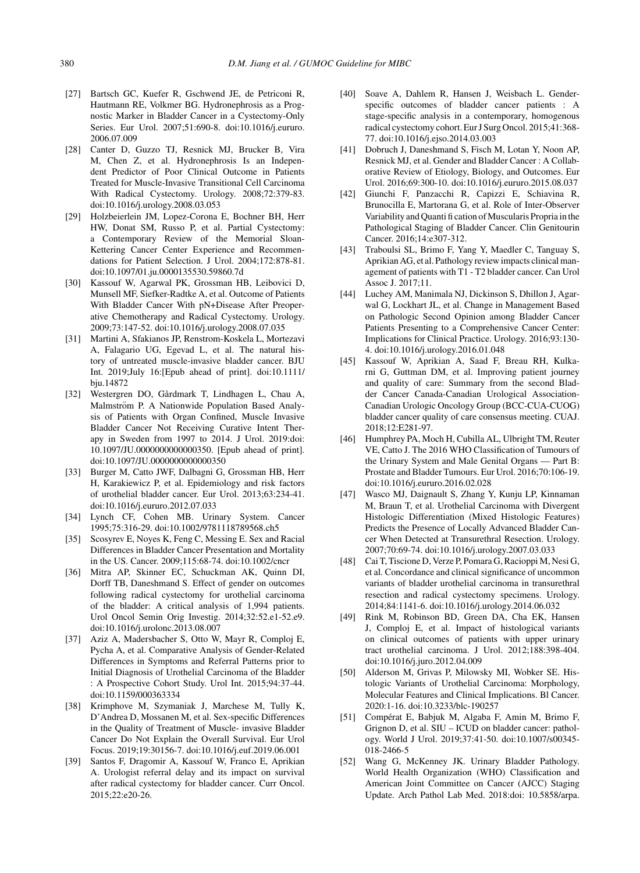- [27] Bartsch GC, Kuefer R, Gschwend JE, de Petriconi R, Hautmann RE, Volkmer BG. Hydronephrosis as a Prognostic Marker in Bladder Cancer in a Cystectomy-Only Series. Eur Urol. 2007;51:690-8. doi:10.1016/j.eururo. 2006.07.009
- [28] Canter D, Guzzo TJ, Resnick MJ, Brucker B, Vira M, Chen Z, et al. Hydronephrosis Is an Independent Predictor of Poor Clinical Outcome in Patients Treated for Muscle-Invasive Transitional Cell Carcinoma With Radical Cystectomy. Urology. 2008;72:379-83. doi:10.1016/j.urology.2008.03.053
- [29] Holzbeierlein JM, Lopez-Corona E, Bochner BH, Herr HW, Donat SM, Russo P, et al. Partial Cystectomy: a Contemporary Review of the Memorial Sloan-Kettering Cancer Center Experience and Recommendations for Patient Selection. J Urol. 2004;172:878-81. doi:10.1097/01.ju.0000135530.59860.7d
- [30] Kassouf W, Agarwal PK, Grossman HB, Leibovici D, Munsell MF, Siefker-Radtke A, et al. Outcome of Patients With Bladder Cancer With pN+Disease After Preoperative Chemotherapy and Radical Cystectomy. Urology. 2009;73:147-52. doi:10.1016/j.urology.2008.07.035
- [31] Martini A, Sfakianos JP, Renstrom-Koskela L, Mortezavi A, Falagario UG, Egevad L, et al. The natural history of untreated muscle-invasive bladder cancer. BJU Int. 2019;July 16:[Epub ahead of print]. doi:10.1111/ bju.14872
- [32] Westergren DO, Gårdmark T, Lindhagen L, Chau A, Malmström P. A Nationwide Population Based Analysis of Patients with Organ Confined, Muscle Invasive Bladder Cancer Not Receiving Curative Intent Therapy in Sweden from 1997 to 2014. J Urol. 2019:doi: 10.1097/JU.0000000000000350. [Epub ahead of print]. doi:10.1097/JU.0000000000000350
- [33] Burger M, Catto JWF, Dalbagni G, Grossman HB, Herr H, Karakiewicz P, et al. Epidemiology and risk factors of urothelial bladder cancer. Eur Urol. 2013;63:234-41. doi:10.1016/j.eururo.2012.07.033
- [34] Lynch CF, Cohen MB. Urinary System. Cancer 1995;75:316-29. doi:10.1002/9781118789568.ch5
- [35] Scosyrev E, Noyes K, Feng C, Messing E. Sex and Racial Differences in Bladder Cancer Presentation and Mortality in the US. Cancer. 2009;115:68-74. doi:10.1002/cncr
- [36] Mitra AP, Skinner EC, Schuckman AK, Quinn DI, Dorff TB, Daneshmand S. Effect of gender on outcomes following radical cystectomy for urothelial carcinoma of the bladder: A critical analysis of 1,994 patients. Urol Oncol Semin Orig Investig. 2014;32:52.e1-52.e9. doi:10.1016/j.urolonc.2013.08.007
- [37] Aziz A, Madersbacher S, Otto W, Mayr R, Comploj E, Pycha A, et al. Comparative Analysis of Gender-Related Differences in Symptoms and Referral Patterns prior to Initial Diagnosis of Urothelial Carcinoma of the Bladder : A Prospective Cohort Study. Urol Int. 2015;94:37-44. doi:10.1159/000363334
- [38] Krimphove M, Szymaniak J, Marchese M, Tully K, D'Andrea D, Mossanen M, et al. Sex-specific Differences in the Quality of Treatment of Muscle- invasive Bladder Cancer Do Not Explain the Overall Survival. Eur Urol Focus. 2019;19:30156-7. doi:10.1016/j.euf.2019.06.001
- [39] Santos F, Dragomir A, Kassouf W, Franco E, Aprikian A. Urologist referral delay and its impact on survival after radical cystectomy for bladder cancer. Curr Oncol. 2015;22:e20-26.
- [40] Soave A, Dahlem R, Hansen J, Weisbach L. Genderspecific outcomes of bladder cancer patients : A stage-specific analysis in a contemporary, homogenous radical cystectomy cohort. Eur J Surg Oncol. 2015;41:368- 77. doi:10.1016/j.ejso.2014.03.003
- [41] Dobruch J, Daneshmand S, Fisch M, Lotan Y, Noon AP, Resnick MJ, et al. Gender and Bladder Cancer : A Collaborative Review of Etiology, Biology, and Outcomes. Eur Urol. 2016;69:300-10. doi:10.1016/j.eururo.2015.08.037
- [42] Giunchi F, Panzacchi R, Capizzi E, Schiavina R, Brunocilla E, Martorana G, et al. Role of Inter-Observer Variability and Quanti fi cation of Muscularis Propria in the Pathological Staging of Bladder Cancer. Clin Genitourin Cancer. 2016;14:e307-312.
- [43] Traboulsi SL, Brimo F, Yang Y, Maedler C, Tanguay S, Aprikian AG, et al. Pathology review impacts clinical management of patients with T1 - T2 bladder cancer. Can Urol Assoc J. 2017;11.
- [44] Luchey AM, Manimala NJ, Dickinson S, Dhillon J, Agarwal G, Lockhart JL, et al. Change in Management Based on Pathologic Second Opinion among Bladder Cancer Patients Presenting to a Comprehensive Cancer Center: Implications for Clinical Practice. Urology. 2016;93:130- 4. doi:10.1016/j.urology.2016.01.048
- [45] Kassouf W, Aprikian A, Saad F, Breau RH, Kulkarni G, Guttman DM, et al. Improving patient journey and quality of care: Summary from the second Bladder Cancer Canada-Canadian Urological Association-Canadian Urologic Oncology Group (BCC-CUA-CUOG) bladder cancer quality of care consensus meeting. CUAJ. 2018;12:E281-97.
- [46] Humphrey PA, Moch H, Cubilla AL, Ulbright TM, Reuter VE, Catto J. The 2016 WHO Classification of Tumours of the Urinary System and Male Genital Organs — Part B: Prostate and Bladder Tumours. Eur Urol. 2016;70:106-19. doi:10.1016/j.eururo.2016.02.028
- [47] Wasco MJ, Daignault S, Zhang Y, Kunju LP, Kinnaman M, Braun T, et al. Urothelial Carcinoma with Divergent Histologic Differentiation (Mixed Histologic Features) Predicts the Presence of Locally Advanced Bladder Cancer When Detected at Transurethral Resection. Urology. 2007;70:69-74. doi:10.1016/j.urology.2007.03.033
- [48] Cai T, Tiscione D, Verze P, Pomara G, Racioppi M, Nesi G, et al. Concordance and clinical significance of uncommon variants of bladder urothelial carcinoma in transurethral resection and radical cystectomy specimens. Urology. 2014;84:1141-6. doi:10.1016/j.urology.2014.06.032
- [49] Rink M, Robinson BD, Green DA, Cha EK, Hansen J, Comploj E, et al. Impact of histological variants on clinical outcomes of patients with upper urinary tract urothelial carcinoma. J Urol. 2012;188:398-404. doi:10.1016/j.juro.2012.04.009
- [50] Alderson M, Grivas P, Milowsky MI, Wobker SE. Histologic Variants of Urothelial Carcinoma: Morphology, Molecular Features and Clinical Implications. Bl Cancer. 2020:1-16. doi:10.3233/blc-190257
- [51] Compérat E, Babjuk M, Algaba F, Amin M, Brimo F, Grignon D, et al. SIU – ICUD on bladder cancer: pathology. World J Urol. 2019;37:41-50. doi:10.1007/s00345- 018-2466-5
- [52] Wang G, McKenney JK. Urinary Bladder Pathology. World Health Organization (WHO) Classification and American Joint Committee on Cancer (AJCC) Staging Update. Arch Pathol Lab Med. 2018:doi: 10.5858/arpa.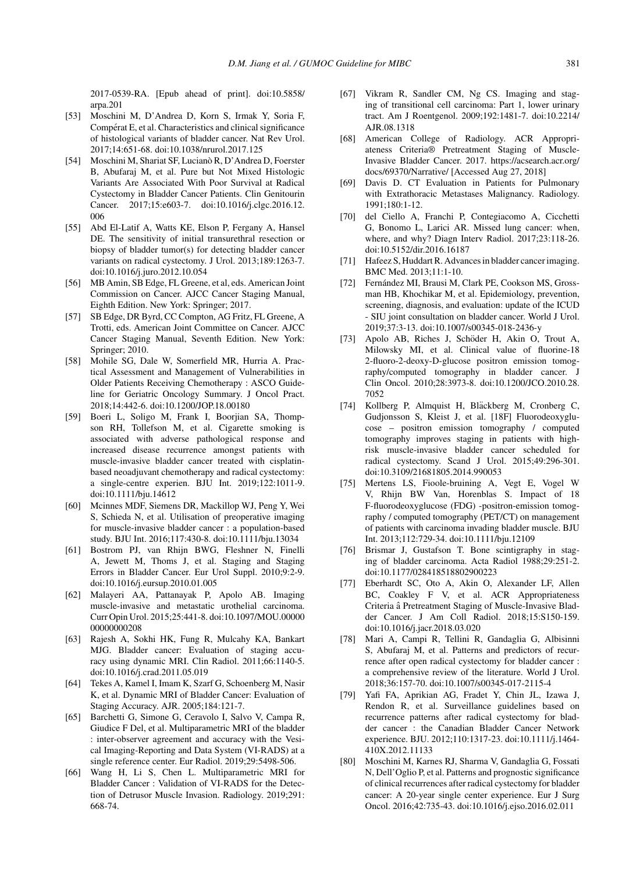2017-0539-RA. [Epub ahead of print]. doi:10.5858/ arpa.201

- [53] Moschini M, D'Andrea D, Korn S, Irmak Y, Soria F, Compérat E, et al. Characteristics and clinical significance of histological variants of bladder cancer. Nat Rev Urol. 2017;14:651-68. doi:10.1038/nrurol.2017.125
- [54] Moschini M, Shariat SF, Lucianò R, D'Andrea D, Foerster B, Abufaraj M, et al. Pure but Not Mixed Histologic Variants Are Associated With Poor Survival at Radical Cystectomy in Bladder Cancer Patients. Clin Genitourin Cancer. 2017;15:e603-7. doi:10.1016/j.clgc.2016.12. 006
- [55] Abd El-Latif A, Watts KE, Elson P, Fergany A, Hansel DE. The sensitivity of initial transurethral resection or biopsy of bladder tumor(s) for detecting bladder cancer variants on radical cystectomy. J Urol. 2013;189:1263-7. doi:10.1016/j.juro.2012.10.054
- [56] MB Amin, SB Edge, FL Greene, et al, eds. American Joint Commission on Cancer. AJCC Cancer Staging Manual, Eighth Edition. New York: Springer; 2017.
- [57] SB Edge, DR Byrd, CC Compton, AG Fritz, FL Greene, A Trotti, eds. American Joint Committee on Cancer. AJCC Cancer Staging Manual, Seventh Edition. New York: Springer; 2010.
- [58] Mohile SG, Dale W, Somerfield MR, Hurria A. Practical Assessment and Management of Vulnerabilities in Older Patients Receiving Chemotherapy : ASCO Guideline for Geriatric Oncology Summary. J Oncol Pract. 2018;14:442-6. doi:10.1200/JOP.18.00180
- [59] Boeri L, Soligo M, Frank I, Boorjian SA, Thompson RH, Tollefson M, et al. Cigarette smoking is associated with adverse pathological response and increased disease recurrence amongst patients with muscle-invasive bladder cancer treated with cisplatinbased neoadjuvant chemotherapy and radical cystectomy: a single-centre experien. BJU Int. 2019;122:1011-9. doi:10.1111/bju.14612
- [60] Mcinnes MDF, Siemens DR, Mackillop WJ, Peng Y, Wei S, Schieda N, et al. Utilisation of preoperative imaging for muscle-invasive bladder cancer : a population-based study. BJU Int. 2016;117:430-8. doi:10.1111/bju.13034
- [61] Bostrom PJ, van Rhijn BWG, Fleshner N, Finelli A, Jewett M, Thoms J, et al. Staging and Staging Errors in Bladder Cancer. Eur Urol Suppl. 2010;9:2-9. doi:10.1016/j.eursup.2010.01.005
- [62] Malayeri AA, Pattanayak P, Apolo AB. Imaging muscle-invasive and metastatic urothelial carcinoma. Curr Opin Urol. 2015;25:441-8. doi:10.1097/MOU.00000 00000000208
- [63] Rajesh A, Sokhi HK, Fung R, Mulcahy KA, Bankart MJG. Bladder cancer: Evaluation of staging accuracy using dynamic MRI. Clin Radiol. 2011;66:1140-5. doi:10.1016/j.crad.2011.05.019
- [64] Tekes A, Kamel I, Imam K, Szarf G, Schoenberg M, Nasir K, et al. Dynamic MRI of Bladder Cancer: Evaluation of Staging Accuracy. AJR. 2005;184:121-7.
- [65] Barchetti G, Simone G, Ceravolo I, Salvo V, Campa R, Giudice F Del, et al. Multiparametric MRI of the bladder : inter-observer agreement and accuracy with the Vesical Imaging-Reporting and Data System (VI-RADS) at a single reference center. Eur Radiol. 2019;29:5498-506.
- [66] Wang H, Li S, Chen L. Multiparametric MRI for Bladder Cancer : Validation of VI-RADS for the Detection of Detrusor Muscle Invasion. Radiology. 2019;291: 668-74.
- [67] Vikram R, Sandler CM, Ng CS. Imaging and staging of transitional cell carcinoma: Part 1, lower urinary tract. Am J Roentgenol. 2009;192:1481-7. doi:10.2214/ AJR.08.1318
- [68] American College of Radiology. ACR Appropriateness Criteria® Pretreatment Staging of Muscle-Invasive Bladder Cancer. 2017. [https://acsearch.acr.org/](https://acsearch.acr.org/docs/69370/Narrative/) [docs/69370/Narrative/](https://acsearch.acr.org/docs/69370/Narrative/) [Accessed Aug 27, 2018]
- [69] Davis D. CT Evaluation in Patients for Pulmonary with Extrathoracic Metastases Malignancy. Radiology. 1991;180:1-12.
- [70] del Ciello A, Franchi P, Contegiacomo A, Cicchetti G, Bonomo L, Larici AR. Missed lung cancer: when, where, and why? Diagn Interv Radiol. 2017;23:118-26. doi:10.5152/dir.2016.16187
- [71] Hafeez S, Huddart R. Advances in bladder cancer imaging. BMC Med. 2013;11:1-10.
- [72] Fernández MI, Brausi M, Clark PE, Cookson MS, Grossman HB, Khochikar M, et al. Epidemiology, prevention, screening, diagnosis, and evaluation: update of the ICUD - SIU joint consultation on bladder cancer. World J Urol. 2019;37:3-13. doi:10.1007/s00345-018-2436-y
- [73] Apolo AB, Riches J, Schöder H, Akin O, Trout A, Milowsky MI, et al. Clinical value of fluorine-18 2-fluoro-2-deoxy-D-glucose positron emission tomography/computed tomography in bladder cancer. J Clin Oncol. 2010;28:3973-8. doi:10.1200/JCO.2010.28. 7052
- [74] Kollberg P, Almquist H, Bläckberg M, Cronberg C, Gudjonsson S, Kleist J, et al. [18F] Fluorodeoxyglucose – positron emission tomography / computed tomography improves staging in patients with highrisk muscle-invasive bladder cancer scheduled for radical cystectomy. Scand J Urol. 2015;49:296-301. doi:10.3109/21681805.2014.990053
- [75] Mertens LS, Fioole-bruining A, Vegt E, Vogel W V, Rhijn BW Van, Horenblas S. Impact of 18 F-fluorodeoxyglucose (FDG) -positron-emission tomography / computed tomography (PET/CT) on management of patients with carcinoma invading bladder muscle. BJU Int. 2013;112:729-34. doi:10.1111/bju.12109
- [76] Brismar J, Gustafson T. Bone scintigraphy in staging of bladder carcinoma. Acta Radiol 1988;29:251-2. doi:10.1177/028418518802900223
- [77] Eberhardt SC, Oto A, Akin O, Alexander LF, Allen BC, Coakley F V, et al. ACR Appropriateness Criteria â Pretreatment Staging of Muscle-Invasive Bladder Cancer. J Am Coll Radiol. 2018;15:S150-159. doi:10.1016/j.jacr.2018.03.020
- [78] Mari A, Campi R, Tellini R, Gandaglia G, Albisinni S, Abufaraj M, et al. Patterns and predictors of recurrence after open radical cystectomy for bladder cancer : a comprehensive review of the literature. World J Urol. 2018;36:157-70. doi:10.1007/s00345-017-2115-4
- [79] Yafi FA, Aprikian AG, Fradet Y, Chin JL, Izawa J, Rendon R, et al. Surveillance guidelines based on recurrence patterns after radical cystectomy for bladder cancer : the Canadian Bladder Cancer Network experience. BJU. 2012;110:1317-23. doi:10.1111/j.1464- 410X.2012.11133
- [80] Moschini M, Karnes RJ, Sharma V, Gandaglia G, Fossati N, Dell'Oglio P, et al. Patterns and prognostic significance of clinical recurrences after radical cystectomy for bladder cancer: A 20-year single center experience. Eur J Surg Oncol. 2016;42:735-43. doi:10.1016/j.ejso.2016.02.011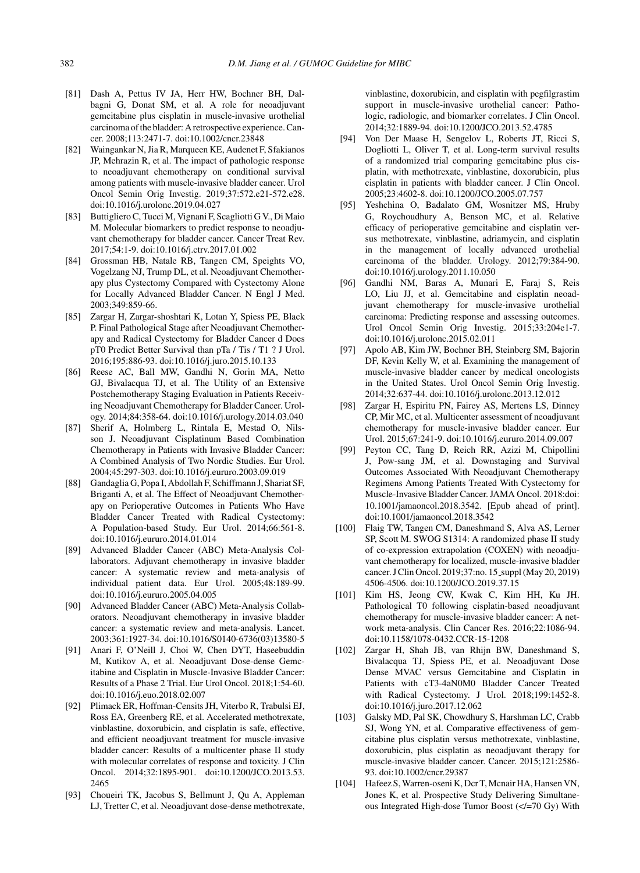- [81] Dash A, Pettus IV JA, Herr HW, Bochner BH, Dalbagni G, Donat SM, et al. A role for neoadjuvant gemcitabine plus cisplatin in muscle-invasive urothelial carcinoma of the bladder: A retrospective experience. Cancer. 2008;113:2471-7. doi:10.1002/cncr.23848
- [82] Waingankar N, Jia R, Marqueen KE, Audenet F, Sfakianos JP, Mehrazin R, et al. The impact of pathologic response to neoadjuvant chemotherapy on conditional survival among patients with muscle-invasive bladder cancer. Urol Oncol Semin Orig Investig. 2019;37:572.e21-572.e28. doi:10.1016/j.urolonc.2019.04.027
- [83] Buttigliero C, Tucci M, Vignani F, Scagliotti G V., Di Maio M. Molecular biomarkers to predict response to neoadjuvant chemotherapy for bladder cancer. Cancer Treat Rev. 2017;54:1-9. doi:10.1016/j.ctrv.2017.01.002
- [84] Grossman HB, Natale RB, Tangen CM, Speights VO, Vogelzang NJ, Trump DL, et al. Neoadjuvant Chemotherapy plus Cystectomy Compared with Cystectomy Alone for Locally Advanced Bladder Cancer. N Engl J Med. 2003;349:859-66.
- [85] Zargar H, Zargar-shoshtari K, Lotan Y, Spiess PE, Black P. Final Pathological Stage after Neoadjuvant Chemotherapy and Radical Cystectomy for Bladder Cancer d Does pT0 Predict Better Survival than pTa / Tis / T1 ? J Urol. 2016;195:886-93. doi:10.1016/j.juro.2015.10.133
- [86] Reese AC, Ball MW, Gandhi N, Gorin MA, Netto GJ, Bivalacqua TJ, et al. The Utility of an Extensive Postchemotherapy Staging Evaluation in Patients Receiving Neoadjuvant Chemotherapy for Bladder Cancer. Urology. 2014;84:358-64. doi:10.1016/j.urology.2014.03.040
- [87] Sherif A, Holmberg L, Rintala E, Mestad O, Nilsson J. Neoadjuvant Cisplatinum Based Combination Chemotherapy in Patients with Invasive Bladder Cancer: A Combined Analysis of Two Nordic Studies. Eur Urol. 2004;45:297-303. doi:10.1016/j.eururo.2003.09.019
- [88] Gandaglia G, Popa I, Abdollah F, Schiffmann J, Shariat SF, Briganti A, et al. The Effect of Neoadjuvant Chemotherapy on Perioperative Outcomes in Patients Who Have Bladder Cancer Treated with Radical Cystectomy: A Population-based Study. Eur Urol. 2014;66:561-8. doi:10.1016/j.eururo.2014.01.014
- [89] Advanced Bladder Cancer (ABC) Meta-Analysis Collaborators. Adjuvant chemotherapy in invasive bladder cancer: A systematic review and meta-analysis of individual patient data. Eur Urol. 2005;48:189-99. doi:10.1016/j.eururo.2005.04.005
- [90] Advanced Bladder Cancer (ABC) Meta-Analysis Collaborators. Neoadjuvant chemotherapy in invasive bladder cancer: a systematic review and meta-analysis. Lancet. 2003;361:1927-34. doi:10.1016/S0140-6736(03)13580-5
- [91] Anari F, O'Neill J, Choi W, Chen DYT, Haseebuddin M, Kutikov A, et al. Neoadjuvant Dose-dense Gemcitabine and Cisplatin in Muscle-Invasive Bladder Cancer: Results of a Phase 2 Trial. Eur Urol Oncol. 2018;1:54-60. doi:10.1016/j.euo.2018.02.007
- [92] Plimack ER, Hoffman-Censits JH, Viterbo R, Trabulsi EJ, Ross EA, Greenberg RE, et al. Accelerated methotrexate, vinblastine, doxorubicin, and cisplatin is safe, effective, and efficient neoadjuvant treatment for muscle-invasive bladder cancer: Results of a multicenter phase II study with molecular correlates of response and toxicity. J Clin Oncol. 2014;32:1895-901. doi:10.1200/JCO.2013.53. 2465
- [93] Choueiri TK, Jacobus S, Bellmunt J, Qu A, Appleman LJ, Tretter C, et al. Neoadjuvant dose-dense methotrexate,

vinblastine, doxorubicin, and cisplatin with pegfilgrastim support in muscle-invasive urothelial cancer: Pathologic, radiologic, and biomarker correlates. J Clin Oncol. 2014;32:1889-94. doi:10.1200/JCO.2013.52.4785

- [94] Von Der Maase H, Sengelov L, Roberts JT, Ricci S, Dogliotti L, Oliver T, et al. Long-term survival results of a randomized trial comparing gemcitabine plus cisplatin, with methotrexate, vinblastine, doxorubicin, plus cisplatin in patients with bladder cancer. J Clin Oncol. 2005;23:4602-8. doi:10.1200/JCO.2005.07.757
- [95] Yeshchina O, Badalato GM, Wosnitzer MS, Hruby G, Roychoudhury A, Benson MC, et al. Relative efficacy of perioperative gemcitabine and cisplatin versus methotrexate, vinblastine, adriamycin, and cisplatin in the management of locally advanced urothelial carcinoma of the bladder. Urology. 2012;79:384-90. doi:10.1016/j.urology.2011.10.050
- [96] Gandhi NM, Baras A, Munari E, Faraj S, Reis LO, Liu JJ, et al. Gemcitabine and cisplatin neoadjuvant chemotherapy for muscle-invasive urothelial carcinoma: Predicting response and assessing outcomes. Urol Oncol Semin Orig Investig. 2015;33:204e1-7. doi:10.1016/j.urolonc.2015.02.011
- [97] Apolo AB, Kim JW, Bochner BH, Steinberg SM, Bajorin DF, Kevin Kelly W, et al. Examining the management of muscle-invasive bladder cancer by medical oncologists in the United States. Urol Oncol Semin Orig Investig. 2014;32:637-44. doi:10.1016/j.urolonc.2013.12.012
- [98] Zargar H, Espiritu PN, Fairey AS, Mertens LS, Dinney CP, Mir MC, et al. Multicenter assessment of neoadjuvant chemotherapy for muscle-invasive bladder cancer. Eur Urol. 2015;67:241-9. doi:10.1016/j.eururo.2014.09.007
- [99] Peyton CC, Tang D, Reich RR, Azizi M, Chipollini J, Pow-sang JM, et al. Downstaging and Survival Outcomes Associated With Neoadjuvant Chemotherapy Regimens Among Patients Treated With Cystectomy for Muscle-Invasive Bladder Cancer. JAMA Oncol. 2018:doi: 10.1001/jamaoncol.2018.3542. [Epub ahead of print]. doi:10.1001/jamaoncol.2018.3542
- [100] Flaig TW, Tangen CM, Daneshmand S, Alva AS, Lerner SP, Scott M. SWOG S1314: A randomized phase II study of co-expression extrapolation (COXEN) with neoadjuvant chemotherapy for localized, muscle-invasive bladder cancer. J Clin Oncol. 2019;37:no. 15\_suppl (May 20, 2019) 4506-4506. doi:10.1200/JCO.2019.37.15
- [101] Kim HS, Jeong CW, Kwak C, Kim HH, Ku JH. Pathological T0 following cisplatin-based neoadjuvant chemotherapy for muscle-invasive bladder cancer: A network meta-analysis. Clin Cancer Res. 2016;22:1086-94. doi:10.1158/1078-0432.CCR-15-1208
- [102] Zargar H, Shah JB, van Rhijn BW, Daneshmand S, Bivalacqua TJ, Spiess PE, et al. Neoadjuvant Dose Dense MVAC versus Gemcitabine and Cisplatin in Patients with cT3-4aN0M0 Bladder Cancer Treated with Radical Cystectomy. J Urol. 2018;199:1452-8. doi:10.1016/j.juro.2017.12.062
- [103] Galsky MD, Pal SK, Chowdhury S, Harshman LC, Crabb SJ, Wong YN, et al. Comparative effectiveness of gemcitabine plus cisplatin versus methotrexate, vinblastine, doxorubicin, plus cisplatin as neoadjuvant therapy for muscle-invasive bladder cancer. Cancer. 2015;121:2586- 93. doi:10.1002/cncr.29387
- [104] Hafeez S, Warren-oseni K, Dcr T, Mcnair HA, Hansen VN, Jones K, et al. Prospective Study Delivering Simultaneous Integrated High-dose Tumor Boost  $\left(\frac{\text{d}}{200 \text{ Gy}}\right)$  With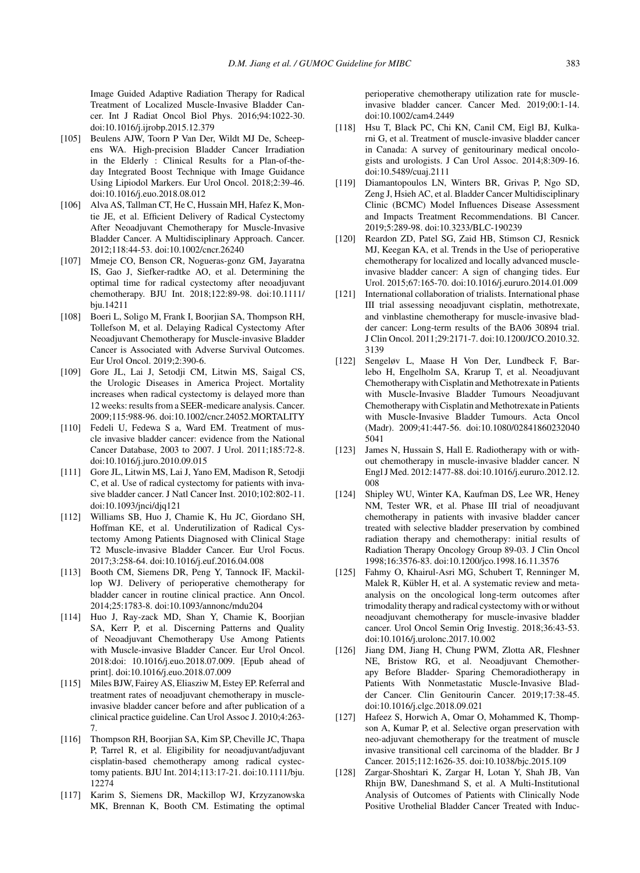Image Guided Adaptive Radiation Therapy for Radical Treatment of Localized Muscle-Invasive Bladder Cancer. Int J Radiat Oncol Biol Phys. 2016;94:1022-30. doi:10.1016/j.ijrobp.2015.12.379

- [105] Beulens AJW, Toorn P Van Der, Wildt MJ De, Scheepens WA. High-precision Bladder Cancer Irradiation in the Elderly : Clinical Results for a Plan-of-theday Integrated Boost Technique with Image Guidance Using Lipiodol Markers. Eur Urol Oncol. 2018;2:39-46. doi:10.1016/j.euo.2018.08.012
- [106] Alva AS, Tallman CT, He C, Hussain MH, Hafez K, Montie JE, et al. Efficient Delivery of Radical Cystectomy After Neoadjuvant Chemotherapy for Muscle-Invasive Bladder Cancer. A Multidisciplinary Approach. Cancer. 2012;118:44-53. doi:10.1002/cncr.26240
- [107] Mmeje CO, Benson CR, Nogueras-gonz GM, Jayaratna IS, Gao J, Siefker-radtke AO, et al. Determining the optimal time for radical cystectomy after neoadjuvant chemotherapy. BJU Int. 2018;122:89-98. doi:10.1111/ bju.14211
- [108] Boeri L, Soligo M, Frank I, Boorjian SA, Thompson RH, Tollefson M, et al. Delaying Radical Cystectomy After Neoadjuvant Chemotherapy for Muscle-invasive Bladder Cancer is Associated with Adverse Survival Outcomes. Eur Urol Oncol. 2019;2:390-6.
- [109] Gore JL, Lai J, Setodji CM, Litwin MS, Saigal CS, the Urologic Diseases in America Project. Mortality increases when radical cystectomy is delayed more than 12 weeks: results from a SEER-medicare analysis. Cancer. 2009;115:988-96. doi:10.1002/cncr.24052.MORTALITY
- [110] Fedeli U, Fedewa S a, Ward EM. Treatment of muscle invasive bladder cancer: evidence from the National Cancer Database, 2003 to 2007. J Urol. 2011;185:72-8. doi:10.1016/j.juro.2010.09.015
- [111] Gore JL, Litwin MS, Lai J, Yano EM, Madison R, Setodji C, et al. Use of radical cystectomy for patients with invasive bladder cancer. J Natl Cancer Inst. 2010;102:802-11. doi:10.1093/jnci/djq121
- [112] Williams SB, Huo J, Chamie K, Hu JC, Giordano SH, Hoffman KE, et al. Underutilization of Radical Cystectomy Among Patients Diagnosed with Clinical Stage T2 Muscle-invasive Bladder Cancer. Eur Urol Focus. 2017;3:258-64. doi:10.1016/j.euf.2016.04.008
- [113] Booth CM, Siemens DR, Peng Y, Tannock IF, Mackillop WJ. Delivery of perioperative chemotherapy for bladder cancer in routine clinical practice. Ann Oncol. 2014;25:1783-8. doi:10.1093/annonc/mdu204
- [114] Huo J, Ray-zack MD, Shan Y, Chamie K, Boorjian SA, Kerr P, et al. Discerning Patterns and Quality of Neoadjuvant Chemotherapy Use Among Patients with Muscle-invasive Bladder Cancer. Eur Urol Oncol. 2018:doi: 10.1016/j.euo.2018.07.009. [Epub ahead of print]. doi:10.1016/j.euo.2018.07.009
- [115] Miles BJW, Fairey AS, Eliasziw M, Estey EP. Referral and treatment rates of neoadjuvant chemotherapy in muscleinvasive bladder cancer before and after publication of a clinical practice guideline. Can Urol Assoc J. 2010;4:263- 7.
- [116] Thompson RH, Boorjian SA, Kim SP, Cheville JC, Thapa P, Tarrel R, et al. Eligibility for neoadjuvant/adjuvant cisplatin-based chemotherapy among radical cystectomy patients. BJU Int. 2014;113:17-21. doi:10.1111/bju. 12274
- [117] Karim S, Siemens DR, Mackillop WJ, Krzyzanowska MK, Brennan K, Booth CM. Estimating the optimal

perioperative chemotherapy utilization rate for muscleinvasive bladder cancer. Cancer Med. 2019;00:1-14. doi:10.1002/cam4.2449

- [118] Hsu T, Black PC, Chi KN, Canil CM, Eigl BJ, Kulkarni G, et al. Treatment of muscle-invasive bladder cancer in Canada: A survey of genitourinary medical oncologists and urologists. J Can Urol Assoc. 2014;8:309-16. doi:10.5489/cuaj.2111
- [119] Diamantopoulos LN, Winters BR, Grivas P, Ngo SD, Zeng J, Hsieh AC, et al. Bladder Cancer Multidisciplinary Clinic (BCMC) Model Influences Disease Assessment and Impacts Treatment Recommendations. Bl Cancer. 2019;5:289-98. doi:10.3233/BLC-190239
- [120] Reardon ZD, Patel SG, Zaid HB, Stimson CJ, Resnick MJ, Keegan KA, et al. Trends in the Use of perioperative chemotherapy for localized and locally advanced muscleinvasive bladder cancer: A sign of changing tides. Eur Urol. 2015;67:165-70. doi:10.1016/j.eururo.2014.01.009
- [121] International collaboration of trialists. International phase III trial assessing neoadjuvant cisplatin, methotrexate, and vinblastine chemotherapy for muscle-invasive bladder cancer: Long-term results of the BA06 30894 trial. J Clin Oncol. 2011;29:2171-7. doi:10.1200/JCO.2010.32. 3139
- [122] Sengeløv L, Maase H Von Der, Lundbeck F, Barlebo H, Engelholm SA, Krarup T, et al. Neoadjuvant Chemotherapy with Cisplatin and Methotrexate in Patients with Muscle-Invasive Bladder Tumours Neoadjuvant Chemotherapy with Cisplatin and Methotrexate in Patients with Muscle-Invasive Bladder Tumours. Acta Oncol (Madr). 2009;41:447-56. doi:10.1080/02841860232040 5041
- [123] James N, Hussain S, Hall E. Radiotherapy with or without chemotherapy in muscle-invasive bladder cancer. N Engl J Med. 2012:1477-88. doi:10.1016/j.eururo.2012.12. 008
- [124] Shipley WU, Winter KA, Kaufman DS, Lee WR, Heney NM, Tester WR, et al. Phase III trial of neoadjuvant chemotherapy in patients with invasive bladder cancer treated with selective bladder preservation by combined radiation therapy and chemotherapy: initial results of Radiation Therapy Oncology Group 89-03. J Clin Oncol 1998;16:3576-83. doi:10.1200/jco.1998.16.11.3576
- [125] Fahmy O, Khairul-Asri MG, Schubert T, Renninger M, Malek R, Kübler H, et al. A systematic review and metaanalysis on the oncological long-term outcomes after trimodality therapy and radical cystectomy with or without neoadjuvant chemotherapy for muscle-invasive bladder cancer. Urol Oncol Semin Orig Investig. 2018;36:43-53. doi:10.1016/j.urolonc.2017.10.002
- [126] Jiang DM, Jiang H, Chung PWM, Zlotta AR, Fleshner NE, Bristow RG, et al. Neoadjuvant Chemotherapy Before Bladder- Sparing Chemoradiotherapy in Patients With Nonmetastatic Muscle-Invasive Bladder Cancer. Clin Genitourin Cancer. 2019;17:38-45. doi:10.1016/j.clgc.2018.09.021
- [127] Hafeez S, Horwich A, Omar O, Mohammed K, Thompson A, Kumar P, et al. Selective organ preservation with neo-adjuvant chemotherapy for the treatment of muscle invasive transitional cell carcinoma of the bladder. Br J Cancer. 2015;112:1626-35. doi:10.1038/bjc.2015.109
- [128] Zargar-Shoshtari K, Zargar H, Lotan Y, Shah JB, Van Rhijn BW, Daneshmand S, et al. A Multi-Institutional Analysis of Outcomes of Patients with Clinically Node Positive Urothelial Bladder Cancer Treated with Induc-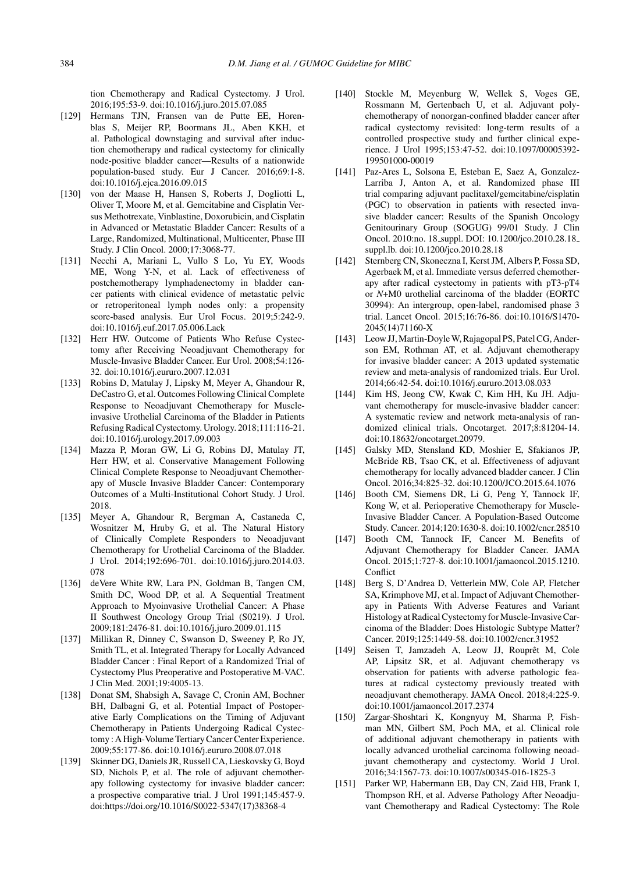tion Chemotherapy and Radical Cystectomy. J Urol. 2016;195:53-9. doi:10.1016/j.juro.2015.07.085

- [129] Hermans TJN, Fransen van de Putte EE, Horenblas S, Meijer RP, Boormans JL, Aben KKH, et al. Pathological downstaging and survival after induction chemotherapy and radical cystectomy for clinically node-positive bladder cancer—Results of a nationwide population-based study. Eur J Cancer. 2016;69:1-8. doi:10.1016/j.ejca.2016.09.015
- [130] von der Maase H, Hansen S, Roberts J, Dogliotti L, Oliver T, Moore M, et al. Gemcitabine and Cisplatin Versus Methotrexate, Vinblastine, Doxorubicin, and Cisplatin in Advanced or Metastatic Bladder Cancer: Results of a Large, Randomized, Multinational, Multicenter, Phase III Study. J Clin Oncol. 2000;17:3068-77.
- [131] Necchi A, Mariani L, Vullo S Lo, Yu EY, Woods ME, Wong Y-N, et al. Lack of effectiveness of postchemotherapy lymphadenectomy in bladder cancer patients with clinical evidence of metastatic pelvic or retroperitoneal lymph nodes only: a propensity score-based analysis. Eur Urol Focus. 2019;5:242-9. doi:10.1016/j.euf.2017.05.006.Lack
- [132] Herr HW. Outcome of Patients Who Refuse Cystectomy after Receiving Neoadjuvant Chemotherapy for Muscle-Invasive Bladder Cancer. Eur Urol. 2008;54:126- 32. doi:10.1016/j.eururo.2007.12.031
- [133] Robins D, Matulay J, Lipsky M, Meyer A, Ghandour R, DeCastro G, et al. Outcomes Following Clinical Complete Response to Neoadjuvant Chemotherapy for Muscleinvasive Urothelial Carcinoma of the Bladder in Patients Refusing Radical Cystectomy. Urology. 2018;111:116-21. doi:10.1016/j.urology.2017.09.003
- [134] Mazza P, Moran GW, Li G, Robins DJ, Matulay JT, Herr HW, et al. Conservative Management Following Clinical Complete Response to Neoadjuvant Chemotherapy of Muscle Invasive Bladder Cancer: Contemporary Outcomes of a Multi-Institutional Cohort Study. J Urol. 2018.
- [135] Meyer A, Ghandour R, Bergman A, Castaneda C, Wosnitzer M, Hruby G, et al. The Natural History of Clinically Complete Responders to Neoadjuvant Chemotherapy for Urothelial Carcinoma of the Bladder. J Urol. 2014;192:696-701. doi:10.1016/j.juro.2014.03. 078
- [136] deVere White RW, Lara PN, Goldman B, Tangen CM, Smith DC, Wood DP, et al. A Sequential Treatment Approach to Myoinvasive Urothelial Cancer: A Phase II Southwest Oncology Group Trial (S0219). J Urol. 2009;181:2476-81. doi:10.1016/j.juro.2009.01.115
- [137] Millikan R, Dinney C, Swanson D, Sweeney P, Ro JY, Smith TL, et al. Integrated Therapy for Locally Advanced Bladder Cancer : Final Report of a Randomized Trial of Cystectomy Plus Preoperative and Postoperative M-VAC. J Clin Med. 2001;19:4005-13.
- [138] Donat SM, Shabsigh A, Savage C, Cronin AM, Bochner BH, Dalbagni G, et al. Potential Impact of Postoperative Early Complications on the Timing of Adjuvant Chemotherapy in Patients Undergoing Radical Cystectomy : A High-Volume Tertiary Cancer Center Experience. 2009;55:177-86. doi:10.1016/j.eururo.2008.07.018
- [139] Skinner DG, Daniels JR, Russell CA, Lieskovsky G, Boyd SD, Nichols P, et al. The role of adjuvant chemotherapy following cystectomy for invasive bladder cancer: a prospective comparative trial. J Urol 1991;145:457-9. doi:https://doi.org/10.1016/S0022-5347(17)38368-4
- [140] Stockle M, Meyenburg W, Wellek S, Voges GE, Rossmann M, Gertenbach U, et al. Adjuvant polychemotherapy of nonorgan-confined bladder cancer after radical cystectomy revisited: long-term results of a controlled prospective study and further clinical experience. J Urol 1995;153:47-52. doi:10.1097/00005392- 199501000-00019
- [141] Paz-Ares L, Solsona E, Esteban E, Saez A, Gonzalez-Larriba J, Anton A, et al. Randomized phase III trial comparing adjuvant paclitaxel/gemcitabine/cisplatin (PGC) to observation in patients with resected invasive bladder cancer: Results of the Spanish Oncology Genitourinary Group (SOGUG) 99/01 Study. J Clin Oncol. 2010:no. 18 suppl. DOI: 10.1200/jco.2010.28.18 suppl.lb. doi:10.1200/jco.2010.28.18
- [142] Sternberg CN, Skoneczna I, Kerst JM, Albers P, Fossa SD, Agerbaek M, et al. Immediate versus deferred chemotherapy after radical cystectomy in patients with pT3-pT4 or *N*+M0 urothelial carcinoma of the bladder (EORTC 30994): An intergroup, open-label, randomised phase 3 trial. Lancet Oncol. 2015;16:76-86. doi:10.1016/S1470- 2045(14)71160-X
- [143] Leow JJ, Martin-Doyle W, Rajagopal PS, Patel CG, Anderson EM, Rothman AT, et al. Adjuvant chemotherapy for invasive bladder cancer: A 2013 updated systematic review and meta-analysis of randomized trials. Eur Urol. 2014;66:42-54. doi:10.1016/j.eururo.2013.08.033
- [144] Kim HS, Jeong CW, Kwak C, Kim HH, Ku JH. Adjuvant chemotherapy for muscle-invasive bladder cancer: A systematic review and network meta-analysis of randomized clinical trials. Oncotarget. 2017;8:81204-14. doi:10.18632/oncotarget.20979.
- [145] Galsky MD, Stensland KD, Moshier E, Sfakianos JP, McBride RB, Tsao CK, et al. Effectiveness of adjuvant chemotherapy for locally advanced bladder cancer. J Clin Oncol. 2016;34:825-32. doi:10.1200/JCO.2015.64.1076
- [146] Booth CM, Siemens DR, Li G, Peng Y, Tannock IF, Kong W, et al. Perioperative Chemotherapy for Muscle-Invasive Bladder Cancer. A Population-Based Outcome Study. Cancer. 2014;120:1630-8. doi:10.1002/cncr.28510
- [147] Booth CM, Tannock IF, Cancer M. Benefits of Adjuvant Chemotherapy for Bladder Cancer. JAMA Oncol. 2015;1:727-8. doi:10.1001/jamaoncol.2015.1210. **Conflict**
- [148] Berg S, D'Andrea D, Vetterlein MW, Cole AP, Fletcher SA, Krimphove MJ, et al. Impact of Adjuvant Chemotherapy in Patients With Adverse Features and Variant Histology at Radical Cystectomy for Muscle-Invasive Carcinoma of the Bladder: Does Histologic Subtype Matter? Cancer. 2019;125:1449-58. doi:10.1002/cncr.31952
- [149] Seisen T, Jamzadeh A, Leow JJ, Rouprêt M, Cole AP, Lipsitz SR, et al. Adjuvant chemotherapy vs observation for patients with adverse pathologic features at radical cystectomy previously treated with neoadjuvant chemotherapy. JAMA Oncol. 2018;4:225-9. doi:10.1001/jamaoncol.2017.2374
- [150] Zargar-Shoshtari K, Kongnyuy M, Sharma P, Fishman MN, Gilbert SM, Poch MA, et al. Clinical role of additional adjuvant chemotherapy in patients with locally advanced urothelial carcinoma following neoadjuvant chemotherapy and cystectomy. World J Urol. 2016;34:1567-73. doi:10.1007/s00345-016-1825-3
- [151] Parker WP, Habermann EB, Day CN, Zaid HB, Frank I, Thompson RH, et al. Adverse Pathology After Neoadjuvant Chemotherapy and Radical Cystectomy: The Role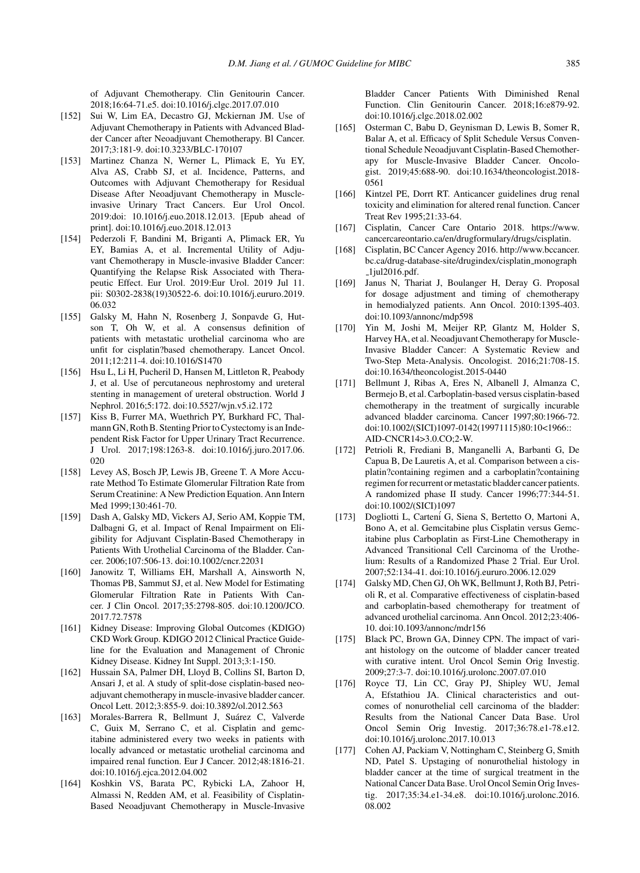of Adjuvant Chemotherapy. Clin Genitourin Cancer. 2018;16:64-71.e5. doi:10.1016/j.clgc.2017.07.010

- [152] Sui W, Lim EA, Decastro GJ, Mckiernan JM. Use of Adjuvant Chemotherapy in Patients with Advanced Bladder Cancer after Neoadjuvant Chemotherapy. Bl Cancer. 2017;3:181-9. doi:10.3233/BLC-170107
- [153] Martinez Chanza N, Werner L, Plimack E, Yu EY, Alva AS, Crabb SJ, et al. Incidence, Patterns, and Outcomes with Adjuvant Chemotherapy for Residual Disease After Neoadjuvant Chemotherapy in Muscleinvasive Urinary Tract Cancers. Eur Urol Oncol. 2019:doi: 10.1016/j.euo.2018.12.013. [Epub ahead of print]. doi:10.1016/j.euo.2018.12.013
- [154] Pederzoli F, Bandini M, Briganti A, Plimack ER, Yu EY, Bamias A, et al. Incremental Utility of Adjuvant Chemotherapy in Muscle-invasive Bladder Cancer: Quantifying the Relapse Risk Associated with Therapeutic Effect. Eur Urol. 2019:Eur Urol. 2019 Jul 11. pii: S0302-2838(19)30522-6. doi:10.1016/j.eururo.2019. 06.032
- [155] Galsky M, Hahn N, Rosenberg J, Sonpavde G, Hutson T, Oh W, et al. A consensus definition of patients with metastatic urothelial carcinoma who are unfit for cisplatin?based chemotherapy. Lancet Oncol. 2011;12:211-4. doi:10.1016/S1470
- [156] Hsu L, Li H, Pucheril D, Hansen M, Littleton R, Peabody J, et al. Use of percutaneous nephrostomy and ureteral stenting in management of ureteral obstruction. World J Nephrol. 2016;5:172. doi:10.5527/wjn.v5.i2.172
- [157] Kiss B, Furrer MA, Wuethrich PY, Burkhard FC, Thalmann GN, Roth B. Stenting Prior to Cystectomy is an Independent Risk Factor for Upper Urinary Tract Recurrence. J Urol. 2017;198:1263-8. doi:10.1016/j.juro.2017.06. 020
- [158] Levey AS, Bosch JP, Lewis JB, Greene T. A More Accurate Method To Estimate Glomerular Filtration Rate from Serum Creatinine: A New Prediction Equation. Ann Intern Med 1999;130:461-70.
- [159] Dash A, Galsky MD, Vickers AJ, Serio AM, Koppie TM, Dalbagni G, et al. Impact of Renal Impairment on Eligibility for Adjuvant Cisplatin-Based Chemotherapy in Patients With Urothelial Carcinoma of the Bladder. Cancer. 2006;107:506-13. doi:10.1002/cncr.22031
- [160] Janowitz T, Williams EH, Marshall A, Ainsworth N, Thomas PB, Sammut SJ, et al. New Model for Estimating Glomerular Filtration Rate in Patients With Cancer. J Clin Oncol. 2017;35:2798-805. doi:10.1200/JCO. 2017.72.7578
- [161] Kidney Disease: Improving Global Outcomes (KDIGO) CKD Work Group. KDIGO 2012 Clinical Practice Guideline for the Evaluation and Management of Chronic Kidney Disease. Kidney Int Suppl. 2013;3:1-150.
- [162] Hussain SA, Palmer DH, Lloyd B, Collins SI, Barton D, Ansari J, et al. A study of split-dose cisplatin-based neoadjuvant chemotherapy in muscle-invasive bladder cancer. Oncol Lett. 2012;3:855-9. doi:10.3892/ol.2012.563
- [163] Morales-Barrera R, Bellmunt J, Suárez C, Valverde C, Guix M, Serrano C, et al. Cisplatin and gemcitabine administered every two weeks in patients with locally advanced or metastatic urothelial carcinoma and impaired renal function. Eur J Cancer. 2012;48:1816-21. doi:10.1016/j.ejca.2012.04.002
- [164] Koshkin VS, Barata PC, Rybicki LA, Zahoor H, Almassi N, Redden AM, et al. Feasibility of Cisplatin-Based Neoadjuvant Chemotherapy in Muscle-Invasive

Bladder Cancer Patients With Diminished Renal Function. Clin Genitourin Cancer. 2018;16:e879-92. doi:10.1016/j.clgc.2018.02.002

- [165] Osterman C, Babu D, Geynisman D, Lewis B, Somer R, Balar A, et al. Efficacy of Split Schedule Versus Conventional Schedule Neoadjuvant Cisplatin-Based Chemotherapy for Muscle-Invasive Bladder Cancer. Oncologist. 2019;45:688-90. doi:10.1634/theoncologist.2018- 0561
- [166] Kintzel PE, Dorrt RT. Anticancer guidelines drug renal toxicity and elimination for altered renal function. Cancer Treat Rev 1995;21:33-64.
- [167] Cisplatin, Cancer Care Ontario 2018. [https://www.](https://www.cancercareontario.ca/en/drugformulary/drugs/cisplatin) [cancercareontario.ca/en/drugformulary/drugs/cisplatin](https://www.cancercareontario.ca/en/drugformulary/drugs/cisplatin).
- [168] Cisplatin, BC Cancer Agency 2016. [http://www.bccancer.](http://www.bccancer.bc.ca/drug-database-site/drug index/cisplatin_monograph_1jul2016.pdf) [bc.ca/drug-database-site/drugindex/cisplatin](http://www.bccancer.bc.ca/drug-database-site/drug index/cisplatin_monograph_1jul2016.pdf) monograph [1jul2016.pdf.](http://www.bccancer.bc.ca/drug-database-site/drug index/cisplatin_monograph_1jul2016.pdf)
- [169] Janus N, Thariat J, Boulanger H, Deray G. Proposal for dosage adjustment and timing of chemotherapy in hemodialyzed patients. Ann Oncol. 2010:1395-403. doi:10.1093/annonc/mdp598
- [170] Yin M, Joshi M, Meijer RP, Glantz M, Holder S, Harvey HA, et al. Neoadjuvant Chemotherapy for Muscle-Invasive Bladder Cancer: A Systematic Review and Two-Step Meta-Analysis. Oncologist. 2016;21:708-15. doi:10.1634/theoncologist.2015-0440
- [171] Bellmunt J, Ribas A, Eres N, Albanell J, Almanza C, Bermejo B, et al. Carboplatin-based versus cisplatin-based chemotherapy in the treatment of surgically incurable advanced bladder carcinoma. Cancer 1997;80:1966-72. doi:10.1002/(SICI)1097-0142(19971115)80:10<1966:: AID-CNCR14>3.0.CO;2-W.
- [172] Petrioli R, Frediani B, Manganelli A, Barbanti G, De Capua B, De Lauretis A, et al. Comparison between a cisplatin?containing regimen and a carboplatin?containing regimen for recurrent or metastatic bladder cancer patients. A randomized phase II study. Cancer 1996;77:344-51. doi:10.1002/(SICI)1097
- [173] Dogliotti L, Carteni G, Siena S, Bertetto O, Martoni A, Bono A, et al. Gemcitabine plus Cisplatin versus Gemcitabine plus Carboplatin as First-Line Chemotherapy in Advanced Transitional Cell Carcinoma of the Urothelium: Results of a Randomized Phase 2 Trial. Eur Urol. 2007;52:134-41. doi:10.1016/j.eururo.2006.12.029
- [174] Galsky MD, Chen GJ, Oh WK, Bellmunt J, Roth BJ, Petrioli R, et al. Comparative effectiveness of cisplatin-based and carboplatin-based chemotherapy for treatment of advanced urothelial carcinoma. Ann Oncol. 2012;23:406- 10. doi:10.1093/annonc/mdr156
- [175] Black PC, Brown GA, Dinney CPN. The impact of variant histology on the outcome of bladder cancer treated with curative intent. Urol Oncol Semin Orig Investig. 2009;27:3-7. doi:10.1016/j.urolonc.2007.07.010
- [176] Royce TJ, Lin CC, Gray PJ, Shipley WU, Jemal A, Efstathiou JA. Clinical characteristics and outcomes of nonurothelial cell carcinoma of the bladder: Results from the National Cancer Data Base. Urol Oncol Semin Orig Investig. 2017;36:78.e1-78.e12. doi:10.1016/j.urolonc.2017.10.013
- [177] Cohen AJ, Packiam V, Nottingham C, Steinberg G, Smith ND, Patel S. Upstaging of nonurothelial histology in bladder cancer at the time of surgical treatment in the National Cancer Data Base. Urol Oncol Semin Orig Investig. 2017;35:34.e1-34.e8. doi:10.1016/j.urolonc.2016. 08.002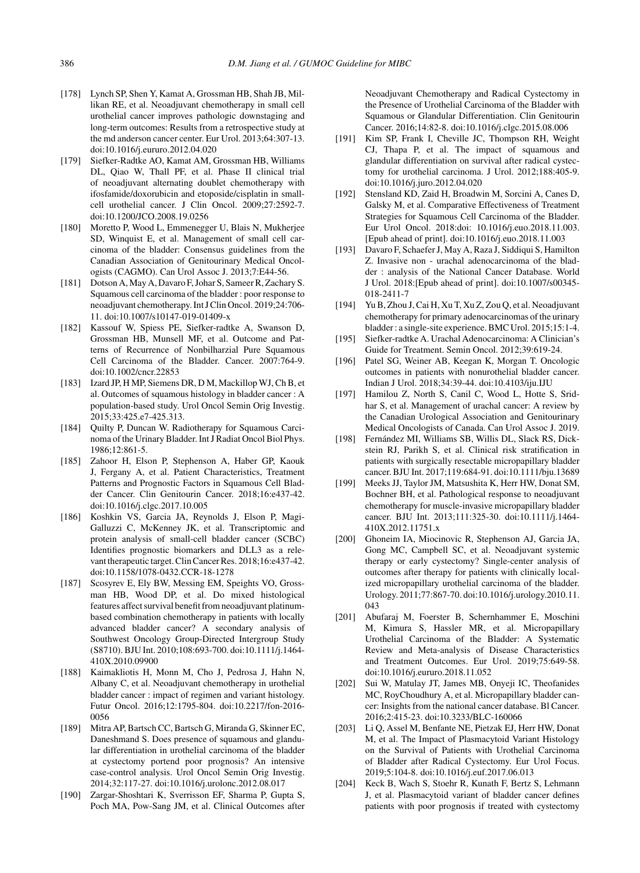- [178] Lynch SP, Shen Y, Kamat A, Grossman HB, Shah JB, Millikan RE, et al. Neoadjuvant chemotherapy in small cell urothelial cancer improves pathologic downstaging and long-term outcomes: Results from a retrospective study at the md anderson cancer center. Eur Urol. 2013;64:307-13. doi:10.1016/j.eururo.2012.04.020
- [179] Siefker-Radtke AO, Kamat AM, Grossman HB, Williams DL, Qiao W, Thall PF, et al. Phase II clinical trial of neoadjuvant alternating doublet chemotherapy with ifosfamide/doxorubicin and etoposide/cisplatin in smallcell urothelial cancer. J Clin Oncol. 2009;27:2592-7. doi:10.1200/JCO.2008.19.0256
- [180] Moretto P, Wood L, Emmenegger U, Blais N, Mukherjee SD, Winquist E, et al. Management of small cell carcinoma of the bladder: Consensus guidelines from the Canadian Association of Genitourinary Medical Oncologists (CAGMO). Can Urol Assoc J. 2013;7:E44-56.
- [181] Dotson A, May A, Davaro F, Johar S, Sameer R, Zachary S. Squamous cell carcinoma of the bladder : poor response to neoadjuvant chemotherapy. Int J Clin Oncol. 2019;24:706- 11. doi:10.1007/s10147-019-01409-x
- [182] Kassouf W, Spiess PE, Siefker-radtke A, Swanson D, Grossman HB, Munsell MF, et al. Outcome and Patterns of Recurrence of Nonbilharzial Pure Squamous Cell Carcinoma of the Bladder. Cancer. 2007:764-9. doi:10.1002/cncr.22853
- [183] Izard JP, H MP, Siemens DR, D M, Mackillop WJ, Ch B, et al. Outcomes of squamous histology in bladder cancer : A population-based study. Urol Oncol Semin Orig Investig. 2015;33:425.e7-425.313.
- [184] Quilty P, Duncan W. Radiotherapy for Squamous Carcinoma of the Urinary Bladder. Int J Radiat Oncol Biol Phys. 1986;12:861-5.
- [185] Zahoor H, Elson P, Stephenson A, Haber GP, Kaouk J, Fergany A, et al. Patient Characteristics, Treatment Patterns and Prognostic Factors in Squamous Cell Bladder Cancer. Clin Genitourin Cancer. 2018;16:e437-42. doi:10.1016/j.clgc.2017.10.005
- [186] Koshkin VS, Garcia JA, Reynolds J, Elson P, Magi-Galluzzi C, McKenney JK, et al. Transcriptomic and protein analysis of small-cell bladder cancer (SCBC) Identifies prognostic biomarkers and DLL3 as a relevant therapeutic target. Clin Cancer Res. 2018;16:e437-42. doi:10.1158/1078-0432.CCR-18-1278
- [187] Scosyrev E, Ely BW, Messing EM, Speights VO, Grossman HB, Wood DP, et al. Do mixed histological features affect survival benefit from neoadjuvant platinumbased combination chemotherapy in patients with locally advanced bladder cancer? A secondary analysis of Southwest Oncology Group-Directed Intergroup Study (S8710). BJU Int. 2010;108:693-700. doi:10.1111/j.1464- 410X.2010.09900
- [188] Kaimakliotis H, Monn M, Cho J, Pedrosa J, Hahn N, Albany C, et al. Neoadjuvant chemotherapy in urothelial bladder cancer : impact of regimen and variant histology. Futur Oncol. 2016;12:1795-804. doi:10.2217/fon-2016- 0056
- [189] Mitra AP, Bartsch CC, Bartsch G, Miranda G, Skinner EC, Daneshmand S. Does presence of squamous and glandular differentiation in urothelial carcinoma of the bladder at cystectomy portend poor prognosis? An intensive case-control analysis. Urol Oncol Semin Orig Investig. 2014;32:117-27. doi:10.1016/j.urolonc.2012.08.017
- [190] Zargar-Shoshtari K, Sverrisson EF, Sharma P, Gupta S, Poch MA, Pow-Sang JM, et al. Clinical Outcomes after

Neoadjuvant Chemotherapy and Radical Cystectomy in the Presence of Urothelial Carcinoma of the Bladder with Squamous or Glandular Differentiation. Clin Genitourin Cancer. 2016;14:82-8. doi:10.1016/j.clgc.2015.08.006

- [191] Kim SP, Frank I, Cheville JC, Thompson RH, Weight CJ, Thapa P, et al. The impact of squamous and glandular differentiation on survival after radical cystectomy for urothelial carcinoma. J Urol. 2012;188:405-9. doi:10.1016/j.juro.2012.04.020
- [192] Stensland KD, Zaid H, Broadwin M, Sorcini A, Canes D, Galsky M, et al. Comparative Effectiveness of Treatment Strategies for Squamous Cell Carcinoma of the Bladder. Eur Urol Oncol. 2018:doi: 10.1016/j.euo.2018.11.003. [Epub ahead of print]. doi:10.1016/j.euo.2018.11.003
- [193] Davaro F, Schaefer J, May A, Raza J, Siddiqui S, Hamilton Z. Invasive non - urachal adenocarcinoma of the bladder : analysis of the National Cancer Database. World J Urol. 2018:[Epub ahead of print]. doi:10.1007/s00345- 018-2411-7
- [194] Yu B, Zhou J, Cai H, Xu T, Xu Z, Zou Q, et al. Neoadjuvant chemotherapy for primary adenocarcinomas of the urinary bladder : a single-site experience. BMC Urol. 2015;15:1-4.
- [195] Siefker-radtke A. Urachal Adenocarcinoma: A Clinician's Guide for Treatment. Semin Oncol. 2012;39:619-24.
- [196] Patel SG, Weiner AB, Keegan K, Morgan T. Oncologic outcomes in patients with nonurothelial bladder cancer. Indian J Urol. 2018;34:39-44. doi:10.4103/iju.IJU
- [197] Hamilou Z, North S, Canil C, Wood L, Hotte S, Sridhar S, et al. Management of urachal cancer: A review by the Canadian Urological Association and Genitourinary Medical Oncologists of Canada. Can Urol Assoc J. 2019.
- [198] Fernández MI, Williams SB, Willis DL, Slack RS, Dickstein RJ, Parikh S, et al. Clinical risk stratification in patients with surgically resectable micropapillary bladder cancer. BJU Int. 2017;119:684-91. doi:10.1111/bju.13689
- [199] Meeks JJ, Taylor JM, Matsushita K, Herr HW, Donat SM, Bochner BH, et al. Pathological response to neoadjuvant chemotherapy for muscle-invasive micropapillary bladder cancer. BJU Int. 2013;111:325-30. doi:10.1111/j.1464- 410X.2012.11751.x
- [200] Ghoneim IA, Miocinovic R, Stephenson AJ, Garcia JA, Gong MC, Campbell SC, et al. Neoadjuvant systemic therapy or early cystectomy? Single-center analysis of outcomes after therapy for patients with clinically localized micropapillary urothelial carcinoma of the bladder. Urology. 2011;77:867-70. doi:10.1016/j.urology.2010.11. 043
- [201] Abufaraj M, Foerster B, Schernhammer E, Moschini M, Kimura S, Hassler MR, et al. Micropapillary Urothelial Carcinoma of the Bladder: A Systematic Review and Meta-analysis of Disease Characteristics and Treatment Outcomes. Eur Urol. 2019;75:649-58. doi:10.1016/j.eururo.2018.11.052
- [202] Sui W, Matulay JT, James MB, Onyeji IC, Theofanides MC, RoyChoudhury A, et al. Micropapillary bladder cancer: Insights from the national cancer database. Bl Cancer. 2016;2:415-23. doi:10.3233/BLC-160066
- [203] Li Q, Assel M, Benfante NE, Pietzak EJ, Herr HW, Donat M, et al. The Impact of Plasmacytoid Variant Histology on the Survival of Patients with Urothelial Carcinoma of Bladder after Radical Cystectomy. Eur Urol Focus. 2019;5:104-8. doi:10.1016/j.euf.2017.06.013
- [204] Keck B, Wach S, Stoehr R, Kunath F, Bertz S, Lehmann J, et al. Plasmacytoid variant of bladder cancer defines patients with poor prognosis if treated with cystectomy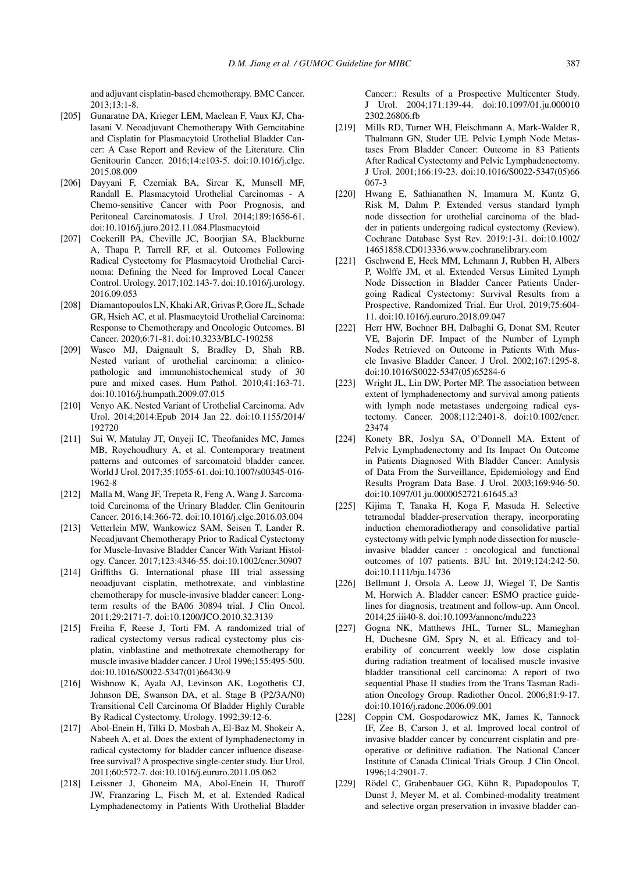and adjuvant cisplatin-based chemotherapy. BMC Cancer. 2013;13:1-8.

- [205] Gunaratne DA, Krieger LEM, Maclean F, Vaux KJ, Chalasani V. Neoadjuvant Chemotherapy With Gemcitabine and Cisplatin for Plasmacytoid Urothelial Bladder Cancer: A Case Report and Review of the Literature. Clin Genitourin Cancer. 2016;14:e103-5. doi:10.1016/j.clgc. 2015.08.009
- [206] Dayyani F, Czerniak BA, Sircar K, Munsell MF, Randall E. Plasmacytoid Urothelial Carcinomas - A Chemo-sensitive Cancer with Poor Prognosis, and Peritoneal Carcinomatosis. J Urol. 2014;189:1656-61. doi:10.1016/j.juro.2012.11.084.Plasmacytoid
- [207] Cockerill PA, Cheville JC, Boorjian SA, Blackburne A, Thapa P, Tarrell RF, et al. Outcomes Following Radical Cystectomy for Plasmacytoid Urothelial Carcinoma: Defining the Need for Improved Local Cancer Control. Urology. 2017;102:143-7. doi:10.1016/j.urology. 2016.09.053
- [208] Diamantopoulos LN, Khaki AR, Grivas P, Gore JL, Schade GR, Hsieh AC, et al. Plasmacytoid Urothelial Carcinoma: Response to Chemotherapy and Oncologic Outcomes. Bl Cancer. 2020;6:71-81. doi:10.3233/BLC-190258
- [209] Wasco MJ, Daignault S, Bradley D, Shah RB. Nested variant of urothelial carcinoma: a clinicopathologic and immunohistochemical study of 30 pure and mixed cases. Hum Pathol. 2010;41:163-71. doi:10.1016/j.humpath.2009.07.015
- [210] Venyo AK. Nested Variant of Urothelial Carcinoma. Adv Urol. 2014;2014:Epub 2014 Jan 22. doi:10.1155/2014/ 192720
- [211] Sui W, Matulay JT, Onyeji IC, Theofanides MC, James MB, Roychoudhury A, et al. Contemporary treatment patterns and outcomes of sarcomatoid bladder cancer. World J Urol. 2017;35:1055-61. doi:10.1007/s00345-016- 1962-8
- [212] Malla M, Wang JF, Trepeta R, Feng A, Wang J. Sarcomatoid Carcinoma of the Urinary Bladder. Clin Genitourin Cancer. 2016;14:366-72. doi:10.1016/j.clgc.2016.03.004
- [213] Vetterlein MW, Wankowicz SAM, Seisen T, Lander R. Neoadjuvant Chemotherapy Prior to Radical Cystectomy for Muscle-Invasive Bladder Cancer With Variant Histology. Cancer. 2017;123:4346-55. doi:10.1002/cncr.30907
- [214] Griffiths G. International phase III trial assessing neoadjuvant cisplatin, methotrexate, and vinblastine chemotherapy for muscle-invasive bladder cancer: Longterm results of the BA06 30894 trial. J Clin Oncol. 2011;29:2171-7. doi:10.1200/JCO.2010.32.3139
- [215] Freiha F, Reese J, Torti FM. A randomized trial of radical cystectomy versus radical cystectomy plus cisplatin, vinblastine and methotrexate chemotherapy for muscle invasive bladder cancer. J Urol 1996;155:495-500. doi:10.1016/S0022-5347(01)66430-9
- [216] Wishnow K, Ayala AJ, Levinson AK, Logothetis CJ, Johnson DE, Swanson DA, et al. Stage B (P2/3A/N0) Transitional Cell Carcinoma Of Bladder Highly Curable By Radical Cystectomy. Urology. 1992;39:12-6.
- [217] Abol-Enein H, Tilki D, Mosbah A, El-Baz M, Shokeir A, Nabeeh A, et al. Does the extent of lymphadenectomy in radical cystectomy for bladder cancer influence diseasefree survival? A prospective single-center study. Eur Urol. 2011;60:572-7. doi:10.1016/j.eururo.2011.05.062
- [218] Leissner J, Ghoneim MA, Abol-Enein H, Thuroff JW, Franzaring L, Fisch M, et al. Extended Radical Lymphadenectomy in Patients With Urothelial Bladder

Cancer:: Results of a Prospective Multicenter Study. J Urol. 2004;171:139-44. doi:10.1097/01.ju.000010 2302.26806.fb

- [219] Mills RD, Turner WH, Fleischmann A, Mark-Walder R, Thalmann GN, Studer UE. Pelvic Lymph Node Metastases From Bladder Cancer: Outcome in 83 Patients After Radical Cystectomy and Pelvic Lymphadenectomy. J Urol. 2001;166:19-23. doi:10.1016/S0022-5347(05)66 067-3
- [220] Hwang E, Sathianathen N, Imamura M, Kuntz G, Risk M, Dahm P. Extended versus standard lymph node dissection for urothelial carcinoma of the bladder in patients undergoing radical cystectomy (Review). Cochrane Database Syst Rev. 2019:1-31. doi:10.1002/ 14651858.CD013336.www.cochranelibrary.com
- [221] Gschwend E, Heck MM, Lehmann J, Rubben H, Albers P, Wolffe JM, et al. Extended Versus Limited Lymph Node Dissection in Bladder Cancer Patients Undergoing Radical Cystectomy: Survival Results from a Prospective, Randomized Trial. Eur Urol. 2019;75:604- 11. doi:10.1016/j.eururo.2018.09.047
- [222] Herr HW, Bochner BH, Dalbaghi G, Donat SM, Reuter VE, Bajorin DF. Impact of the Number of Lymph Nodes Retrieved on Outcome in Patients With Muscle Invasive Bladder Cancer. J Urol. 2002;167:1295-8. doi:10.1016/S0022-5347(05)65284-6
- [223] Wright JL, Lin DW, Porter MP. The association between extent of lymphadenectomy and survival among patients with lymph node metastases undergoing radical cystectomy. Cancer. 2008;112:2401-8. doi:10.1002/cncr. 23474
- [224] Konety BR, Joslyn SA, O'Donnell MA. Extent of Pelvic Lymphadenectomy and Its Impact On Outcome in Patients Diagnosed With Bladder Cancer: Analysis of Data From the Surveillance, Epidemiology and End Results Program Data Base. J Urol. 2003;169:946-50. doi:10.1097/01.ju.0000052721.61645.a3
- [225] Kijima T, Tanaka H, Koga F, Masuda H. Selective tetramodal bladder-preservation therapy, incorporating induction chemoradiotherapy and consolidative partial cystectomy with pelvic lymph node dissection for muscleinvasive bladder cancer : oncological and functional outcomes of 107 patients. BJU Int. 2019;124:242-50. doi:10.1111/bju.14736
- [226] Bellmunt J, Orsola A, Leow JJ, Wiegel T, De Santis M, Horwich A. Bladder cancer: ESMO practice guidelines for diagnosis, treatment and follow-up. Ann Oncol. 2014;25:iii40-8. doi:10.1093/annonc/mdu223
- [227] Gogna NK, Matthews JHL, Turner SL, Mameghan H, Duchesne GM, Spry N, et al. Efficacy and tolerability of concurrent weekly low dose cisplatin during radiation treatment of localised muscle invasive bladder transitional cell carcinoma: A report of two sequential Phase II studies from the Trans Tasman Radiation Oncology Group. Radiother Oncol. 2006;81:9-17. doi:10.1016/j.radonc.2006.09.001
- [228] Coppin CM, Gospodarowicz MK, James K, Tannock IF, Zee B, Carson J, et al. Improved local control of invasive bladder cancer by concurrent cisplatin and preoperative or definitive radiation. The National Cancer Institute of Canada Clinical Trials Group. J Clin Oncol. 1996;14:2901-7.
- [229] Rödel C, Grabenbauer GG, Kühn R, Papadopoulos T, Dunst J, Meyer M, et al. Combined-modality treatment and selective organ preservation in invasive bladder can-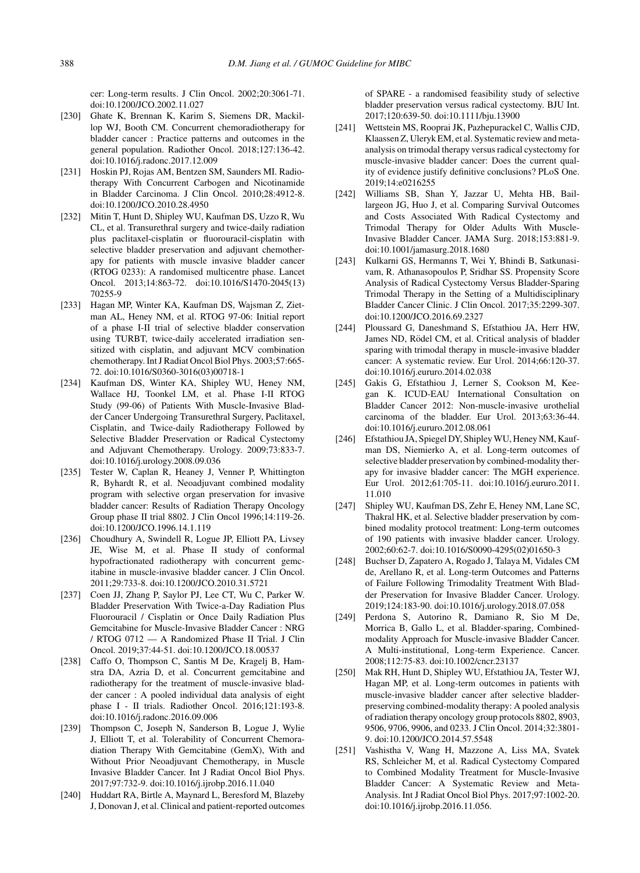cer: Long-term results. J Clin Oncol. 2002;20:3061-71. doi:10.1200/JCO.2002.11.027

- [230] Ghate K, Brennan K, Karim S, Siemens DR, Mackillop WJ, Booth CM. Concurrent chemoradiotherapy for bladder cancer : Practice patterns and outcomes in the general population. Radiother Oncol. 2018;127:136-42. doi:10.1016/j.radonc.2017.12.009
- [231] Hoskin PJ, Rojas AM, Bentzen SM, Saunders MI. Radiotherapy With Concurrent Carbogen and Nicotinamide in Bladder Carcinoma. J Clin Oncol. 2010;28:4912-8. doi:10.1200/JCO.2010.28.4950
- [232] Mitin T, Hunt D, Shipley WU, Kaufman DS, Uzzo R, Wu CL, et al. Transurethral surgery and twice-daily radiation plus paclitaxel-cisplatin or fluorouracil-cisplatin with selective bladder preservation and adjuvant chemotherapy for patients with muscle invasive bladder cancer (RTOG 0233): A randomised multicentre phase. Lancet Oncol. 2013;14:863-72. doi:10.1016/S1470-2045(13) 70255-9
- [233] Hagan MP, Winter KA, Kaufman DS, Wajsman Z, Zietman AL, Heney NM, et al. RTOG 97-06: Initial report of a phase I-II trial of selective bladder conservation using TURBT, twice-daily accelerated irradiation sensitized with cisplatin, and adjuvant MCV combination chemotherapy. Int J Radiat Oncol Biol Phys. 2003;57:665- 72. doi:10.1016/S0360-3016(03)00718-1
- [234] Kaufman DS, Winter KA, Shipley WU, Heney NM, Wallace HJ, Toonkel LM, et al. Phase I-II RTOG Study (99-06) of Patients With Muscle-Invasive Bladder Cancer Undergoing Transurethral Surgery, Paclitaxel, Cisplatin, and Twice-daily Radiotherapy Followed by Selective Bladder Preservation or Radical Cystectomy and Adjuvant Chemotherapy. Urology. 2009;73:833-7. doi:10.1016/j.urology.2008.09.036
- [235] Tester W, Caplan R, Heaney J, Venner P, Whittington R, Byhardt R, et al. Neoadjuvant combined modality program with selective organ preservation for invasive bladder cancer: Results of Radiation Therapy Oncology Group phase II trial 8802. J Clin Oncol 1996;14:119-26. doi:10.1200/JCO.1996.14.1.119
- [236] Choudhury A, Swindell R, Logue JP, Elliott PA, Livsey JE, Wise M, et al. Phase II study of conformal hypofractionated radiotherapy with concurrent gemcitabine in muscle-invasive bladder cancer. J Clin Oncol. 2011;29:733-8. doi:10.1200/JCO.2010.31.5721
- [237] Coen JJ, Zhang P, Saylor PJ, Lee CT, Wu C, Parker W. Bladder Preservation With Twice-a-Day Radiation Plus Fluorouracil / Cisplatin or Once Daily Radiation Plus Gemcitabine for Muscle-Invasive Bladder Cancer : NRG / RTOG 0712 — A Randomized Phase II Trial. J Clin Oncol. 2019;37:44-51. doi:10.1200/JCO.18.00537
- [238] Caffo O, Thompson C, Santis M De, Kragelj B, Hamstra DA, Azria D, et al. Concurrent gemcitabine and radiotherapy for the treatment of muscle-invasive bladder cancer : A pooled individual data analysis of eight phase I - II trials. Radiother Oncol. 2016;121:193-8. doi:10.1016/j.radonc.2016.09.006
- [239] Thompson C, Joseph N, Sanderson B, Logue J, Wylie J, Elliott T, et al. Tolerability of Concurrent Chemoradiation Therapy With Gemcitabine (GemX), With and Without Prior Neoadjuvant Chemotherapy, in Muscle Invasive Bladder Cancer. Int J Radiat Oncol Biol Phys. 2017;97:732-9. doi:10.1016/j.ijrobp.2016.11.040
- [240] Huddart RA, Birtle A, Maynard L, Beresford M, Blazeby J, Donovan J, et al. Clinical and patient-reported outcomes

of SPARE - a randomised feasibility study of selective bladder preservation versus radical cystectomy. BJU Int. 2017;120:639-50. doi:10.1111/bju.13900

- [241] Wettstein MS, Rooprai JK, Pazhepurackel C, Wallis CJD, Klaassen Z, Uleryk EM, et al. Systematic review and metaanalysis on trimodal therapy versus radical cystectomy for muscle-invasive bladder cancer: Does the current quality of evidence justify definitive conclusions? PLoS One. 2019;14:e0216255
- [242] Williams SB, Shan Y, Jazzar U, Mehta HB, Baillargeon JG, Huo J, et al. Comparing Survival Outcomes and Costs Associated With Radical Cystectomy and Trimodal Therapy for Older Adults With Muscle-Invasive Bladder Cancer. JAMA Surg. 2018;153:881-9. doi:10.1001/jamasurg.2018.1680
- [243] Kulkarni GS, Hermanns T, Wei Y, Bhindi B, Satkunasivam, R. Athanasopoulos P, Sridhar SS. Propensity Score Analysis of Radical Cystectomy Versus Bladder-Sparing Trimodal Therapy in the Setting of a Multidisciplinary Bladder Cancer Clinic. J Clin Oncol. 2017;35:2299-307. doi:10.1200/JCO.2016.69.2327
- [244] Ploussard G, Daneshmand S, Efstathiou JA, Herr HW, James ND, Rödel CM, et al. Critical analysis of bladder sparing with trimodal therapy in muscle-invasive bladder cancer: A systematic review. Eur Urol. 2014;66:120-37. doi:10.1016/j.eururo.2014.02.038
- [245] Gakis G, Efstathiou J, Lerner S, Cookson M, Keegan K. ICUD-EAU International Consultation on Bladder Cancer 2012: Non-muscle-invasive urothelial carcinoma of the bladder. Eur Urol. 2013;63:36-44. doi:10.1016/j.eururo.2012.08.061
- [246] Efstathiou JA, Spiegel DY, Shipley WU, Heney NM, Kaufman DS, Niemierko A, et al. Long-term outcomes of selective bladder preservation by combined-modality therapy for invasive bladder cancer: The MGH experience. Eur Urol. 2012;61:705-11. doi:10.1016/j.eururo.2011. 11.010
- [247] Shipley WU, Kaufman DS, Zehr E, Heney NM, Lane SC, Thakral HK, et al. Selective bladder preservation by combined modality protocol treatment: Long-term outcomes of 190 patients with invasive bladder cancer. Urology. 2002;60:62-7. doi:10.1016/S0090-4295(02)01650-3
- [248] Buchser D, Zapatero A, Rogado J, Talaya M, Vidales CM de, Arellano R, et al. Long-term Outcomes and Patterns of Failure Following Trimodality Treatment With Bladder Preservation for Invasive Bladder Cancer. Urology. 2019;124:183-90. doi:10.1016/j.urology.2018.07.058
- [249] Perdona S, Autorino R, Damiano R, Sio M De, Morrica B, Gallo L, et al. Bladder-sparing, Combinedmodality Approach for Muscle-invasive Bladder Cancer. A Multi-institutional, Long-term Experience. Cancer. 2008;112:75-83. doi:10.1002/cncr.23137
- [250] Mak RH, Hunt D, Shipley WU, Efstathiou JA, Tester WJ, Hagan MP, et al. Long-term outcomes in patients with muscle-invasive bladder cancer after selective bladderpreserving combined-modality therapy: A pooled analysis of radiation therapy oncology group protocols 8802, 8903, 9506, 9706, 9906, and 0233. J Clin Oncol. 2014;32:3801- 9. doi:10.1200/JCO.2014.57.5548
- [251] Vashistha V, Wang H, Mazzone A, Liss MA, Svatek RS, Schleicher M, et al. Radical Cystectomy Compared to Combined Modality Treatment for Muscle-Invasive Bladder Cancer: A Systematic Review and Meta-Analysis. Int J Radiat Oncol Biol Phys. 2017;97:1002-20. doi:10.1016/j.ijrobp.2016.11.056.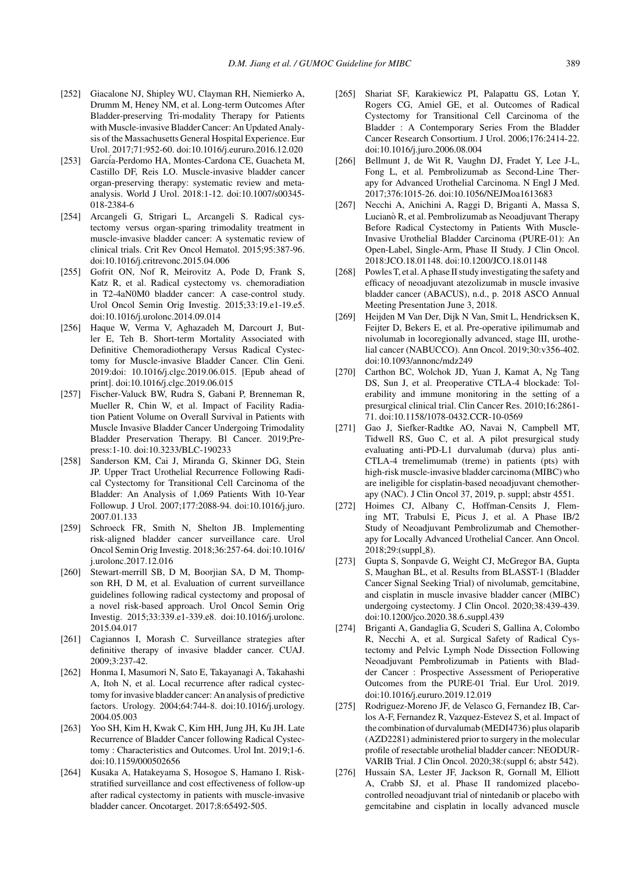- [252] Giacalone NJ, Shipley WU, Clayman RH, Niemierko A, Drumm M, Heney NM, et al. Long-term Outcomes After Bladder-preserving Tri-modality Therapy for Patients with Muscle-invasive Bladder Cancer: An Updated Analysis of the Massachusetts General Hospital Experience. Eur Urol. 2017;71:952-60. doi:10.1016/j.eururo.2016.12.020
- [253] García-Perdomo HA, Montes-Cardona CE, Guacheta M, Castillo DF, Reis LO. Muscle-invasive bladder cancer organ-preserving therapy: systematic review and metaanalysis. World J Urol. 2018:1-12. doi:10.1007/s00345- 018-2384-6
- [254] Arcangeli G, Strigari L, Arcangeli S. Radical cystectomy versus organ-sparing trimodality treatment in muscle-invasive bladder cancer: A systematic review of clinical trials. Crit Rev Oncol Hematol. 2015;95:387-96. doi:10.1016/j.critrevonc.2015.04.006
- [255] Gofrit ON, Nof R, Meirovitz A, Pode D, Frank S, Katz R, et al. Radical cystectomy vs. chemoradiation in T2-4aN0M0 bladder cancer: A case-control study. Urol Oncol Semin Orig Investig. 2015;33:19.e1-19.e5. doi:10.1016/j.urolonc.2014.09.014
- [256] Haque W, Verma V, Aghazadeh M, Darcourt J, Butler E, Teh B. Short-term Mortality Associated with Definitive Chemoradiotherapy Versus Radical Cystectomy for Muscle-invasive Bladder Cancer. Clin Geni. 2019:doi: 10.1016/j.clgc.2019.06.015. [Epub ahead of print]. doi:10.1016/j.clgc.2019.06.015
- [257] Fischer-Valuck BW, Rudra S, Gabani P, Brenneman R, Mueller R, Chin W, et al. Impact of Facility Radiation Patient Volume on Overall Survival in Patients with Muscle Invasive Bladder Cancer Undergoing Trimodality Bladder Preservation Therapy. Bl Cancer. 2019;Prepress:1-10. doi:10.3233/BLC-190233
- [258] Sanderson KM, Cai J, Miranda G, Skinner DG, Stein JP. Upper Tract Urothelial Recurrence Following Radical Cystectomy for Transitional Cell Carcinoma of the Bladder: An Analysis of 1,069 Patients With 10-Year Followup. J Urol. 2007;177:2088-94. doi:10.1016/j.juro. 2007.01.133
- [259] Schroeck FR, Smith N, Shelton JB. Implementing risk-aligned bladder cancer surveillance care. Urol Oncol Semin Orig Investig. 2018;36:257-64. doi:10.1016/ j.urolonc.2017.12.016
- [260] Stewart-merrill SB, D M, Boorjian SA, D M, Thompson RH, D M, et al. Evaluation of current surveillance guidelines following radical cystectomy and proposal of a novel risk-based approach. Urol Oncol Semin Orig Investig. 2015;33:339.e1-339.e8. doi:10.1016/j.urolonc. 2015.04.017
- [261] Cagiannos I, Morash C. Surveillance strategies after definitive therapy of invasive bladder cancer. CUAJ. 2009;3:237-42.
- [262] Honma I, Masumori N, Sato E, Takayanagi A, Takahashi A, Itoh N, et al. Local recurrence after radical cystectomy for invasive bladder cancer: An analysis of predictive factors. Urology. 2004;64:744-8. doi:10.1016/j.urology. 2004.05.003
- [263] Yoo SH, Kim H, Kwak C, Kim HH, Jung JH, Ku JH. Late Recurrence of Bladder Cancer following Radical Cystectomy : Characteristics and Outcomes. Urol Int. 2019;1-6. doi:10.1159/000502656
- [264] Kusaka A, Hatakeyama S, Hosogoe S, Hamano I. Riskstratified surveillance and cost effectiveness of follow-up after radical cystectomy in patients with muscle-invasive bladder cancer. Oncotarget. 2017;8:65492-505.
- [265] Shariat SF, Karakiewicz PI, Palapattu GS, Lotan Y, Rogers CG, Amiel GE, et al. Outcomes of Radical Cystectomy for Transitional Cell Carcinoma of the Bladder : A Contemporary Series From the Bladder Cancer Research Consortium. J Urol. 2006;176:2414-22. doi:10.1016/j.juro.2006.08.004
- [266] Bellmunt J, de Wit R, Vaughn DJ, Fradet Y, Lee J-L, Fong L, et al. Pembrolizumab as Second-Line Therapy for Advanced Urothelial Carcinoma. N Engl J Med. 2017;376:1015-26. doi:10.1056/NEJMoa1613683
- [267] Necchi A, Anichini A, Raggi D, Briganti A, Massa S, Lucianò R, et al. Pembrolizumab as Neoadjuvant Therapy Before Radical Cystectomy in Patients With Muscle-Invasive Urothelial Bladder Carcinoma (PURE-01): An Open-Label, Single-Arm, Phase II Study. J Clin Oncol. 2018:JCO.18.01148. doi:10.1200/JCO.18.01148
- [268] Powles T, et al. A phase II study investigating the safety and efficacy of neoadjuvant atezolizumab in muscle invasive bladder cancer (ABACUS), n.d., p. 2018 ASCO Annual Meeting Presentation June 3, 2018.
- [269] Heijden M Van Der, Dijk N Van, Smit L, Hendricksen K, Feijter D, Bekers E, et al. Pre-operative ipilimumab and nivolumab in locoregionally advanced, stage III, urothelial cancer (NABUCCO). Ann Oncol. 2019;30:v356-402. doi:10.1093/annonc/mdz249
- [270] Carthon BC, Wolchok JD, Yuan J, Kamat A, Ng Tang DS, Sun J, et al. Preoperative CTLA-4 blockade: Tolerability and immune monitoring in the setting of a presurgical clinical trial. Clin Cancer Res. 2010;16:2861- 71. doi:10.1158/1078-0432.CCR-10-0569
- [271] Gao J, Siefker-Radtke AO, Navai N, Campbell MT, Tidwell RS, Guo C, et al. A pilot presurgical study evaluating anti-PD-L1 durvalumab (durva) plus anti-CTLA-4 tremelimumab (treme) in patients (pts) with high-risk muscle-invasive bladder carcinoma (MIBC) who are ineligible for cisplatin-based neoadjuvant chemotherapy (NAC). J Clin Oncol 37, 2019, p. suppl; abstr 4551.
- [272] Hoimes CJ, Albany C, Hoffman-Censits J, Fleming MT, Trabulsi E, Picus J, et al. A Phase IB/2 Study of Neoadjuvant Pembrolizumab and Chemotherapy for Locally Advanced Urothelial Cancer. Ann Oncol. 2018;29:(suppl\_8).
- [273] Gupta S, Sonpavde G, Weight CJ, McGregor BA, Gupta S, Maughan BL, et al. Results from BLASST-1 (Bladder Cancer Signal Seeking Trial) of nivolumab, gemcitabine, and cisplatin in muscle invasive bladder cancer (MIBC) undergoing cystectomy. J Clin Oncol. 2020;38:439-439. doi:10.1200/jco.2020.38.6 suppl.439
- [274] Briganti A, Gandaglia G, Scuderi S, Gallina A, Colombo R, Necchi A, et al. Surgical Safety of Radical Cystectomy and Pelvic Lymph Node Dissection Following Neoadjuvant Pembrolizumab in Patients with Bladder Cancer : Prospective Assessment of Perioperative Outcomes from the PURE-01 Trial. Eur Urol. 2019. doi:10.1016/j.eururo.2019.12.019
- [275] Rodriguez-Moreno JF, de Velasco G, Fernandez IB, Carlos A-F, Fernandez R, Vazquez-Estevez S, et al. Impact of the combination of durvalumab (MEDI4736) plus olaparib (AZD2281) administered prior to surgery in the molecular profile of resectable urothelial bladder cancer: NEODUR-VARIB Trial. J Clin Oncol. 2020;38:(suppl 6; abstr 542).
- [276] Hussain SA, Lester JF, Jackson R, Gornall M, Elliott A, Crabb SJ, et al. Phase II randomized placebocontrolled neoadjuvant trial of nintedanib or placebo with gemcitabine and cisplatin in locally advanced muscle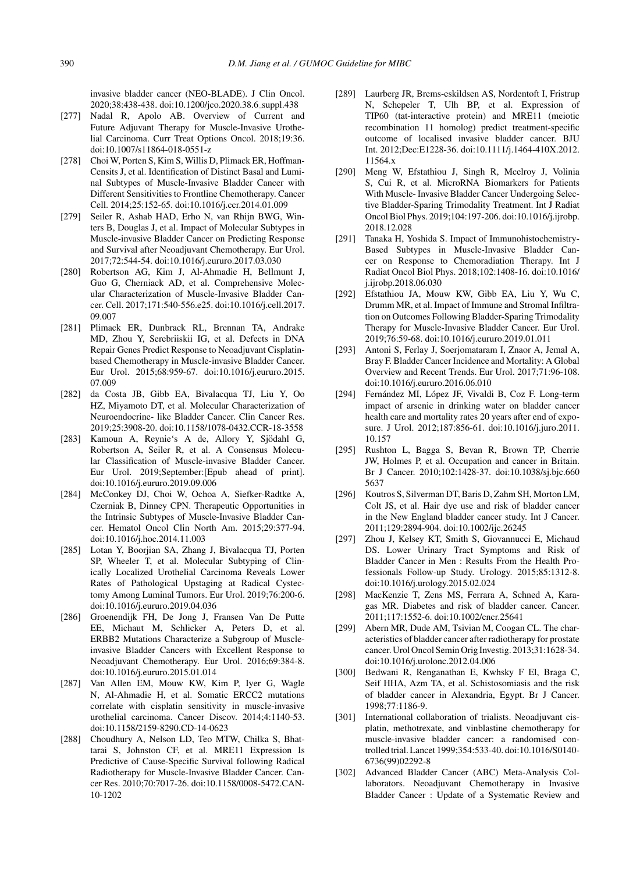invasive bladder cancer (NEO-BLADE). J Clin Oncol. 2020;38:438-438. doi:10.1200/jco.2020.38.6 suppl.438

- [277] Nadal R, Apolo AB. Overview of Current and Future Adjuvant Therapy for Muscle-Invasive Urothelial Carcinoma. Curr Treat Options Oncol. 2018;19:36. doi:10.1007/s11864-018-0551-z
- [278] Choi W, Porten S, Kim S, Willis D, Plimack ER, Hoffman-Censits J, et al. Identification of Distinct Basal and Luminal Subtypes of Muscle-Invasive Bladder Cancer with Different Sensitivities to Frontline Chemotherapy. Cancer Cell. 2014;25:152-65. doi:10.1016/j.ccr.2014.01.009
- [279] Seiler R, Ashab HAD, Erho N, van Rhijn BWG, Winters B, Douglas J, et al. Impact of Molecular Subtypes in Muscle-invasive Bladder Cancer on Predicting Response and Survival after Neoadjuvant Chemotherapy. Eur Urol. 2017;72:544-54. doi:10.1016/j.eururo.2017.03.030
- [280] Robertson AG, Kim J, Al-Ahmadie H, Bellmunt J, Guo G, Cherniack AD, et al. Comprehensive Molecular Characterization of Muscle-Invasive Bladder Cancer. Cell. 2017;171:540-556.e25. doi:10.1016/j.cell.2017. 09.007
- [281] Plimack ER, Dunbrack RL, Brennan TA, Andrake MD, Zhou Y, Serebriiskii IG, et al. Defects in DNA Repair Genes Predict Response to Neoadjuvant Cisplatinbased Chemotherapy in Muscle-invasive Bladder Cancer. Eur Urol. 2015;68:959-67. doi:10.1016/j.eururo.2015. 07.009
- [282] da Costa JB, Gibb EA, Bivalacqua TJ, Liu Y, Oo HZ, Miyamoto DT, et al. Molecular Characterization of Neuroendocrine- like Bladder Cancer. Clin Cancer Res. 2019;25:3908-20. doi:10.1158/1078-0432.CCR-18-3558
- [283] Kamoun A, Reynie's A de, Allory Y, Sjödahl G, Robertson A, Seiler R, et al. A Consensus Molecular Classification of Muscle-invasive Bladder Cancer. Eur Urol. 2019;September:[Epub ahead of print]. doi:10.1016/j.eururo.2019.09.006
- [284] McConkey DJ, Choi W, Ochoa A, Siefker-Radtke A, Czerniak B, Dinney CPN. Therapeutic Opportunities in the Intrinsic Subtypes of Muscle-Invasive Bladder Cancer. Hematol Oncol Clin North Am. 2015;29:377-94. doi:10.1016/j.hoc.2014.11.003
- [285] Lotan Y, Boorjian SA, Zhang J, Bivalacqua TJ, Porten SP, Wheeler T, et al. Molecular Subtyping of Clinically Localized Urothelial Carcinoma Reveals Lower Rates of Pathological Upstaging at Radical Cystectomy Among Luminal Tumors. Eur Urol. 2019;76:200-6. doi:10.1016/j.eururo.2019.04.036
- [286] Groenendijk FH, De Jong J, Fransen Van De Putte EE, Michaut M, Schlicker A, Peters D, et al. ERBB2 Mutations Characterize a Subgroup of Muscleinvasive Bladder Cancers with Excellent Response to Neoadjuvant Chemotherapy. Eur Urol. 2016;69:384-8. doi:10.1016/j.eururo.2015.01.014
- [287] Van Allen EM, Mouw KW, Kim P, Iyer G, Wagle N, Al-Ahmadie H, et al. Somatic ERCC2 mutations correlate with cisplatin sensitivity in muscle-invasive urothelial carcinoma. Cancer Discov. 2014;4:1140-53. doi:10.1158/2159-8290.CD-14-0623
- [288] Choudhury A, Nelson LD, Teo MTW, Chilka S, Bhattarai S, Johnston CF, et al. MRE11 Expression Is Predictive of Cause-Specific Survival following Radical Radiotherapy for Muscle-Invasive Bladder Cancer. Cancer Res. 2010;70:7017-26. doi:10.1158/0008-5472.CAN-10-1202
- [289] Laurberg JR, Brems-eskildsen AS, Nordentoft I, Fristrup N, Schepeler T, Ulh BP, et al. Expression of TIP60 (tat-interactive protein) and MRE11 (meiotic recombination 11 homolog) predict treatment-specific outcome of localised invasive bladder cancer. BJU Int. 2012;Dec:E1228-36. doi:10.1111/j.1464-410X.2012. 11564.x
- [290] Meng W, Efstathiou J, Singh R, Mcelroy J, Volinia S, Cui R, et al. MicroRNA Biomarkers for Patients With Muscle- Invasive Bladder Cancer Undergoing Selective Bladder-Sparing Trimodality Treatment. Int J Radiat Oncol Biol Phys. 2019;104:197-206. doi:10.1016/j.ijrobp. 2018.12.028
- [291] Tanaka H, Yoshida S. Impact of Immunohistochemistry-Based Subtypes in Muscle-Invasive Bladder Cancer on Response to Chemoradiation Therapy. Int J Radiat Oncol Biol Phys. 2018;102:1408-16. doi:10.1016/ j.ijrobp.2018.06.030
- [292] Efstathiou JA, Mouw KW, Gibb EA, Liu Y, Wu C, Drumm MR, et al. Impact of Immune and Stromal Infiltration on Outcomes Following Bladder-Sparing Trimodality Therapy for Muscle-Invasive Bladder Cancer. Eur Urol. 2019;76:59-68. doi:10.1016/j.eururo.2019.01.011
- [293] Antoni S, Ferlay J, Soerjomataram I, Znaor A, Jemal A, Bray F. Bladder Cancer Incidence and Mortality: A Global Overview and Recent Trends. Eur Urol. 2017;71:96-108. doi:10.1016/j.eururo.2016.06.010
- [294] Fernández MI, López JF, Vivaldi B, Coz F. Long-term impact of arsenic in drinking water on bladder cancer health care and mortality rates 20 years after end of exposure. J Urol. 2012;187:856-61. doi:10.1016/j.juro.2011. 10.157
- [295] Rushton L, Bagga S, Bevan R, Brown TP, Cherrie JW, Holmes P, et al. Occupation and cancer in Britain. Br J Cancer. 2010;102:1428-37. doi:10.1038/sj.bjc.660 5637
- [296] Koutros S, Silverman DT, Baris D, Zahm SH, Morton LM, Colt JS, et al. Hair dye use and risk of bladder cancer in the New England bladder cancer study. Int J Cancer. 2011;129:2894-904. doi:10.1002/ijc.26245
- [297] Zhou J, Kelsey KT, Smith S, Giovannucci E, Michaud DS. Lower Urinary Tract Symptoms and Risk of Bladder Cancer in Men : Results From the Health Professionals Follow-up Study. Urology. 2015;85:1312-8. doi:10.1016/j.urology.2015.02.024
- [298] MacKenzie T, Zens MS, Ferrara A, Schned A, Karagas MR. Diabetes and risk of bladder cancer. Cancer. 2011;117:1552-6. doi:10.1002/cncr.25641
- [299] Abern MR, Dude AM, Tsivian M, Coogan CL. The characteristics of bladder cancer after radiotherapy for prostate cancer. Urol Oncol Semin Orig Investig. 2013;31:1628-34. doi:10.1016/j.urolonc.2012.04.006
- [300] Bedwani R, Renganathan E, Kwhsky F El, Braga C, Seif HHA, Azm TA, et al. Schistosomiasis and the risk of bladder cancer in Alexandria, Egypt. Br J Cancer. 1998;77:1186-9.
- [301] International collaboration of trialists. Neoadjuvant cisplatin, methotrexate, and vinblastine chemotherapy for muscle-invasive bladder cancer: a randomised controlled trial. Lancet 1999;354:533-40. doi:10.1016/S0140- 6736(99)02292-8
- [302] Advanced Bladder Cancer (ABC) Meta-Analysis Collaborators. Neoadjuvant Chemotherapy in Invasive Bladder Cancer : Update of a Systematic Review and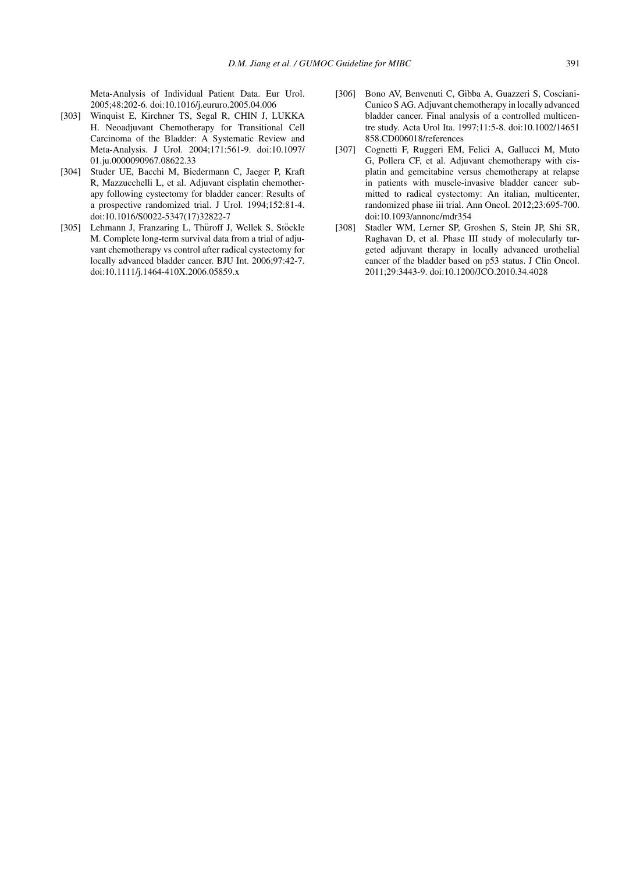Meta-Analysis of Individual Patient Data. Eur Urol. 2005;48:202-6. doi:10.1016/j.eururo.2005.04.006

- [303] Winquist E, Kirchner TS, Segal R, CHIN J, LUKKA H. Neoadjuvant Chemotherapy for Transitional Cell Carcinoma of the Bladder: A Systematic Review and Meta-Analysis. J Urol. 2004;171:561-9. doi:10.1097/ 01.ju.0000090967.08622.33
- [304] Studer UE, Bacchi M, Biedermann C, Jaeger P, Kraft R, Mazzucchelli L, et al. Adjuvant cisplatin chemotherapy following cystectomy for bladder cancer: Results of a prospective randomized trial. J Urol. 1994;152:81-4. doi:10.1016/S0022-5347(17)32822-7
- [305] Lehmann J, Franzaring L, Thüroff J, Wellek S, Stöckle M. Complete long-term survival data from a trial of adjuvant chemotherapy vs control after radical cystectomy for locally advanced bladder cancer. BJU Int. 2006;97:42-7. doi:10.1111/j.1464-410X.2006.05859.x
- [306] Bono AV, Benvenuti C, Gibba A, Guazzeri S, Cosciani-Cunico S AG. Adjuvant chemotherapy in locally advanced bladder cancer. Final analysis of a controlled multicentre study. Acta Urol Ita. 1997;11:5-8. doi:10.1002/14651 858.CD006018/references
- [307] Cognetti F, Ruggeri EM, Felici A, Gallucci M, Muto G, Pollera CF, et al. Adjuvant chemotherapy with cisplatin and gemcitabine versus chemotherapy at relapse in patients with muscle-invasive bladder cancer submitted to radical cystectomy: An italian, multicenter, randomized phase iii trial. Ann Oncol. 2012;23:695-700. doi:10.1093/annonc/mdr354
- [308] Stadler WM, Lerner SP, Groshen S, Stein JP, Shi SR, Raghavan D, et al. Phase III study of molecularly targeted adjuvant therapy in locally advanced urothelial cancer of the bladder based on p53 status. J Clin Oncol. 2011;29:3443-9. doi:10.1200/JCO.2010.34.4028